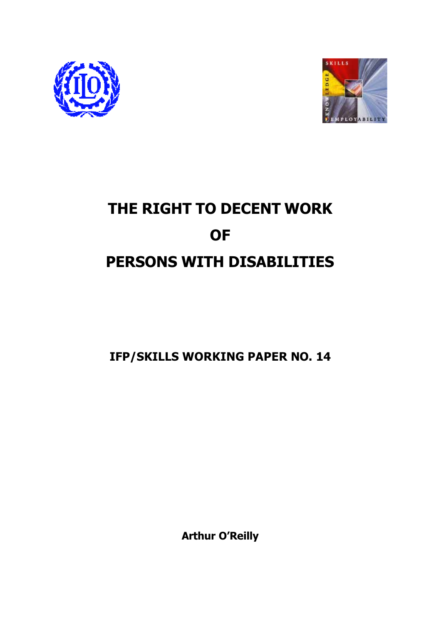



# **THE RIGHT TO DECENT WORK OF PERSONS WITH DISABILITIES**

**IFP/SKILLS WORKING PAPER NO. 14**

**Arthur O'Reilly**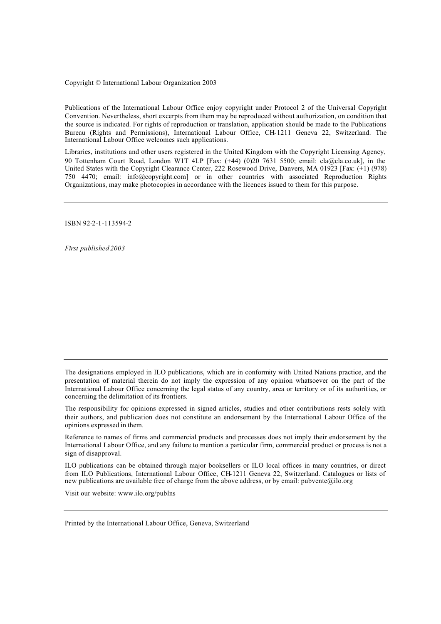Copyright © International Labour Organization 2003

Publications of the International Labour Office enjoy copyright under Protocol 2 of the Universal Copyright Convention. Nevertheless, short excerpts from them may be reproduced without authorization, on condition that the source is indicated. For rights of reproduction or translation, application should be made to the Publications Bureau (Rights and Permissions), International Labour Office, CH-1211 Geneva 22, Switzerland. The International Labour Office welcomes such applications.

Libraries, institutions and other users registered in the United Kingdom with the Copyright Licensing Agency, 90 Tottenham Court Road, London W1T 4LP [Fax: (+44) (0)20 7631 5500; email: cla@cla.co.uk], in the United States with the Copyright Clearance Center, 222 Rosewood Drive, Danvers, MA 01923 [Fax: (+1) (978) 750 4470; email: info@copyright.com] or in other countries with associated Reproduction Rights Organizations, may make photocopies in accordance with the licences issued to them for this purpose.

ISBN 92-2-1-113594-2

*First published 2003*

The designations employed in ILO publications, which are in conformity with United Nations practice, and the presentation of material therein do not imply the expression of any opinion whatsoever on the part of the International Labour Office concerning the legal status of any country, area or territory or of its authorit ies, or concerning the delimitation of its frontiers.

The responsibility for opinions expressed in signed articles, studies and other contributions rests solely with their authors, and publication does not constitute an endorsement by the International Labour Office of the opinions expressed in them.

Reference to names of firms and commercial products and processes does not imply their endorsement by the International Labour Office, and any failure to mention a particular firm, commercial product or process is not a sign of disapproval.

ILO publications can be obtained through major booksellers or ILO local offices in many countries, or direct from ILO Publications, International Labour Office, CH-1211 Geneva 22, Switzerland. Catalogues or lists of new publications are available free of charge from the above address, or by email: pubvente@ilo.org

Visit our website: www.ilo.org/publns

Printed by the International Labour Office, Geneva, Switzerland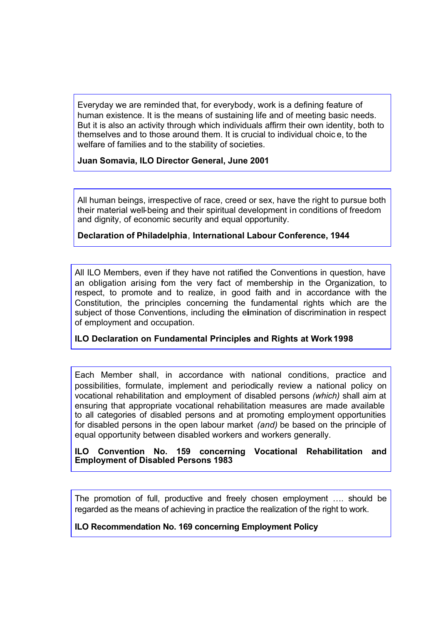Everyday we are reminded that, for everybody, work is a defining feature of human existence. It is the means of sustaining life and of meeting basic needs. But it is also an activity through which individuals affirm their own identity, both to themselves and to those around them. It is crucial to individual choic e, to the welfare of families and to the stability of societies.

# **Juan Somavia, ILO Director General, June 2001**

All human beings, irrespective of race, creed or sex, have the right to pursue both their material well-being and their spiritual development in conditions of freedom and dignity, of economic security and equal opportunity.

**Declaration of Philadelphia**, **International Labour Conference, 1944**

All ILO Members, even if they have not ratified the Conventions in question, have an obligation arising fom the very fact of membership in the Organization, to respect, to promote and to realize, in good faith and in accordance with the Constitution, the principles concerning the fundamental rights which are the subject of those Conventions, including the elimination of discrimination in respect of employment and occupation.

# **ILO Declaration on Fundamental Principles and Rights at Work 1998**

Each Member shall, in accordance with national conditions, practice and possibilities, formulate, implement and periodically review a national policy on vocational rehabilitation and employment of disabled persons *(which)* shall aim at ensuring that appropriate vocational rehabilitation measures are made available to all categories of disabled persons and at promoting employment opportunities for disabled persons in the open labour market *(and)* be based on the principle of equal opportunity between disabled workers and workers generally.

# **ILO Convention No. 159 concerning Vocational Rehabilitation and Employment of Disabled Persons 1983**

The promotion of full, productive and freely chosen employment …. should be regarded as the means of achieving in practice the realization of the right to work.

# **ILO Recommendation No. 169 concerning Employment Policy**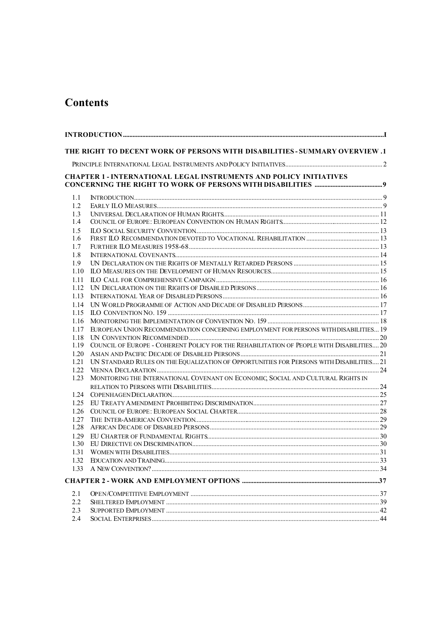# **Contents**

|                                                                    | THE RIGHT TO DECENT WORK OF PERSONS WITH DISABILITIES - SUMMARY OVERVIEW.1                |  |  |  |
|--------------------------------------------------------------------|-------------------------------------------------------------------------------------------|--|--|--|
|                                                                    |                                                                                           |  |  |  |
| CHAPTER 1 - INTERNATIONAL LEGAL INSTRUMENTS AND POLICY INITIATIVES |                                                                                           |  |  |  |
| 1.1                                                                |                                                                                           |  |  |  |
| 1.2                                                                |                                                                                           |  |  |  |
| 1.3                                                                |                                                                                           |  |  |  |
| 1.4                                                                |                                                                                           |  |  |  |
| 1.5                                                                |                                                                                           |  |  |  |
| 1.6                                                                |                                                                                           |  |  |  |
| 1.7                                                                |                                                                                           |  |  |  |
| 1.8                                                                |                                                                                           |  |  |  |
| 1.9                                                                |                                                                                           |  |  |  |
| 1.10                                                               |                                                                                           |  |  |  |
| 1.11<br>1.12                                                       |                                                                                           |  |  |  |
| 1.13                                                               |                                                                                           |  |  |  |
| 1.14                                                               |                                                                                           |  |  |  |
| 1.15                                                               |                                                                                           |  |  |  |
| 1.16                                                               |                                                                                           |  |  |  |
| 1.17                                                               | EUROPEAN UNION RECOMMENDATION CONCERNING EMPLOYMENT FOR PERSONS WITHDISABILITIES 19       |  |  |  |
| 1.18                                                               |                                                                                           |  |  |  |
| 1.19                                                               | COUNCIL OF EUROPE - COHERENT POLICY FOR THE REHABILITATION OF PEOPLE WITH DISABILITIES 20 |  |  |  |
| 1.20                                                               |                                                                                           |  |  |  |
| 1.21                                                               | UN STANDARD RULES ON THE EQUALIZATION OF OPPORTUNITIES FOR PERSONS WITH DISABILITIES 21   |  |  |  |
| 1.22                                                               |                                                                                           |  |  |  |
| 1.23                                                               | MONITORING THE INTERNATIONAL COVENANT ON ECONOMIC, SOCIAL AND CULTURAL RIGHTS IN          |  |  |  |
|                                                                    |                                                                                           |  |  |  |
| 1.24                                                               |                                                                                           |  |  |  |
|                                                                    |                                                                                           |  |  |  |
| 1.27                                                               |                                                                                           |  |  |  |
| 1.28                                                               |                                                                                           |  |  |  |
| 1.29                                                               |                                                                                           |  |  |  |
| 1.30                                                               |                                                                                           |  |  |  |
| 1.31                                                               |                                                                                           |  |  |  |
| 1.32                                                               |                                                                                           |  |  |  |
| 1.33                                                               |                                                                                           |  |  |  |
|                                                                    |                                                                                           |  |  |  |
| 2.1                                                                |                                                                                           |  |  |  |
| 2.2                                                                |                                                                                           |  |  |  |
| 2.3                                                                |                                                                                           |  |  |  |
| 2.4                                                                |                                                                                           |  |  |  |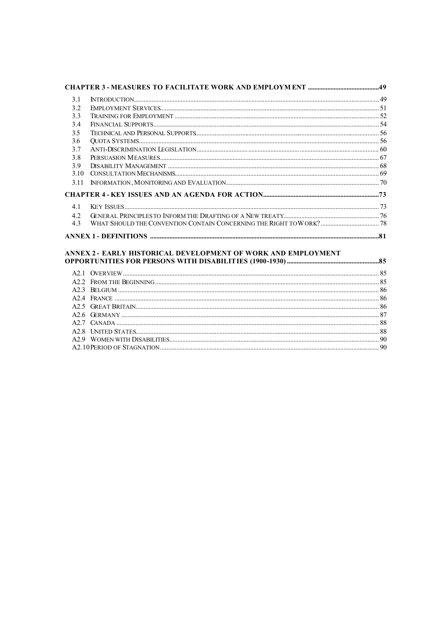| 3.1  |                                                               |  |
|------|---------------------------------------------------------------|--|
| 3.2  |                                                               |  |
| 3.3  |                                                               |  |
| 3.4  |                                                               |  |
| 3.5  |                                                               |  |
| 3.6  |                                                               |  |
| 3.7  |                                                               |  |
| 3.8  |                                                               |  |
| 3.9  |                                                               |  |
| 3.10 |                                                               |  |
| 3.11 |                                                               |  |
|      |                                                               |  |
| 4.1  |                                                               |  |
| 4.2. |                                                               |  |
| 4.3  |                                                               |  |
|      |                                                               |  |
|      | ANNEX 2 - EARLY HISTORICAL DEVELOPMENT OF WORK AND EMPLOYMENT |  |
|      |                                                               |  |
|      |                                                               |  |
|      |                                                               |  |
|      |                                                               |  |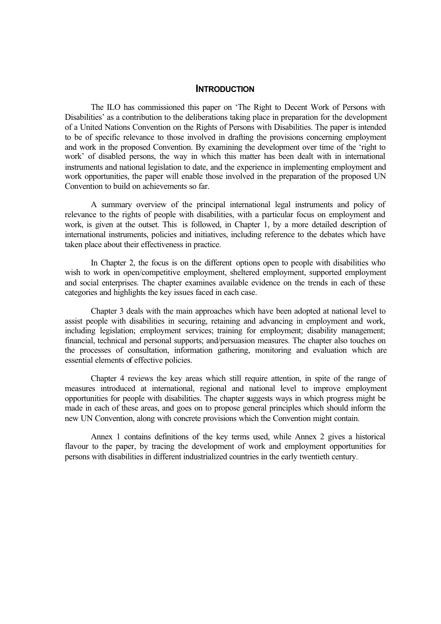# **INTRODUCTION**

The ILO has commissioned this paper on 'The Right to Decent Work of Persons with Disabilities' as a contribution to the deliberations taking place in preparation for the development of a United Nations Convention on the Rights of Persons with Disabilities. The paper is intended to be of specific relevance to those involved in drafting the provisions concerning employment and work in the proposed Convention. By examining the development over time of the 'right to work' of disabled persons, the way in which this matter has been dealt with in international instruments and national legislation to date, and the experience in implementing employment and work opportunities, the paper will enable those involved in the preparation of the proposed UN Convention to build on achievements so far.

A summary overview of the principal international legal instruments and policy of relevance to the rights of people with disabilities, with a particular focus on employment and work, is given at the outset. This is followed, in Chapter 1, by a more detailed description of international instruments, policies and initiatives, including reference to the debates which have taken place about their effectiveness in practice.

In Chapter 2, the focus is on the different options open to people with disabilities who wish to work in open/competitive employment, sheltered employment, supported employment and social enterprises. The chapter examines available evidence on the trends in each of these categories and highlights the key issues faced in each case.

Chapter 3 deals with the main approaches which have been adopted at national level to assist people with disabilities in securing, retaining and advancing in employment and work, including legislation; employment services; training for employment; disability management; financial, technical and personal supports; and/persuasion measures. The chapter also touches on the processes of consultation, information gathering, monitoring and evaluation which are essential elements of effective policies.

Chapter 4 reviews the key areas which still require attention, in spite of the range of measures introduced at international, regional and national level to improve employment opportunities for people with disabilities. The chapter suggests ways in which progress might be made in each of these areas, and goes on to propose general principles which should inform the new UN Convention, along with concrete provisions which the Convention might contain.

Annex 1 contains definitions of the key terms used, while Annex 2 gives a historical flavour to the paper, by tracing the development of work and employment opportunities for persons with disabilities in different industrialized countries in the early twentieth century.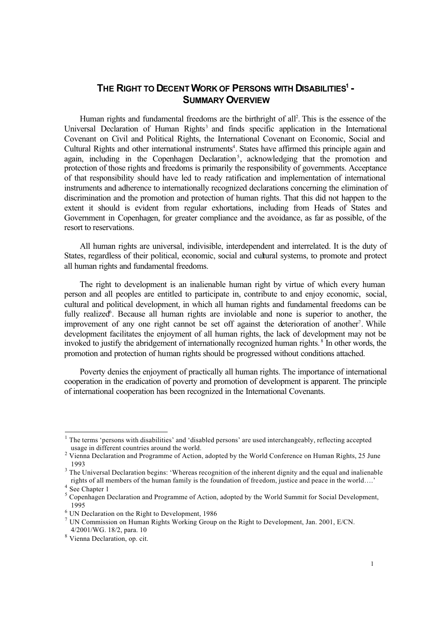# **THE RIGHT TO DECENTWORK OF PERSONS WITH DISABILITIES1 - SUMMARY OVERVIEW**

Human rights and fundamental freedoms are the birthright of all<sup>2</sup>. This is the essence of the Universal Declaration of Human Rights<sup>3</sup> and finds specific application in the International Covenant on Civil and Political Rights, the International Covenant on Economic, Social and Cultural Rights and other international instruments<sup>4</sup>. States have affirmed this principle again and again, including in the Copenhagen Declaration<sup>5</sup>, acknowledging that the promotion and protection of those rights and freedoms is primarily the responsibility of governments. Acceptance of that responsibility should have led to ready ratification and implementation of international instruments and adherence to internationally recognized declarations concerning the elimination of discrimination and the promotion and protection of human rights. That this did not happen to the extent it should is evident from regular exhortations, including from Heads of States and Government in Copenhagen, for greater compliance and the avoidance, as far as possible, of the resort to reservations.

All human rights are universal, indivisible, interdependent and interrelated. It is the duty of States, regardless of their political, economic, social and cultural systems, to promote and protect all human rights and fundamental freedoms.

The right to development is an inalienable human right by virtue of which every human person and all peoples are entitled to participate in, contribute to and enjoy economic, social, cultural and political development, in which all human rights and fundamental freedoms can be fully realized<sup>6</sup>. Because all human rights are inviolable and none is superior to another, the improvement of any one right cannot be set off against the deterioration of another<sup>7</sup>. While development facilitates the enjoyment of all human rights, the lack of development may not be invoked to justify the abridgement of internationally recognized human rights. <sup>8</sup> In other words, the promotion and protection of human rights should be progressed without conditions attached.

Poverty denies the enjoyment of practically all human rights. The importance of international cooperation in the eradication of poverty and promotion of development is apparent. The principle of international cooperation has been recognized in the International Covenants.

<sup>1</sup> The terms 'persons with disabilities' and 'disabled persons' are used interchangeably, reflecting accepted

usage in different countries around the world.<br><sup>2</sup> Vienna Declaration and Programme of Action, adopted by the World Conference on Human Rights, 25 June

<sup>1993&</sup>lt;br><sup>3</sup> The Universal Declaration begins: 'Whereas recognition of the inherent dignity and the equal and inalienable rights of all members of the human family is the foundation of freedom, justice and peace in the world….'

<sup>4</sup> See Chapter 1

<sup>&</sup>lt;sup>5</sup> Copenhagen Declaration and Programme of Action, adopted by the World Summit for Social Development, 1995

<sup>6</sup> UN Declaration on the Right to Development, 1986

 $<sup>7</sup>$  UN Commission on Human Rights Working Group on the Right to Development, Jan. 2001, E/CN.</sup> 4/2001/WG. 18/2, para. 10

<sup>&</sup>lt;sup>8</sup> Vienna Declaration, op. cit.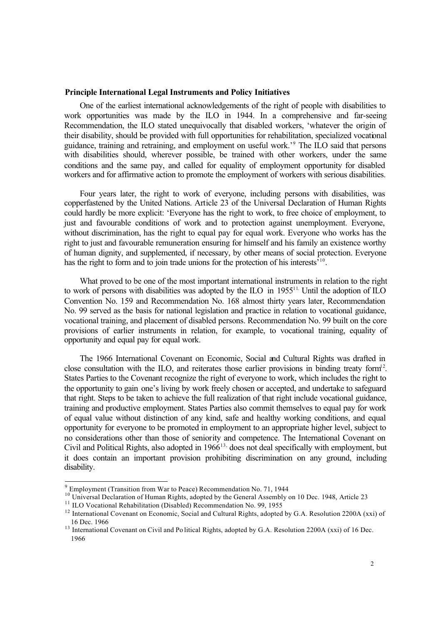#### **Principle International Legal Instruments and Policy Initiatives**

One of the earliest international acknowledgements of the right of people with disabilities to work opportunities was made by the ILO in 1944. In a comprehensive and far-seeing Recommendation, the ILO stated unequivocally that disabled workers, 'whatever the origin of their disability, should be provided with full opportunities for rehabilitation, specialized vocational guidance, training and retraining, and employment on useful work.'9 The ILO said that persons with disabilities should, wherever possible, be trained with other workers, under the same conditions and the same pay, and called for equality of employment opportunity for disabled workers and for affirmative action to promote the employment of workers with serious disabilities.

Four years later, the right to work of everyone, including persons with disabilities, was copperfastened by the United Nations. Article 23 of the Universal Declaration of Human Rights could hardly be more explicit: 'Everyone has the right to work, to free choice of employment, to just and favourable conditions of work and to protection against unemployment. Everyone, without discrimination, has the right to equal pay for equal work. Everyone who works has the right to just and favourable remuneration ensuring for himself and his family an existence worthy of human dignity, and supplemented, if necessary, by other means of social protection. Everyone has the right to form and to join trade unions for the protection of his interests<sup>'10</sup>.

What proved to be one of the most important international instruments in relation to the right to work of persons with disabilities was adopted by the ILO in 1955<sup>11.</sup> Until the adoption of ILO Convention No. 159 and Recommendation No. 168 almost thirty years later, Recommendation No. 99 served as the basis for national legislation and practice in relation to vocational guidance, vocational training, and placement of disabled persons. Recommendation No. 99 built on the core provisions of earlier instruments in relation, for example, to vocational training, equality of opportunity and equal pay for equal work.

The 1966 International Covenant on Economic, Social and Cultural Rights was drafted in close consultation with the ILO, and reiterates those earlier provisions in binding treaty form<sup>2</sup>. States Parties to the Covenant recognize the right of everyone to work, which includes the right to the opportunity to gain one's living by work freely chosen or accepted, and undertake to safeguard that right. Steps to be taken to achieve the full realization of that right include vocational guidance, training and productive employment. States Parties also commit themselves to equal pay for work of equal value without distinction of any kind, safe and healthy working conditions, and equal opportunity for everyone to be promoted in employment to an appropriate higher level, subject to no considerations other than those of seniority and competence. The International Covenant on Civil and Political Rights, also adopted in 1966<sup>13,</sup> does not deal specifically with employment, but it does contain an important provision prohibiting discrimination on any ground, including disability.

<sup>&</sup>lt;sup>9</sup> Employment (Transition from War to Peace) Recommendation No. 71, 1944

<sup>10</sup> Universal Declaration of Human Rights, adopted by the General Assembly on 10 Dec. 1948, Article 23<br><sup>11</sup> ILO Vocational Rehabilitation (Disabled) Recommendation No. 99, 1955

<sup>&</sup>lt;sup>12</sup> International Covenant on Economic, Social and Cultural Rights, adopted by G.A. Resolution 2200A (xxi) of 16 Dec. 1966 13 International Covenant on Civil and Po litical Rights, adopted by G.A. Resolution 2200A (xxi) of 16 Dec.

<sup>1966</sup>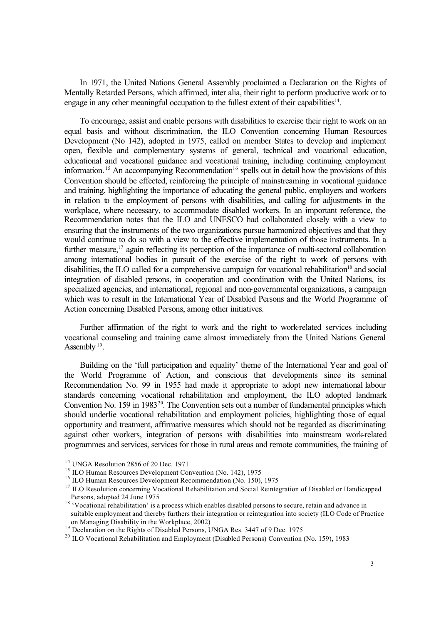In 1971, the United Nations General Assembly proclaimed a Declaration on the Rights of Mentally Retarded Persons, which affirmed, inter alia, their right to perform productive work or to engage in any other meaningful occupation to the fullest extent of their capabilities<sup> $14$ </sup>.

To encourage, assist and enable persons with disabilities to exercise their right to work on an equal basis and without discrimination, the ILO Convention concerning Human Resources Development (No 142), adopted in 1975, called on member States to develop and implement open, flexible and complementary systems of general, technical and vocational education, educational and vocational guidance and vocational training, including continuing employment information.<sup>15</sup> An accompanying Recommendation<sup>16</sup> spells out in detail how the provisions of this Convention should be effected, reinforcing the principle of mainstreaming in vocational guidance and training, highlighting the importance of educating the general public, employers and workers in relation to the employment of persons with disabilities, and calling for adjustments in the workplace, where necessary, to accommodate disabled workers. In an important reference, the Recommendation notes that the ILO and UNESCO had collaborated closely with a view to ensuring that the instruments of the two organizations pursue harmonized objectives and that they would continue to do so with a view to the effective implementation of those instruments. In a further measure,<sup>17</sup> again reflecting its perception of the importance of multi-sectoral collaboration among international bodies in pursuit of the exercise of the right to work of persons with disabilities, the ILO called for a comprehensive campaign for vocational rehabilitation<sup>18</sup> and social integration of disabled persons, in cooperation and coordination with the United Nations, its specialized agencies, and international, regional and non-governmental organizations, a campaign which was to result in the International Year of Disabled Persons and the World Programme of Action concerning Disabled Persons, among other initiatives.

Further affirmation of the right to work and the right to work-related services including vocational counseling and training came almost immediately from the United Nations General Assembly  $19$ .

Building on the 'full participation and equality' theme of the International Year and goal of the World Programme of Action, and conscious that developments since its seminal Recommendation No. 99 in 1955 had made it appropriate to adopt new international labour standards concerning vocational rehabilitation and employment, the ILO adopted landmark Convention No.  $159$  in  $1983^{20}$ . The Convention sets out a number of fundamental principles which should underlie vocational rehabilitation and employment policies, highlighting those of equal opportunity and treatment, affirmative measures which should not be regarded as discriminating against other workers, integration of persons with disabilities into mainstream work-related programmes and services, services for those in rural areas and remote communities, the training of

<sup>&</sup>lt;sup>14</sup> UNGA Resolution 2856 of 20 Dec. 1971<br><sup>15</sup> ILO Human Resources Development Convention (No. 142), 1975<br><sup>16</sup> ILO Human Resources Development Recommendation (No. 150), 1975

<sup>&</sup>lt;sup>17</sup> ILO Resolution concerning Vocational Rehabilitation and Social Reintegration of Disabled or Handicapped Persons, adopted 24 June 1975<br><sup>18</sup> 'Vocational rehabilitation' is a process which enables disabled persons to secure, retain and advance in

suitable employment and thereby furthers their integration or reintegration into society (ILO Code of Practice on Managing Disability in the Workplace, 2002) 19 Declaration on the Rights of Disabled Persons, UNGA Res. 3447 of 9 Dec. 1975

 $20$  ILO Vocational Rehabilitation and Employment (Disabled Persons) Convention (No. 159), 1983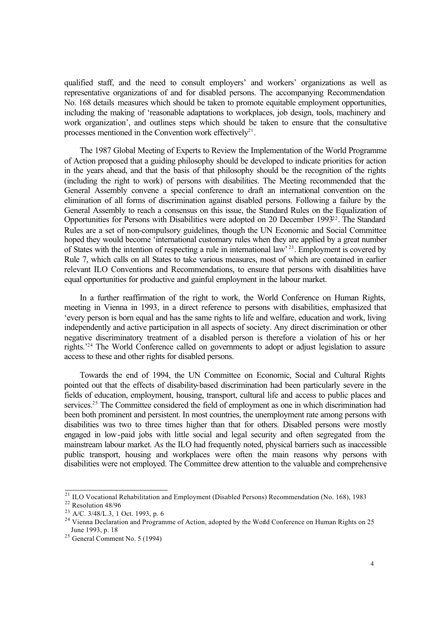qualified staff, and the need to consult employers' and workers' organizations as well as representative organizations of and for disabled persons. The accompanying Recommendation No. 168 details measures which should be taken to promote equitable employment opportunities, including the making of 'reasonable adaptations to workplaces, job design, tools, machinery and work organization', and outlines steps which should be taken to ensure that the consultative processes mentioned in the Convention work effectively<sup>21</sup>.

The 1987 Global Meeting of Experts to Review the Implementation of the World Programme of Action proposed that a guiding philosophy should be developed to indicate priorities for action in the years ahead, and that the basis of that philosophy should be the recognition of the rights (including the right to work) of persons with disabilities. The Meeting recommended that the General Assembly convene a special conference to draft an international convention on the elimination of all forms of discrimination against disabled persons. Following a failure by the General Assembly to reach a consensus on this issue, the Standard Rules on the Equalization of Opportunities for Persons with Disabilities were adopted on 20 December 199322. The Standard Rules are a set of non-compulsory guidelines, though the UN Economic and Social Committee hoped they would become 'international customary rules when they are applied by a great number of States with the intention of respecting a rule in international law' 23. Employment is covered by Rule 7, which calls on all States to take various measures, most of which are contained in earlier relevant ILO Conventions and Recommendations, to ensure that persons with disabilities have equal opportunities for productive and gainful employment in the labour market.

In a further reaffirmation of the right to work, the World Conference on Human Rights, meeting in Vienna in 1993, in a direct reference to persons with disabilities, emphasized that 'every person is born equal and has the same rights to life and welfare, education and work, living independently and active participation in all aspects of society. Any direct discrimination or other negative discriminatory treatment of a disabled person is therefore a violation of his or her rights.'24 The World Conference called on governments to adopt or adjust legislation to assure access to these and other rights for disabled persons.

Towards the end of 1994, the UN Committee on Economic, Social and Cultural Rights pointed out that the effects of disability-based discrimination had been particularly severe in the fields of education, employment, housing, transport, cultural life and access to public places and services.<sup>25</sup> The Committee considered the field of employment as one in which discrimination had been both prominent and persistent. In most countries, the unemployment rate among persons with disabilities was two to three times higher than that for others. Disabled persons were mostly engaged in low-paid jobs with little social and legal security and often segregated from the mainstream labour market. As the ILO had frequently noted, physical barriers such as inaccessible public transport, housing and workplaces were often the main reasons why persons with disabilities were not employed. The Committee drew attention to the valuable and comprehensive

<sup>21</sup> ILO Vocational Rehabilitation and Employment (Disabled Persons) Recommendation (No. 168), 1983<br><sup>22</sup> Resolution 48/96<br><sup>23</sup> A/C. 3/48/L.3, 1 Oct. 1993, p. 6

 $^{24}$  Vienna Declaration and Programme of Action, adopted by the World Conference on Human Rights on 25 June 1993, p. 18

 $25$  General Comment No. 5 (1994)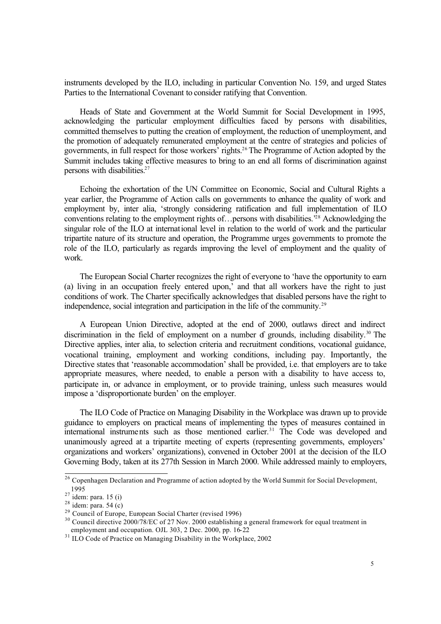instruments developed by the ILO, including in particular Convention No. 159, and urged States Parties to the International Covenant to consider ratifying that Convention.

Heads of State and Government at the World Summit for Social Development in 1995, acknowledging the particular employment difficulties faced by persons with disabilities, committed themselves to putting the creation of employment, the reduction of unemployment, and the promotion of adequately remunerated employment at the centre of strategies and policies of governments, in full respect for those workers' rights.26 The Programme of Action adopted by the Summit includes taking effective measures to bring to an end all forms of discrimination against persons with disabilities.<sup>27</sup>

Echoing the exhortation of the UN Committee on Economic, Social and Cultural Rights a year earlier, the Programme of Action calls on governments to enhance the quality of work and employment by, inter alia, 'strongly considering ratification and full implementation of ILO conventions relating to the employment rights of…persons with disabilities.'28 Acknowledging the singular role of the ILO at international level in relation to the world of work and the particular tripartite nature of its structure and operation, the Programme urges governments to promote the role of the ILO, particularly as regards improving the level of employment and the quality of work.

The European Social Charter recognizes the right of everyone to 'have the opportunity to earn (a) living in an occupation freely entered upon,' and that all workers have the right to just conditions of work. The Charter specifically acknowledges that disabled persons have the right to independence, social integration and participation in the life of the community.29

A European Union Directive, adopted at the end of 2000, outlaws direct and indirect discrimination in the field of employment on a number of grounds, including disability.<sup>30</sup> The Directive applies, inter alia, to selection criteria and recruitment conditions, vocational guidance, vocational training, employment and working conditions, including pay. Importantly, the Directive states that 'reasonable accommodation' shall be provided, i.e. that employers are to take appropriate measures, where needed, to enable a person with a disability to have access to, participate in, or advance in employment, or to provide training, unless such measures would impose a 'disproportionate burden' on the employer.

The ILO Code of Practice on Managing Disability in the Workplace was drawn up to provide guidance to employers on practical means of implementing the types of measures contained in international instruments such as those mentioned earlier.<sup>31</sup> The Code was developed and unanimously agreed at a tripartite meeting of experts (representing governments, employers' organizations and workers' organizations), convened in October 2001 at the decision of the ILO Governing Body, taken at its 277th Session in March 2000. While addressed mainly to employers,

<sup>&</sup>lt;sup>26</sup> Copenhagen Declaration and Programme of action adopted by the World Summit for Social Development, 1995<br>
<sup>27</sup> idem: para. 15 (i)<br>
<sup>28</sup> idem: para. 54 (c)<br>
<sup>29</sup> Council of Europe, European Social Charter (revised 1996)

 $30$  Council directive 2000/78/EC of 27 Nov. 2000 establishing a general framework for equal treatment in employment and occupation. OJL 303, 2 Dec. 2000, pp. 16-22

<sup>&</sup>lt;sup>31</sup> ILO Code of Practice on Managing Disability in the Workplace, 2002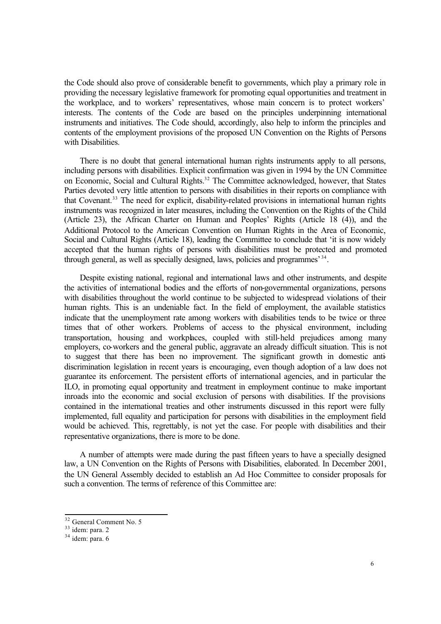the Code should also prove of considerable benefit to governments, which play a primary role in providing the necessary legislative framework for promoting equal opportunities and treatment in the workplace, and to workers' representatives, whose main concern is to protect workers' interests. The contents of the Code are based on the principles underpinning international instruments and initiatives. The Code should, accordingly, also help to inform the principles and contents of the employment provisions of the proposed UN Convention on the Rights of Persons with Disabilities.

There is no doubt that general international human rights instruments apply to all persons, including persons with disabilities. Explicit confirmation was given in 1994 by the UN Committee on Economic, Social and Cultural Rights.<sup>32</sup> The Committee acknowledged, however, that States Parties devoted very little attention to persons with disabilities in their reports on compliance with that Covenant.33 The need for explicit, disability-related provisions in international human rights instruments was recognized in later measures, including the Convention on the Rights of the Child (Article 23), the African Charter on Human and Peoples' Rights (Article 18 (4)), and the Additional Protocol to the American Convention on Human Rights in the Area of Economic, Social and Cultural Rights (Article 18), leading the Committee to conclude that 'it is now widely accepted that the human rights of persons with disabilities must be protected and promoted through general, as well as specially designed, laws, policies and programmes' 34.

Despite existing national, regional and international laws and other instruments, and despite the activities of international bodies and the efforts of non-governmental organizations, persons with disabilities throughout the world continue to be subjected to widespread violations of their human rights. This is an undeniable fact. In the field of employment, the available statistics indicate that the unemployment rate among workers with disabilities tends to be twice or three times that of other workers. Problems of access to the physical environment, including transportation, housing and workplaces, coupled with still-held prejudices among many employers, co-workers and the general public, aggravate an already difficult situation. This is not to suggest that there has been no improvement. The significant growth in domestic antidiscrimination legislation in recent years is encouraging, even though adoption of a law does not guarantee its enforcement. The persistent efforts of international agencies, and in particular the ILO, in promoting equal opportunity and treatment in employment continue to make important inroads into the economic and social exclusion of persons with disabilities. If the provisions contained in the international treaties and other instruments discussed in this report were fully implemented, full equality and participation for persons with disabilities in the employment field would be achieved. This, regrettably, is not yet the case. For people with disabilities and their representative organizations, there is more to be done.

A number of attempts were made during the past fifteen years to have a specially designed law, a UN Convention on the Rights of Persons with Disabilities, elaborated. In December 2001, the UN General Assembly decided to establish an Ad Hoc Committee to consider proposals for such a convention. The terms of reference of this Committee are:

 $32 \text{ General Comment No. } 5$ <br> $33 \text{ idem: }$  para. 2

<sup>34</sup> idem: para. 6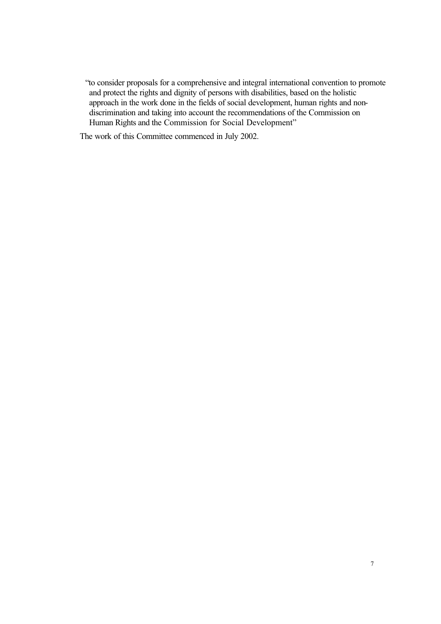"to consider proposals for a comprehensive and integral international convention to promote and protect the rights and dignity of persons with disabilities, based on the holistic approach in the work done in the fields of social development, human rights and nondiscrimination and taking into account the recommendations of the Commission on Human Rights and the Commission for Social Development"

The work of this Committee commenced in July 2002.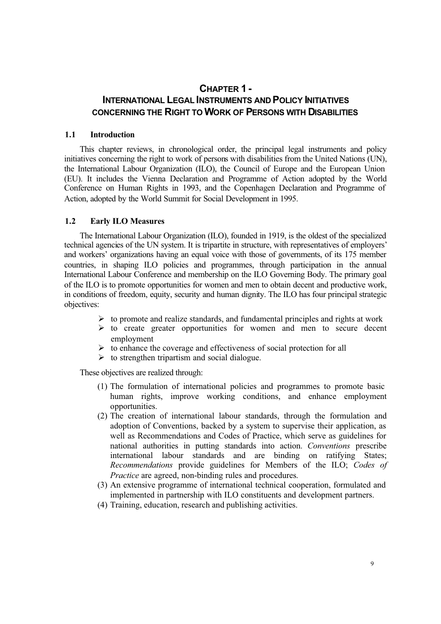# **CHAPTER 1 - INTERNATIONAL LEGAL INSTRUMENTS AND POLICY INITIATIVES CONCERNING THE RIGHT TO WORK OF PERSONS WITH DISABILITIES**

# **1.1 Introduction**

This chapter reviews, in chronological order, the principal legal instruments and policy initiatives concerning the right to work of persons with disabilities from the United Nations (UN), the International Labour Organization (ILO), the Council of Europe and the European Union (EU). It includes the Vienna Declaration and Programme of Action adopted by the World Conference on Human Rights in 1993, and the Copenhagen Declaration and Programme of Action, adopted by the World Summit for Social Development in 1995.

# **1.2 Early ILO Measures**

The International Labour Organization (ILO), founded in 1919, is the oldest of the specialized technical agencies of the UN system. It is tripartite in structure, with representatives of employers' and workers' organizations having an equal voice with those of governments, of its 175 member countries, in shaping ILO policies and programmes, through participation in the annual International Labour Conference and membership on the ILO Governing Body. The primary goal of the ILO is to promote opportunities for women and men to obtain decent and productive work, in conditions of freedom, equity, security and human dignity. The ILO has four principal strategic objectives:

- $\triangleright$  to promote and realize standards, and fundamental principles and rights at work
- $\triangleright$  to create greater opportunities for women and men to secure decent employment
- $\triangleright$  to enhance the coverage and effectiveness of social protection for all
- $\triangleright$  to strengthen tripartism and social dialogue.

These objectives are realized through:

- (1) The formulation of international policies and programmes to promote basic human rights, improve working conditions, and enhance employment opportunities.
- (2) The creation of international labour standards, through the formulation and adoption of Conventions, backed by a system to supervise their application, as well as Recommendations and Codes of Practice, which serve as guidelines for national authorities in putting standards into action. *Conventions* prescribe international labour standards and are binding on ratifying States; *Recommendations* provide guidelines for Members of the ILO; *Codes of Practice* are agreed, non-binding rules and procedures.
- (3) An extensive programme of international technical cooperation, formulated and implemented in partnership with ILO constituents and development partners.
- (4) Training, education, research and publishing activities.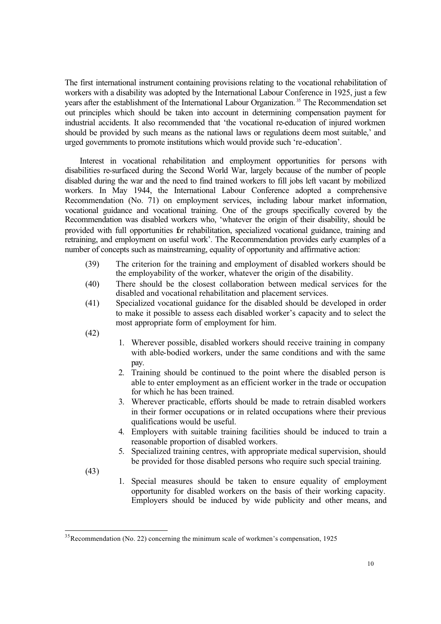The first international instrument containing provisions relating to the vocational rehabilitation of workers with a disability was adopted by the International Labour Conference in 1925, just a few years after the establishment of the International Labour Organization. 35 The Recommendation set out principles which should be taken into account in determining compensation payment for industrial accidents. It also recommended that 'the vocational re-education of injured workmen should be provided by such means as the national laws or regulations deem most suitable,' and urged governments to promote institutions which would provide such 're-education'.

Interest in vocational rehabilitation and employment opportunities for persons with disabilities re-surfaced during the Second World War, largely because of the number of people disabled during the war and the need to find trained workers to fill jobs left vacant by mobilized workers. In May 1944, the International Labour Conference adopted a comprehensive Recommendation (No. 71) on employment services, including labour market information, vocational guidance and vocational training. One of the groups specifically covered by the Recommendation was disabled workers who, 'whatever the origin of their disability, should be provided with full opportunities for rehabilitation, specialized vocational guidance, training and retraining, and employment on useful work'. The Recommendation provides early examples of a number of concepts such as mainstreaming, equality of opportunity and affirmative action:

- (39) The criterion for the training and employment of disabled workers should be the employability of the worker, whatever the origin of the disability.
- (40) There should be the closest collaboration between medical services for the disabled and vocational rehabilitation and placement services.
- (41) Specialized vocational guidance for the disabled should be developed in order to make it possible to assess each disabled worker's capacity and to select the most appropriate form of employment for him.
- (42)
- 1. Wherever possible, disabled workers should receive training in company with able-bodied workers, under the same conditions and with the same pay.
- 2. Training should be continued to the point where the disabled person is able to enter employment as an efficient worker in the trade or occupation for which he has been trained.
- 3. Wherever practicable, efforts should be made to retrain disabled workers in their former occupations or in related occupations where their previous qualifications would be useful.
- 4. Employers with suitable training facilities should be induced to train a reasonable proportion of disabled workers.
- 5. Specialized training centres, with appropriate medical supervision, should be provided for those disabled persons who require such special training.

(43)

1. Special measures should be taken to ensure equality of employment opportunity for disabled workers on the basis of their working capacity. Employers should be induced by wide publicity and other means, and

<sup>&</sup>lt;sup>35</sup>Recommendation (No. 22) concerning the minimum scale of workmen's compensation, 1925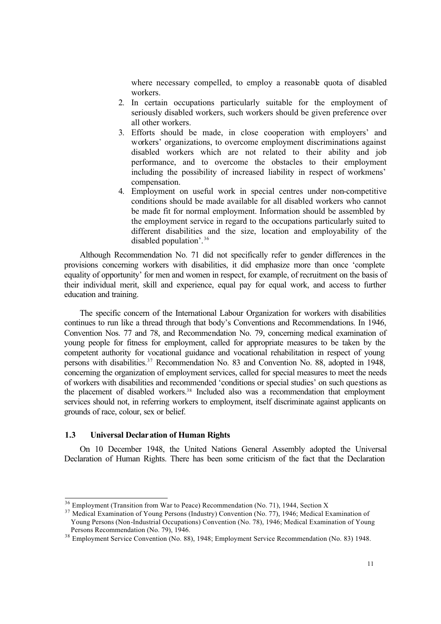where necessary compelled, to employ a reasonable quota of disabled workers.

- 2. In certain occupations particularly suitable for the employment of seriously disabled workers, such workers should be given preference over all other workers.
- 3. Efforts should be made, in close cooperation with employers' and workers' organizations, to overcome employment discriminations against disabled workers which are not related to their ability and job performance, and to overcome the obstacles to their employment including the possibility of increased liability in respect of workmens' compensation.
- 4. Employment on useful work in special centres under non-competitive conditions should be made available for all disabled workers who cannot be made fit for normal employment. Information should be assembled by the employment service in regard to the occupations particularly suited to different disabilities and the size, location and employability of the disabled population'.36

Although Recommendation No. 71 did not specifically refer to gender differences in the provisions concerning workers with disabilities, it did emphasize more than once 'complete equality of opportunity' for men and women in respect, for example, of recruitment on the basis of their individual merit, skill and experience, equal pay for equal work, and access to further education and training.

The specific concern of the International Labour Organization for workers with disabilities continues to run like a thread through that body's Conventions and Recommendations. In 1946, Convention Nos. 77 and 78, and Recommendation No. 79, concerning medical examination of young people for fitness for employment, called for appropriate measures to be taken by the competent authority for vocational guidance and vocational rehabilitation in respect of young persons with disabilities.<sup>37</sup> Recommendation No. 83 and Convention No. 88, adopted in 1948, concerning the organization of employment services, called for special measures to meet the needs of workers with disabilities and recommended 'conditions or special studies' on such questions as the placement of disabled workers.<sup>38</sup> Included also was a recommendation that employment services should not, in referring workers to employment, itself discriminate against applicants on grounds of race, colour, sex or belief.

## **1.3 Universal Declaration of Human Rights**

On 10 December 1948, the United Nations General Assembly adopted the Universal Declaration of Human Rights. There has been some criticism of the fact that the Declaration

<sup>&</sup>lt;sup>36</sup> Employment (Transition from War to Peace) Recommendation (No. 71), 1944, Section X

<sup>&</sup>lt;sup>37</sup> Medical Examination of Young Persons (Industry) Convention (No. 77), 1946; Medical Examination of Young Persons (Non-Industrial Occupations) Convention (No. 78), 1946; Medical Examination of Young Persons Recommendation (No. 79), 1946.

<sup>&</sup>lt;sup>38</sup> Employment Service Convention (No. 88), 1948; Employment Service Recommendation (No. 83) 1948.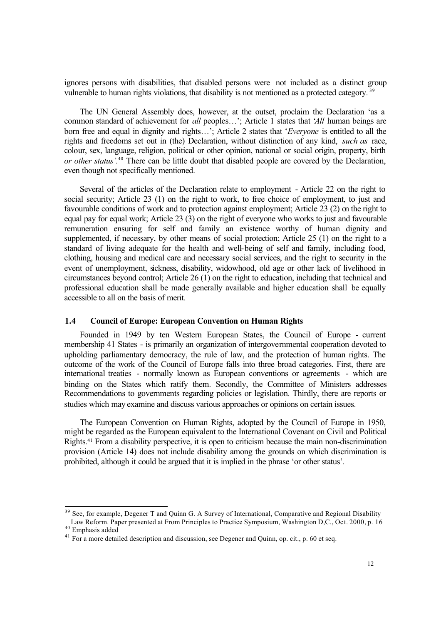ignores persons with disabilities, that disabled persons were not included as a distinct group vulnerable to human rights violations, that disability is not mentioned as a protected category.<sup>39</sup>

The UN General Assembly does, however, at the outset, proclaim the Declaration 'as a common standard of achievement for *all* peoples…'; Article 1 states that '*All* human beings are born free and equal in dignity and rights…'; Article 2 states that '*Everyone* is entitled to all the rights and freedoms set out in (the) Declaration, without distinction of any kind, *such as* race, colour, sex, language, religion, political or other opinion, national or social origin, property, birth *or other status'.*40 There can be little doubt that disabled people are covered by the Declaration, even though not specifically mentioned.

Several of the articles of the Declaration relate to employment - Article 22 on the right to social security; Article 23 (1) on the right to work, to free choice of employment, to just and favourable conditions of work and to protection against employment: Article 23 (2) on the right to equal pay for equal work; Article 23 (3) on the right of everyone who works to just and favourable remuneration ensuring for self and family an existence worthy of human dignity and supplemented, if necessary, by other means of social protection; Article 25 (1) on the right to a standard of living adequate for the health and well-being of self and family, including food, clothing, housing and medical care and necessary social services, and the right to security in the event of unemployment, sickness, disability, widowhood, old age or other lack of livelihood in circumstances beyond control; Article 26 (1) on the right to education, including that technical and professional education shall be made generally available and higher education shall be equally accessible to all on the basis of merit.

# **1.4 Council of Europe: European Convention on Human Rights**

Founded in 1949 by ten Western European States, the Council of Europe - current membership 41 States - is primarily an organization of intergovernmental cooperation devoted to upholding parliamentary democracy, the rule of law, and the protection of human rights. The outcome of the work of the Council of Europe falls into three broad categories. First, there are international treaties - normally known as European conventions or agreements - which are binding on the States which ratify them. Secondly, the Committee of Ministers addresses Recommendations to governments regarding policies or legislation. Thirdly, there are reports or studies which may examine and discuss various approaches or opinions on certain issues.

The European Convention on Human Rights, adopted by the Council of Europe in 1950, might be regarded as the European equivalent to the International Covenant on Civil and Political Rights.41 From a disability perspective, it is open to criticism because the main non-discrimination provision (Article 14) does not include disability among the grounds on which discrimination is prohibited, although it could be argued that it is implied in the phrase 'or other status'.

<sup>&</sup>lt;sup>39</sup> See, for example, Degener T and Quinn G. A Survey of International, Comparative and Regional Disability Law Reform. Paper presented at From Principles to Practice Symposium, Washington D,C., Oct. 2000, p. 16 40 Emphasis added

<sup>&</sup>lt;sup>41</sup> For a more detailed description and discussion, see Degener and Quinn, op. cit., p. 60 et seq.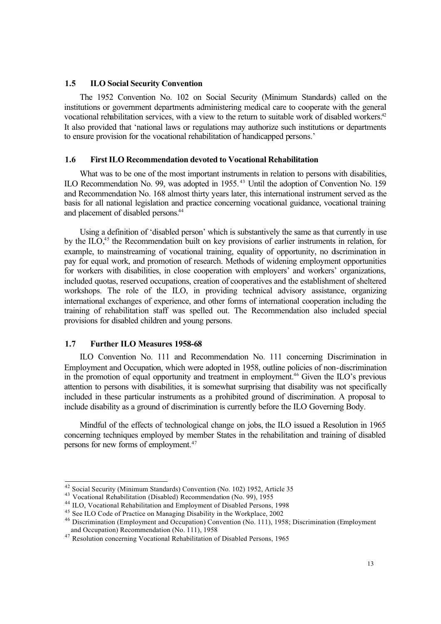#### **1.5 ILO Social Security Convention**

The 1952 Convention No. 102 on Social Security (Minimum Standards) called on the institutions or government departments administering medical care to cooperate with the general vocational rehabilitation services, with a view to the return to suitable work of disabled workers.42 It also provided that 'national laws or regulations may authorize such institutions or departments to ensure provision for the vocational rehabilitation of handicapped persons.'

#### **1.6 First ILO Recommendation devoted to Vocational Rehabilitation**

What was to be one of the most important instruments in relation to persons with disabilities, ILO Recommendation No. 99, was adopted in 1955.<sup>43</sup> Until the adoption of Convention No. 159 and Recommendation No. 168 almost thirty years later, this international instrument served as the basis for all national legislation and practice concerning vocational guidance, vocational training and placement of disabled persons.<sup>44</sup>

Using a definition of 'disabled person' which is substantively the same as that currently in use by the ILO,<sup>45</sup> the Recommendation built on key provisions of earlier instruments in relation, for example, to mainstreaming of vocational training, equality of opportunity, no discrimination in pay for equal work, and promotion of research. Methods of widening employment opportunities for workers with disabilities, in close cooperation with employers' and workers' organizations, included quotas, reserved occupations, creation of cooperatives and the establishment of sheltered workshops. The role of the ILO, in providing technical advisory assistance, organizing international exchanges of experience, and other forms of international cooperation including the training of rehabilitation staff was spelled out. The Recommendation also included special provisions for disabled children and young persons.

# **1.7 Further ILO Measures 1958-68**

ILO Convention No. 111 and Recommendation No. 111 concerning Discrimination in Employment and Occupation, which were adopted in 1958, outline policies of non-discrimination in the promotion of equal opportunity and treatment in employment.<sup>46</sup> Given the ILO's previous attention to persons with disabilities, it is somewhat surprising that disability was not specifically included in these particular instruments as a prohibited ground of discrimination. A proposal to include disability as a ground of discrimination is currently before the ILO Governing Body.

Mindful of the effects of technological change on jobs, the ILO issued a Resolution in 1965 concerning techniques employed by member States in the rehabilitation and training of disabled persons for new forms of employment.47

<sup>&</sup>lt;sup>42</sup> Social Security (Minimum Standards) Convention (No. 102) 1952, Article 35<br><sup>43</sup> Vocational Rehabilitation (Disabled) Recommendation (No. 99), 1955<br><sup>44</sup> ILO, Vocational Rehabilitation and Employment of Disabled Persons

<sup>&</sup>lt;sup>46</sup> Discrimination (Employment and Occupation) Convention (No. 111), 1958; Discrimination (Employment and Occupation) Recommendation (No. 111), 1958

<sup>&</sup>lt;sup>47</sup> Resolution concerning Vocational Rehabilitation of Disabled Persons, 1965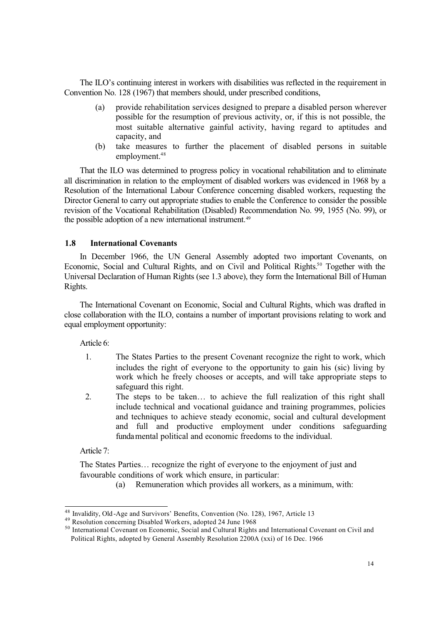The ILO's continuing interest in workers with disabilities was reflected in the requirement in Convention No. 128 (1967) that members should, under prescribed conditions,

- (a) provide rehabilitation services designed to prepare a disabled person wherever possible for the resumption of previous activity, or, if this is not possible, the most suitable alternative gainful activity, having regard to aptitudes and capacity, and
- (b) take measures to further the placement of disabled persons in suitable employment.<sup>48</sup>

That the ILO was determined to progress policy in vocational rehabilitation and to eliminate all discrimination in relation to the employment of disabled workers was evidenced in 1968 by a Resolution of the International Labour Conference concerning disabled workers, requesting the Director General to carry out appropriate studies to enable the Conference to consider the possible revision of the Vocational Rehabilitation (Disabled) Recommendation No. 99, 1955 (No. 99), or the possible adoption of a new international instrument.<sup>49</sup>

# **1.8 International Covenants**

In December 1966, the UN General Assembly adopted two important Covenants, on Economic, Social and Cultural Rights, and on Civil and Political Rights.<sup>50</sup> Together with the Universal Declaration of Human Rights (see 1.3 above), they form the International Bill of Human Rights.

The International Covenant on Economic, Social and Cultural Rights, which was drafted in close collaboration with the ILO, contains a number of important provisions relating to work and equal employment opportunity:

Article 6:

- 1. The States Parties to the present Covenant recognize the right to work, which includes the right of everyone to the opportunity to gain his (sic) living by work which he freely chooses or accepts, and will take appropriate steps to safeguard this right.
- 2. The steps to be taken… to achieve the full realization of this right shall include technical and vocational guidance and training programmes, policies and techniques to achieve steady economic, social and cultural development and full and productive employment under conditions safeguarding fundamental political and economic freedoms to the individual.

Article 7:

The States Parties… recognize the right of everyone to the enjoyment of just and favourable conditions of work which ensure, in particular:

(a) Remuneration which provides all workers, as a minimum, with:

<sup>&</sup>lt;sup>48</sup> Invalidity, Old-Age and Survivors' Benefits, Convention (No. 128), 1967, Article 13<br><sup>49</sup> Resolution concerning Disabled Workers, adopted 24 June 1968<br><sup>50</sup> International Covenant on Economic, Social and Cultural Right Political Rights, adopted by General Assembly Resolution 2200A (xxi) of 16 Dec. 1966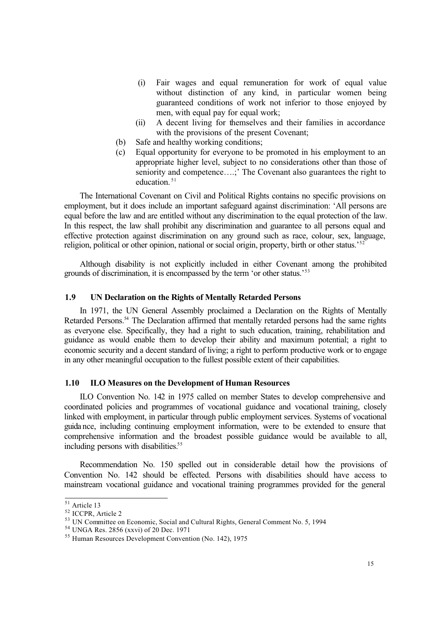- (i) Fair wages and equal remuneration for work of equal value without distinction of any kind, in particular women being guaranteed conditions of work not inferior to those enjoyed by men, with equal pay for equal work;
- (ii) A decent living for themselves and their families in accordance with the provisions of the present Covenant;
- (b) Safe and healthy working conditions;
- (c) Equal opportunity for everyone to be promoted in his employment to an appropriate higher level, subject to no considerations other than those of seniority and competence....;' The Covenant also guarantees the right to education.<sup>51</sup>

The International Covenant on Civil and Political Rights contains no specific provisions on employment, but it does include an important safeguard against discrimination: 'All persons are equal before the law and are entitled without any discrimination to the equal protection of the law. In this respect, the law shall prohibit any discrimination and guarantee to all persons equal and effective protection against discrimination on any ground such as race, colour, sex, language, religion, political or other opinion, national or social origin, property, birth or other status.'52

Although disability is not explicitly included in either Covenant among the prohibited grounds of discrimination, it is encompassed by the term 'or other status.'53

#### **1.9 UN Declaration on the Rights of Mentally Retarded Persons**

In 1971, the UN General Assembly proclaimed a Declaration on the Rights of Mentally Retarded Persons.<sup>54</sup> The Declaration affirmed that mentally retarded persons had the same rights as everyone else. Specifically, they had a right to such education, training, rehabilitation and guidance as would enable them to develop their ability and maximum potential; a right to economic security and a decent standard of living; a right to perform productive work or to engage in any other meaningful occupation to the fullest possible extent of their capabilities.

#### **1.10 ILO Measures on the Development of Human Resources**

ILO Convention No. 142 in 1975 called on member States to develop comprehensive and coordinated policies and programmes of vocational guidance and vocational training, closely linked with employment, in particular through public employment services. Systems of vocational guida nce, including continuing employment information, were to be extended to ensure that comprehensive information and the broadest possible guidance would be available to all, including persons with disabilities.<sup>55</sup>

Recommendation No. 150 spelled out in considerable detail how the provisions of Convention No. 142 should be effected. Persons with disabilities should have access to mainstream vocational guidance and vocational training programmes provided for the general

 $51$  Article 13<br> $52$  ICCPR, Article 2

 $^{53}$  UN Committee on Economic, Social and Cultural Rights, General Comment No. 5, 1994  $^{54}$  UNGA Res. 2856 (xxvi) of 20 Dec. 1971

<sup>55</sup> Human Resources Development Convention (No. 142), 1975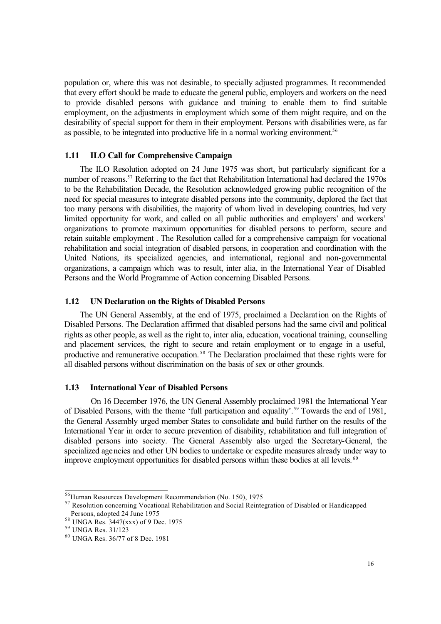population or, where this was not desirable, to specially adjusted programmes. It recommended that every effort should be made to educate the general public, employers and workers on the need to provide disabled persons with guidance and training to enable them to find suitable employment, on the adjustments in employment which some of them might require, and on the desirability of special support for them in their employment. Persons with disabilities were, as far as possible, to be integrated into productive life in a normal working environment.<sup>56</sup>

# **1.11 ILO Call for Comprehensive Campaign**

The ILO Resolution adopted on 24 June 1975 was short, but particularly significant for a number of reasons.<sup>57</sup> Referring to the fact that Rehabilitation International had declared the 1970s to be the Rehabilitation Decade, the Resolution acknowledged growing public recognition of the need for special measures to integrate disabled persons into the community, deplored the fact that too many persons with disabilities, the majority of whom lived in developing countries, had very limited opportunity for work, and called on all public authorities and employers' and workers' organizations to promote maximum opportunities for disabled persons to perform, secure and retain suitable employment . The Resolution called for a comprehensive campaign for vocational rehabilitation and social integration of disabled persons, in cooperation and coordination with the United Nations, its specialized agencies, and international, regional and non-governmental organizations, a campaign which was to result, inter alia, in the International Year of Disabled Persons and the World Programme of Action concerning Disabled Persons.

#### **1.12 UN Declaration on the Rights of Disabled Persons**

The UN General Assembly, at the end of 1975, proclaimed a Declaration on the Rights of Disabled Persons. The Declaration affirmed that disabled persons had the same civil and political rights as other people, as well as the right to, inter alia, education, vocational training, counselling and placement services, the right to secure and retain employment or to engage in a useful, productive and remunerative occupation. 58 The Declaration proclaimed that these rights were for all disabled persons without discrimination on the basis of sex or other grounds.

## **1.13 International Year of Disabled Persons**

On 16 December 1976, the UN General Assembly proclaimed 1981 the International Year of Disabled Persons, with the theme 'full participation and equality'.59 Towards the end of 1981, the General Assembly urged member States to consolidate and build further on the results of the International Year in order to secure prevention of disability, rehabilitation and full integration of disabled persons into society. The General Assembly also urged the Secretary-General, the specialized agencies and other UN bodies to undertake or expedite measures already under way to improve employment opportunities for disabled persons within these bodies at all levels.<sup>60</sup>

<sup>&</sup>lt;sup>56</sup>Human Resources Development Recommendation (No. 150), 1975<br><sup>57</sup> Resolution concerning Vocational Rehabilitation and Social Reintegration of Disabled or Handicapped Persons, adopted 24 June 1975<br><sup>58</sup> UNGA Res. 3447(xxx) of 9 Dec. 1975<br><sup>59</sup> UNGA Res. 31/123

<sup>60</sup> UNGA Res. 36/77 of 8 Dec. 1981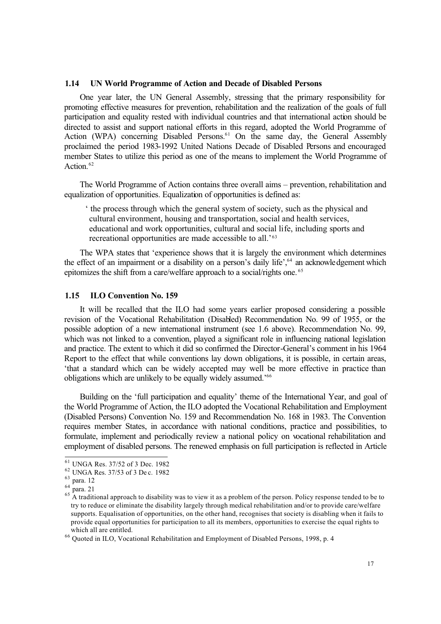#### **1.14 UN World Programme of Action and Decade of Disabled Persons**

One year later, the UN General Assembly, stressing that the primary responsibility for promoting effective measures for prevention, rehabilitation and the realization of the goals of full participation and equality rested with individual countries and that international action should be directed to assist and support national efforts in this regard, adopted the World Programme of Action (WPA) concerning Disabled Persons.<sup>61</sup> On the same day, the General Assembly proclaimed the period 1983-1992 United Nations Decade of Disabled Persons and encouraged member States to utilize this period as one of the means to implement the World Programme of Action.<sup>62</sup>

The World Programme of Action contains three overall aims – prevention, rehabilitation and equalization of opportunities. Equalization of opportunities is defined as:

' the process through which the general system of society, such as the physical and cultural environment, housing and transportation, social and health services, educational and work opportunities, cultural and social life, including sports and recreational opportunities are made accessible to all.'63

The WPA states that 'experience shows that it is largely the environment which determines the effect of an impairment or a disability on a person's daily life',<sup>64</sup> an acknowledgement which epitomizes the shift from a care/welfare approach to a social/rights one. <sup>65</sup>

#### **1.15 ILO Convention No. 159**

It will be recalled that the ILO had some years earlier proposed considering a possible revision of the Vocational Rehabilitation (Disabled) Recommendation No. 99 of 1955, or the possible adoption of a new international instrument (see 1.6 above). Recommendation No. 99, which was not linked to a convention, played a significant role in influencing national legislation and practice. The extent to which it did so confirmed the Director-General's comment in his 1964 Report to the effect that while conventions lay down obligations, it is possible, in certain areas, 'that a standard which can be widely accepted may well be more effective in practice than obligations which are unlikely to be equally widely assumed.'66

Building on the 'full participation and equality' theme of the International Year, and goal of the World Programme of Action, the ILO adopted the Vocational Rehabilitation and Employment (Disabled Persons) Convention No. 159 and Recommendation No. 168 in 1983. The Convention requires member States, in accordance with national conditions, practice and possibilities, to formulate, implement and periodically review a national policy on vocational rehabilitation and employment of disabled persons. The renewed emphasis on full participation is reflected in Article

66 Quoted in ILO, Vocational Rehabilitation and Employment of Disabled Persons, 1998, p. 4

<sup>&</sup>lt;sup>61</sup> UNGA Res. 37/52 of 3 Dec. 1982<br><sup>62</sup> UNGA Res. 37/53 of 3 Dec. 1982<br><sup>63</sup> para. 12

 $^{64}$  para. 21<br> $^{65}$  A traditional approach to disability was to view it as a problem of the person. Policy response tended to be to try to reduce or eliminate the disability largely through medical rehabilitation and/or to provide care/welfare supports. Equalisation of opportunities, on the other hand, recognises that society is disabling when it fails to provide equal opportunities for participation to all its members, opportunities to exercise the equal rights to which all are entitled.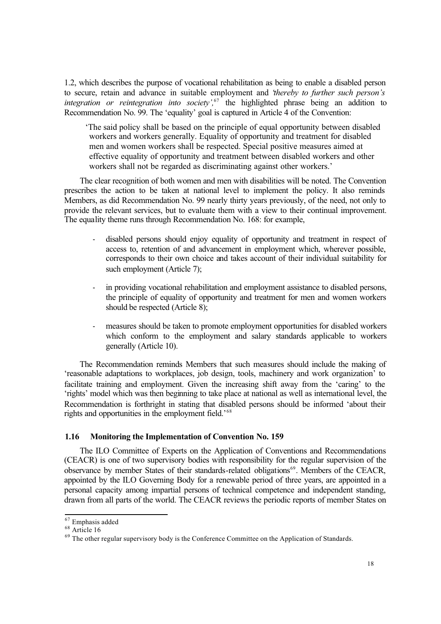1.2, which describes the purpose of vocational rehabilitation as being to enable a disabled person to secure, retain and advance in suitable employment and '*thereby to further such person's integration or reintegration into society',*<sup>67</sup> the highlighted phrase being an addition to Recommendation No. 99. The 'equality' goal is captured in Article 4 of the Convention:

'The said policy shall be based on the principle of equal opportunity between disabled workers and workers generally. Equality of opportunity and treatment for disabled men and women workers shall be respected. Special positive measures aimed at effective equality of opportunity and treatment between disabled workers and other workers shall not be regarded as discriminating against other workers.'

The clear recognition of both women and men with disabilities will be noted. The Convention prescribes the action to be taken at national level to implement the policy. It also reminds Members, as did Recommendation No. 99 nearly thirty years previously, of the need, not only to provide the relevant services, but to evaluate them with a view to their continual improvement. The equality theme runs through Recommendation No. 168: for example,

- disabled persons should enjoy equality of opportunity and treatment in respect of access to, retention of and advancement in employment which, wherever possible, corresponds to their own choice and takes account of their individual suitability for such employment (Article 7);
- in providing vocational rehabilitation and employment assistance to disabled persons, the principle of equality of opportunity and treatment for men and women workers should be respected (Article 8);
- measures should be taken to promote employment opportunities for disabled workers which conform to the employment and salary standards applicable to workers generally (Article 10).

The Recommendation reminds Members that such measures should include the making of 'reasonable adaptations to workplaces, job design, tools, machinery and work organization' to facilitate training and employment. Given the increasing shift away from the 'caring' to the 'rights' model which was then beginning to take place at national as well as international level, the Recommendation is forthright in stating that disabled persons should be informed 'about their rights and opportunities in the employment field.'68

#### **1.16 Monitoring the Implementation of Convention No. 159**

The ILO Committee of Experts on the Application of Conventions and Recommendations (CEACR) is one of two supervisory bodies with responsibility for the regular supervision of the observance by member States of their standards-related obligations<sup>69</sup>. Members of the CEACR, appointed by the ILO Governing Body for a renewable period of three years, are appointed in a personal capacity among impartial persons of technical competence and independent standing, drawn from all parts of the world. The CEACR reviews the periodic reports of member States on

 $67$  Emphasis added  $68$  Article 16

<sup>&</sup>lt;sup>69</sup> The other regular supervisory body is the Conference Committee on the Application of Standards.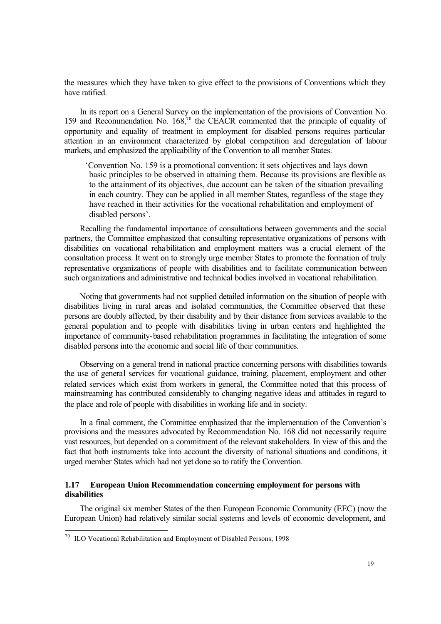the measures which they have taken to give effect to the provisions of Conventions which they have ratified.

In its report on a General Survey on the implementation of the provisions of Convention No. 159 and Recommendation No. 168,<sup>70</sup> the CEACR commented that the principle of equality of opportunity and equality of treatment in employment for disabled persons requires particular attention in an environment characterized by global competition and deregulation of labour markets, and emphasized the applicability of the Convention to all member States.

'Convention No. 159 is a promotional convention: it sets objectives and lays down basic principles to be observed in attaining them. Because its provisions are flexible as to the attainment of its objectives, due account can be taken of the situation prevailing in each country. They can be applied in all member States, regardless of the stage they have reached in their activities for the vocational rehabilitation and employment of disabled persons'.

Recalling the fundamental importance of consultations between governments and the social partners, the Committee emphasized that consulting representative organizations of persons with disabilities on vocational rehabilitation and employment matters was a crucial element of the consultation process. It went on to strongly urge member States to promote the formation of truly representative organizations of people with disabilities and to facilitate communication between such organizations and administrative and technical bodies involved in vocational rehabilitation.

Noting that governments had not supplied detailed information on the situation of people with disabilities living in rural areas and isolated communities, the Committee observed that these persons are doubly affected, by their disability and by their distance from services available to the general population and to people with disabilities living in urban centers and highlighted the importance of community-based rehabilitation programmes in facilitating the integration of some disabled persons into the economic and social life of their communities.

Observing on a general trend in national practice concerning persons with disabilities towards the use of general services for vocational guidance, training, placement, employment and other related services which exist from workers in general, the Committee noted that this process of mainstreaming has contributed considerably to changing negative ideas and attitudes in regard to the place and role of people with disabilities in working life and in society.

In a final comment, the Committee emphasized that the implementation of the Convention's provisions and the measures advocated by Recommendation No. 168 did not necessarily require vast resources, but depended on a commitment of the relevant stakeholders. In view of this and the fact that both instruments take into account the diversity of national situations and conditions, it urged member States which had not yet done so to ratify the Convention.

# **1.17 European Union Recommendation concerning employment for persons with disabilities**

The original six member States of the then European Economic Community (EEC) (now the European Union) had relatively similar social systems and levels of economic development, and

<sup>70</sup> ILO Vocational Rehabilitation and Employment of Disabled Persons, 1998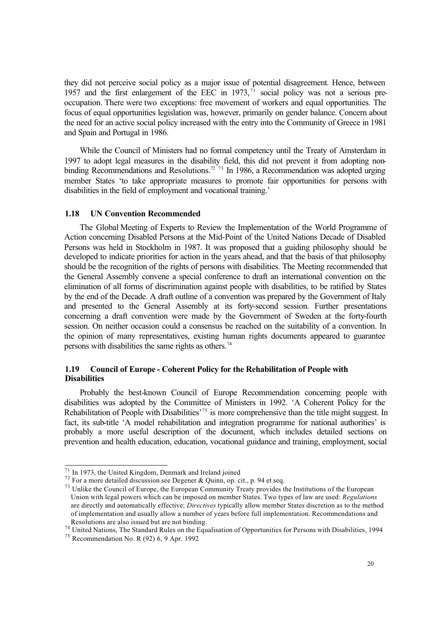they did not perceive social policy as a major issue of potential disagreement. Hence, between 1957 and the first enlargement of the EEC in  $1973$ ,  $71$  social policy was not a serious preoccupation. There were two exceptions: free movement of workers and equal opportunities. The focus of equal opportunities legislation was, however, primarily on gender balance. Concern about the need for an active social policy increased with the entry into the Community of Greece in 1981 and Spain and Portugal in 1986.

While the Council of Ministers had no formal competency until the Treaty of Amsterdam in 1997 to adopt legal measures in the disability field, this did not prevent it from adopting nonbinding Recommendations and Resolutions.<sup>72</sup> <sup>73</sup> In 1986, a Recommendation was adopted urging member States 'to take appropriate measures to promote fair opportunities for persons with disabilities in the field of employment and vocational training.'

#### **1.18 UN Convention Recommended**

The Global Meeting of Experts to Review the Implementation of the World Programme of Action concerning Disabled Persons at the Mid-Point of the United Nations Decade of Disabled Persons was held in Stockholm in 1987. It was proposed that a guiding philosophy should be developed to indicate priorities for action in the years ahead, and that the basis of that philosophy should be the recognition of the rights of persons with disabilities. The Meeting recommended that the General Assembly convene a special conference to draft an international convention on the elimination of all forms of discrimination against people with disabilities, to be ratified by States by the end of the Decade. A draft outline of a convention was prepared by the Government of Italy and presented to the General Assembly at its forty-second session. Further presentations concerning a draft convention were made by the Government of Sweden at the forty-fourth session. On neither occasion could a consensus be reached on the suitability of a convention. In the opinion of many representatives, existing human rights documents appeared to guarantee persons with disabilities the same rights as others.<sup>74</sup>

# **1.19 Council of Europe - Coherent Policy for the Rehabilitation of People with Disabilities**

Probably the best-known Council of Europe Recommendation concerning people with disabilities was adopted by the Committee of Ministers in 1992. 'A Coherent Policy for the Rehabilitation of People with Disabilities'<sup>75</sup> is more comprehensive than the title might suggest. In fact, its sub-title 'A model rehabilitation and integration programme for national authorities' is probably a more useful description of the document, which includes detailed sections on prevention and health education, education, vocational guidance and training, employment, social

<sup>&</sup>lt;sup>71</sup> In 1973, the United Kingdom, Denmark and Ireland joined  $^{72}$  For a more detailed discussion see Degener & Quinn, op. cit., p. 94 et seq.

<sup>73</sup> Unlike the Council of Europe, the European Community Treaty provides the Institutions of the European Union with legal powers which can be imposed on member States. Two types of law are used: *Regulations* are directly and automatically effective; *Directives* typically allow member States discretion as to the method of implementation and usually allow a number of years before full implementation. Recommendations and Resolutions are also issued but are not binding.<br><sup>74</sup> United Nations, The Standard Rules on the Equalisation of Opportunities for Persons with Disabilities, 1994

<sup>75</sup> Recommendation No. R (92) 6, 9 Apr. 1992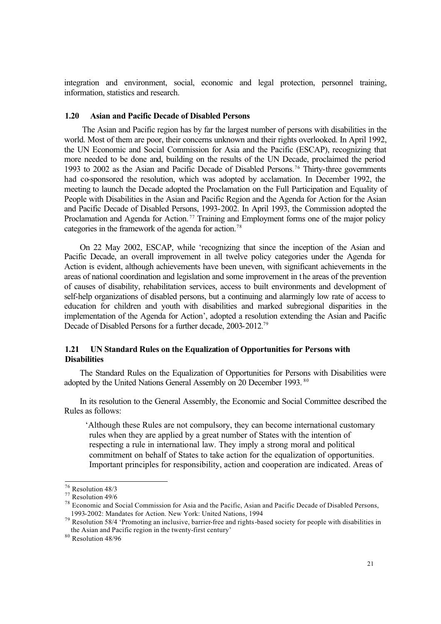integration and environment, social, economic and legal protection, personnel training, information, statistics and research.

#### **1.20 Asian and Pacific Decade of Disabled Persons**

 The Asian and Pacific region has by far the largest number of persons with disabilities in the world. Most of them are poor, their concerns unknown and their rights overlooked. In April 1992, the UN Economic and Social Commission for Asia and the Pacific (ESCAP), recognizing that more needed to be done and, building on the results of the UN Decade, proclaimed the period 1993 to 2002 as the Asian and Pacific Decade of Disabled Persons.76 Thirty-three governments had co-sponsored the resolution, which was adopted by acclamation. In December 1992, the meeting to launch the Decade adopted the Proclamation on the Full Participation and Equality of People with Disabilities in the Asian and Pacific Region and the Agenda for Action for the Asian and Pacific Decade of Disabled Persons, 1993-2002. In April 1993, the Commission adopted the Proclamation and Agenda for Action.<sup>77</sup> Training and Employment forms one of the major policy categories in the framework of the agenda for action.<sup>78</sup>

On 22 May 2002, ESCAP, while 'recognizing that since the inception of the Asian and Pacific Decade, an overall improvement in all twelve policy categories under the Agenda for Action is evident, although achievements have been uneven, with significant achievements in the areas of national coordination and legislation and some improvement in the areas of the prevention of causes of disability, rehabilitation services, access to built environments and development of self-help organizations of disabled persons, but a continuing and alarmingly low rate of access to education for children and youth with disabilities and marked subregional disparities in the implementation of the Agenda for Action', adopted a resolution extending the Asian and Pacific Decade of Disabled Persons for a further decade, 2003-2012.79

# **1.21 UN Standard Rules on the Equalization of Opportunities for Persons with Disabilities**

The Standard Rules on the Equalization of Opportunities for Persons with Disabilities were adopted by the United Nations General Assembly on 20 December 1993. 80

In its resolution to the General Assembly, the Economic and Social Committee described the Rules as follows:

'Although these Rules are not compulsory, they can become international customary rules when they are applied by a great number of States with the intention of respecting a rule in international law. They imply a strong moral and political commitment on behalf of States to take action for the equalization of opportunities. Important principles for responsibility, action and cooperation are indicated. Areas of

<sup>&</sup>lt;sup>76</sup> Resolution 48/3<br><sup>77</sup> Resolution 49/6<br><sup>78</sup> Economic and Social Commission for Asia and the Pacific, Asian and Pacific Decade of Disabled Persons, 1993-2002: Mandates for Action. New York: United Nations, 1994<br><sup>79</sup> Resolution 58/4 'Promoting an inclusive, barrier-free and rights-based society for people with disabilities in

the Asian and Pacific region in the twenty-first century'

<sup>80</sup> Resolution 48/96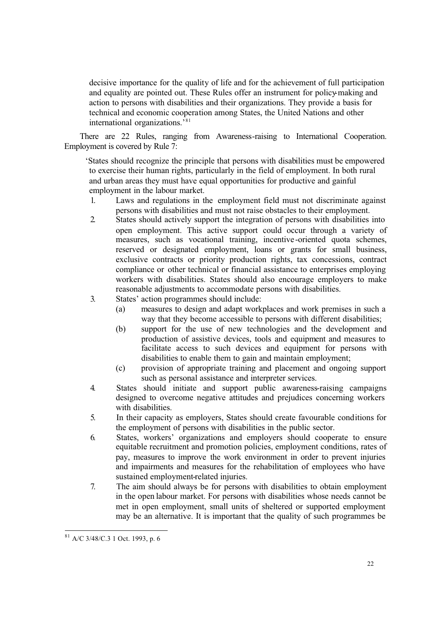decisive importance for the quality of life and for the achievement of full participation and equality are pointed out. These Rules offer an instrument for policy-making and action to persons with disabilities and their organizations. They provide a basis for technical and economic cooperation among States, the United Nations and other international organizations.'81

There are 22 Rules, ranging from Awareness-raising to International Cooperation. Employment is covered by Rule 7:

'States should recognize the principle that persons with disabilities must be empowered to exercise their human rights, particularly in the field of employment. In both rural and urban areas they must have equal opportunities for productive and gainful employment in the labour market.

- 1. Laws and regulations in the employment field must not discriminate against persons with disabilities and must not raise obstacles to their employment.
- 2. States should actively support the integration of persons with disabilities into open employment. This active support could occur through a variety of measures, such as vocational training, incentive-oriented quota schemes, reserved or designated employment, loans or grants for small business, exclusive contracts or priority production rights, tax concessions, contract compliance or other technical or financial assistance to enterprises employing workers with disabilities. States should also encourage employers to make reasonable adjustments to accommodate persons with disabilities.
- 3. States' action programmes should include:
	- (a) measures to design and adapt workplaces and work premises in such a way that they become accessible to persons with different disabilities;
	- (b) support for the use of new technologies and the development and production of assistive devices, tools and equipment and measures to facilitate access to such devices and equipment for persons with disabilities to enable them to gain and maintain employment;
	- (c) provision of appropriate training and placement and ongoing support such as personal assistance and interpreter services.
- 4. States should initiate and support public awareness-raising campaigns designed to overcome negative attitudes and prejudices concerning workers with disabilities.
- 5. In their capacity as employers, States should create favourable conditions for the employment of persons with disabilities in the public sector.
- 6. States, workers' organizations and employers should cooperate to ensure equitable recruitment and promotion policies, employment conditions, rates of pay, measures to improve the work environment in order to prevent injuries and impairments and measures for the rehabilitation of employees who have sustained employment-related injuries.
- 7. The aim should always be for persons with disabilities to obtain employment in the open labour market. For persons with disabilities whose needs cannot be met in open employment, small units of sheltered or supported employment may be an alternative. It is important that the quality of such programmes be

<sup>81</sup> A/C 3/48/C.3 1 Oct. 1993, p. 6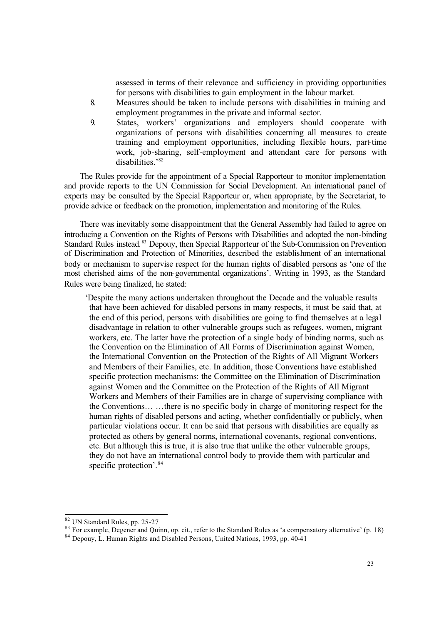assessed in terms of their relevance and sufficiency in providing opportunities for persons with disabilities to gain employment in the labour market.

- 8. Measures should be taken to include persons with disabilities in training and employment programmes in the private and informal sector.
- 9. States, workers' organizations and employers should cooperate with organizations of persons with disabilities concerning all measures to create training and employment opportunities, including flexible hours, part-time work, job-sharing, self-employment and attendant care for persons with disabilities.'<sup>82</sup>

The Rules provide for the appointment of a Special Rapporteur to monitor implementation and provide reports to the UN Commission for Social Development. An international panel of experts may be consulted by the Special Rapporteur or, when appropriate, by the Secretariat, to provide advice or feedback on the promotion, implementation and monitoring of the Rules.

There was inevitably some disappointment that the General Assembly had failed to agree on introducing a Convention on the Rights of Persons with Disabilities and adopted the non-binding Standard Rules instead. <sup>83</sup> Depouy, then Special Rapporteur of the Sub-Commission on Prevention of Discrimination and Protection of Minorities, described the establishment of an international body or mechanism to supervise respect for the human rights of disabled persons as 'one of the most cherished aims of the non-governmental organizations'. Writing in 1993, as the Standard Rules were being finalized, he stated:

'Despite the many actions undertaken throughout the Decade and the valuable results that have been achieved for disabled persons in many respects, it must be said that, at the end of this period, persons with disabilities are going to find themselves at a legal disadvantage in relation to other vulnerable groups such as refugees, women, migrant workers, etc. The latter have the protection of a single body of binding norms, such as the Convention on the Elimination of All Forms of Discrimination against Women, the International Convention on the Protection of the Rights of All Migrant Workers and Members of their Families, etc. In addition, those Conventions have established specific protection mechanisms: the Committee on the Elimination of Discrimination against Women and the Committee on the Protection of the Rights of All Migrant Workers and Members of their Families are in charge of supervising compliance with the Conventions… …there is no specific body in charge of monitoring respect for the human rights of disabled persons and acting, whether confidentially or publicly, when particular violations occur. It can be said that persons with disabilities are equally as protected as others by general norms, international covenants, regional conventions, etc. But although this is true, it is also true that unlike the other vulnerable groups, they do not have an international control body to provide them with particular and specific protection'.<sup>84</sup>

<sup>&</sup>lt;sup>82</sup> UN Standard Rules, pp. 25-27<br><sup>83</sup> For example, Degener and Quinn, op. cit., refer to the Standard Rules as 'a compensatory alternative' (p. 18)

<sup>&</sup>lt;sup>84</sup> Depouy, L. Human Rights and Disabled Persons, United Nations, 1993, pp. 40-41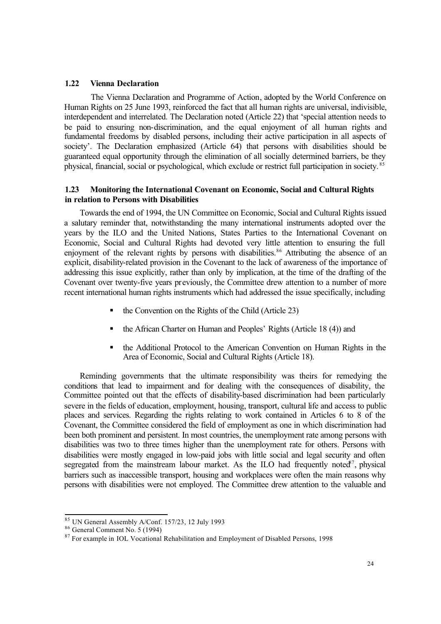#### **1.22 Vienna Declaration**

The Vienna Declaration and Programme of Action, adopted by the World Conference on Human Rights on 25 June 1993, reinforced the fact that all human rights are universal, indivisible, interdependent and interrelated. The Declaration noted (Article 22) that 'special attention needs to be paid to ensuring non-discrimination, and the equal enjoyment of all human rights and fundamental freedoms by disabled persons, including their active participation in all aspects of society'. The Declaration emphasized (Article 64) that persons with disabilities should be guaranteed equal opportunity through the elimination of all socially determined barriers, be they physical, financial, social or psychological, which exclude or restrict full participation in society. <sup>85</sup>

# **1.23 Monitoring the International Covenant on Economic, Social and Cultural Rights in relation to Persons with Disabilities**

Towards the end of 1994, the UN Committee on Economic, Social and Cultural Rights issued a salutary reminder that, notwithstanding the many international instruments adopted over the years by the ILO and the United Nations, States Parties to the International Covenant on Economic, Social and Cultural Rights had devoted very little attention to ensuring the full enjoyment of the relevant rights by persons with disabilities.<sup>86</sup> Attributing the absence of an explicit, disability-related provision in the Covenant to the lack of awareness of the importance of addressing this issue explicitly, rather than only by implication, at the time of the drafting of the Covenant over twenty-five years previously, the Committee drew attention to a number of more recent international human rights instruments which had addressed the issue specifically, including

- the Convention on the Rights of the Child (Article 23)
- the African Charter on Human and Peoples' Rights (Article 18 (4)) and
- the Additional Protocol to the American Convention on Human Rights in the Area of Economic, Social and Cultural Rights (Article 18).

Reminding governments that the ultimate responsibility was theirs for remedying the conditions that lead to impairment and for dealing with the consequences of disability, the Committee pointed out that the effects of disability-based discrimination had been particularly severe in the fields of education, employment, housing, transport, cultural life and access to public places and services. Regarding the rights relating to work contained in Articles 6 to 8 of the Covenant, the Committee considered the field of employment as one in which discrimination had been both prominent and persistent. In most countries, the unemployment rate among persons with disabilities was two to three times higher than the unemployment rate for others. Persons with disabilities were mostly engaged in low-paid jobs with little social and legal security and often segregated from the mainstream labour market. As the ILO had frequently noted<sup>87</sup>, physical barriers such as inaccessible transport, housing and workplaces were often the main reasons why persons with disabilities were not employed. The Committee drew attention to the valuable and

 $85$  UN General Assembly A/Conf. 157/23, 12 July 1993<br> $86$  General Comment No. 5 (1994)

<sup>&</sup>lt;sup>87</sup> For example in IOL Vocational Rehabilitation and Employment of Disabled Persons, 1998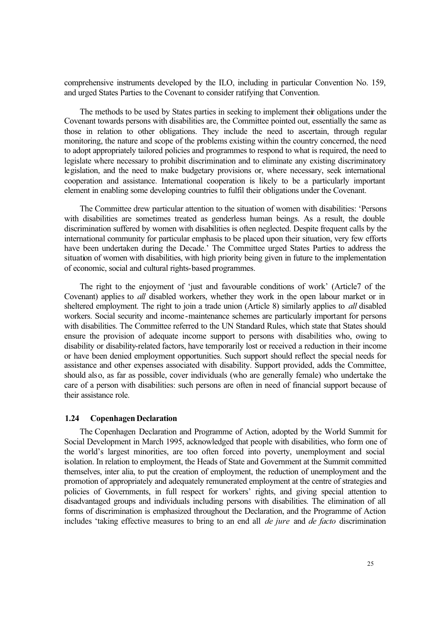comprehensive instruments developed by the ILO, including in particular Convention No. 159, and urged States Parties to the Covenant to consider ratifying that Convention.

The methods to be used by States parties in seeking to implement their obligations under the Covenant towards persons with disabilities are, the Committee pointed out, essentially the same as those in relation to other obligations. They include the need to ascertain, through regular monitoring, the nature and scope of the problems existing within the country concerned, the need to adopt appropriately tailored policies and programmes to respond to what is required, the need to legislate where necessary to prohibit discrimination and to eliminate any existing discriminatory legislation, and the need to make budgetary provisions or, where necessary, seek international cooperation and assistance. International cooperation is likely to be a particularly important element in enabling some developing countries to fulfil their obligations under the Covenant.

The Committee drew particular attention to the situation of women with disabilities: 'Persons with disabilities are sometimes treated as genderless human beings. As a result, the double discrimination suffered by women with disabilities is often neglected. Despite frequent calls by the international community for particular emphasis to be placed upon their situation, very few efforts have been undertaken during the Decade.' The Committee urged States Parties to address the situation of women with disabilities, with high priority being given in future to the implementation of economic, social and cultural rights-based programmes.

The right to the enjoyment of 'just and favourable conditions of work' (Article7 of the Covenant) applies to *all* disabled workers, whether they work in the open labour market or in sheltered employment. The right to join a trade union (Article 8) similarly applies to *all* disabled workers. Social security and income-maintenance schemes are particularly important for persons with disabilities. The Committee referred to the UN Standard Rules, which state that States should ensure the provision of adequate income support to persons with disabilities who, owing to disability or disability-related factors, have temporarily lost or received a reduction in their income or have been denied employment opportunities. Such support should reflect the special needs for assistance and other expenses associated with disability. Support provided, adds the Committee, should also, as far as possible, cover individuals (who are generally female) who undertake the care of a person with disabilities: such persons are often in need of financial support because of their assistance role.

### **1.24 Copenhagen Declaration**

The Copenhagen Declaration and Programme of Action, adopted by the World Summit for Social Development in March 1995, acknowledged that people with disabilities, who form one of the world's largest minorities, are too often forced into poverty, unemployment and social isolation. In relation to employment, the Heads of State and Government at the Summit committed themselves, inter alia, to put the creation of employment, the reduction of unemployment and the promotion of appropriately and adequately remunerated employment at the centre of strategies and policies of Governments, in full respect for workers' rights, and giving special attention to disadvantaged groups and individuals including persons with disabilities. The elimination of all forms of discrimination is emphasized throughout the Declaration, and the Programme of Action includes 'taking effective measures to bring to an end all *de jure* and *de facto* discrimination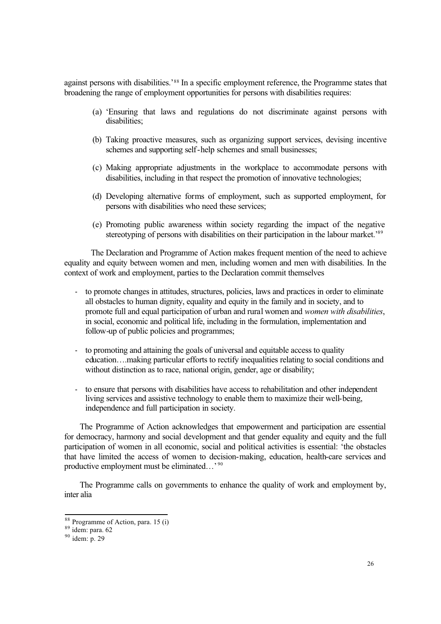against persons with disabilities.'88 In a specific employment reference, the Programme states that broadening the range of employment opportunities for persons with disabilities requires:

- (a) 'Ensuring that laws and regulations do not discriminate against persons with disabilities;
- (b) Taking proactive measures, such as organizing support services, devising incentive schemes and supporting self-help schemes and small businesses;
- (c) Making appropriate adjustments in the workplace to accommodate persons with disabilities, including in that respect the promotion of innovative technologies;
- (d) Developing alternative forms of employment, such as supported employment, for persons with disabilities who need these services;
- (e) Promoting public awareness within society regarding the impact of the negative stereotyping of persons with disabilities on their participation in the labour market.<sup>89</sup>

The Declaration and Programme of Action makes frequent mention of the need to achieve equality and equity between women and men, including women and men with disabilities. In the context of work and employment, parties to the Declaration commit themselves

- to promote changes in attitudes, structures, policies, laws and practices in order to eliminate all obstacles to human dignity, equality and equity in the family and in society, and to promote full and equal participation of urban and rural women and *women with disabilities*, in social, economic and political life, including in the formulation, implementation and follow-up of public policies and programmes;
- to promoting and attaining the goals of universal and equitable access to quality education….making particular efforts to rectify inequalities relating to social conditions and without distinction as to race, national origin, gender, age or disability;
- to ensure that persons with disabilities have access to rehabilitation and other independent living services and assistive technology to enable them to maximize their well-being, independence and full participation in society.

The Programme of Action acknowledges that empowerment and participation are essential for democracy, harmony and social development and that gender equality and equity and the full participation of women in all economic, social and political activities is essential: 'the obstacles that have limited the access of women to decision-making, education, health-care services and productive employment must be eliminated...'<sup>90</sup>

The Programme calls on governments to enhance the quality of work and employment by, inter alia

<sup>&</sup>lt;sup>88</sup> Programme of Action, para. 15 (i)  $89$  idem: para. 62

<sup>90</sup> idem: p. 29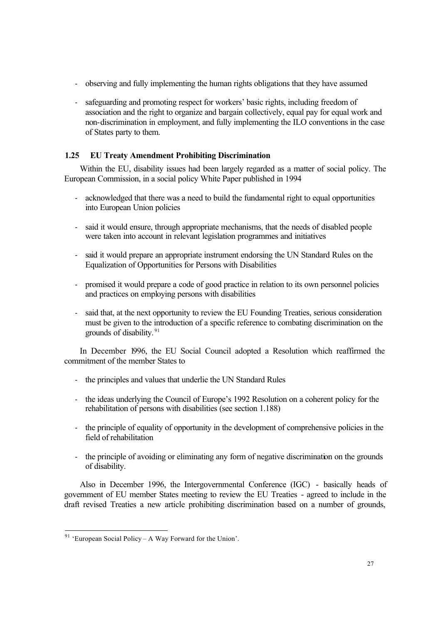- observing and fully implementing the human rights obligations that they have assumed
- safeguarding and promoting respect for workers' basic rights, including freedom of association and the right to organize and bargain collectively, equal pay for equal work and non-discrimination in employment, and fully implementing the ILO conventions in the case of States party to them.

# **1.25 EU Treaty Amendment Prohibiting Discrimination**

Within the EU, disability issues had been largely regarded as a matter of social policy. The European Commission, in a social policy White Paper published in 1994

- acknowledged that there was a need to build the fundamental right to equal opportunities into European Union policies
- said it would ensure, through appropriate mechanisms, that the needs of disabled people were taken into account in relevant legislation programmes and initiatives
- said it would prepare an appropriate instrument endorsing the UN Standard Rules on the Equalization of Opportunities for Persons with Disabilities
- promised it would prepare a code of good practice in relation to its own personnel policies and practices on employing persons with disabilities
- said that, at the next opportunity to review the EU Founding Treaties, serious consideration must be given to the introduction of a specific reference to combating discrimination on the grounds of disability. <sup>91</sup>

In December 1996, the EU Social Council adopted a Resolution which reaffirmed the commitment of the member States to

- the principles and values that underlie the UN Standard Rules
- the ideas underlying the Council of Europe's 1992 Resolution on a coherent policy for the rehabilitation of persons with disabilities (see section 1.188)
- the principle of equality of opportunity in the development of comprehensive policies in the field of rehabilitation
- the principle of avoiding or eliminating any form of negative discrimination on the grounds of disability.

Also in December 1996, the Intergovernmental Conference (IGC) - basically heads of government of EU member States meeting to review the EU Treaties - agreed to include in the draft revised Treaties a new article prohibiting discrimination based on a number of grounds,

<sup>91 &#</sup>x27;European Social Policy – A Way Forward for the Union'.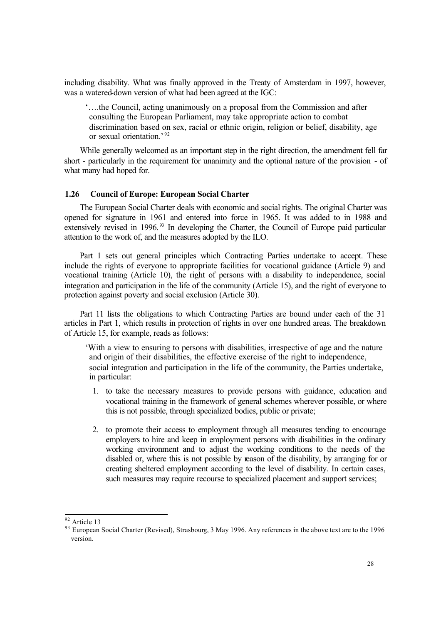including disability. What was finally approved in the Treaty of Amsterdam in 1997, however, was a watered-down version of what had been agreed at the IGC:

'….the Council, acting unanimously on a proposal from the Commission and after consulting the European Parliament, may take appropriate action to combat discrimination based on sex, racial or ethnic origin, religion or belief, disability, age or sexual orientation.' <sup>92</sup>

While generally welcomed as an important step in the right direction, the amendment fell far short - particularly in the requirement for unanimity and the optional nature of the provision - of what many had hoped for.

#### **1.26 Council of Europe: European Social Charter**

The European Social Charter deals with economic and social rights. The original Charter was opened for signature in 1961 and entered into force in 1965. It was added to in 1988 and extensively revised in 1996.<sup>93</sup> In developing the Charter, the Council of Europe paid particular attention to the work of, and the measures adopted by the ILO.

Part 1 sets out general principles which Contracting Parties undertake to accept. These include the rights of everyone to appropriate facilities for vocational guidance (Article 9) and vocational training (Article 10), the right of persons with a disability to independence, social integration and participation in the life of the community (Article 15), and the right of everyone to protection against poverty and social exclusion (Article 30).

Part 11 lists the obligations to which Contracting Parties are bound under each of the 31 articles in Part 1, which results in protection of rights in over one hundred areas. The breakdown of Article 15, for example, reads as follows:

'With a view to ensuring to persons with disabilities, irrespective of age and the nature and origin of their disabilities, the effective exercise of the right to independence, social integration and participation in the life of the community, the Parties undertake, in particular:

- 1. to take the necessary measures to provide persons with guidance, education and vocational training in the framework of general schemes wherever possible, or where this is not possible, through specialized bodies, public or private;
- 2. to promote their access to employment through all measures tending to encourage employers to hire and keep in employment persons with disabilities in the ordinary working environment and to adjust the working conditions to the needs of the disabled or, where this is not possible by reason of the disability, by arranging for or creating sheltered employment according to the level of disability. In certain cases, such measures may require recourse to specialized placement and support services;

 $\frac{92}{93}$  Article 13<br><sup>93</sup> European Social Charter (Revised), Strasbourg, 3 May 1996. Any references in the above text are to the 1996 version.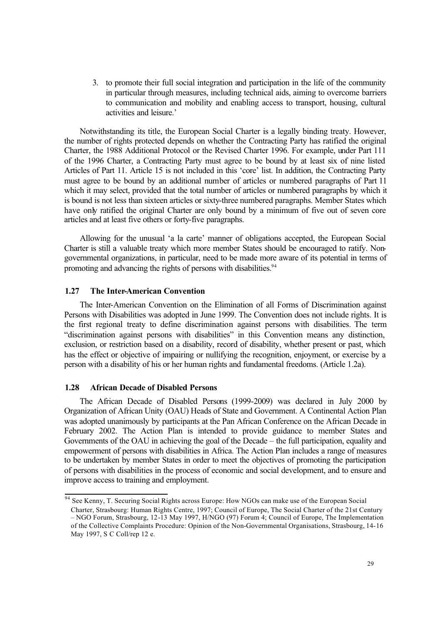3. to promote their full social integration and participation in the life of the community in particular through measures, including technical aids, aiming to overcome barriers to communication and mobility and enabling access to transport, housing, cultural activities and leisure.'

Notwithstanding its title, the European Social Charter is a legally binding treaty. However, the number of rights protected depends on whether the Contracting Party has ratified the original Charter, the 1988 Additional Protocol or the Revised Charter 1996. For example, under Part 111 of the 1996 Charter, a Contracting Party must agree to be bound by at least six of nine listed Articles of Part 11. Article 15 is not included in this 'core' list. In addition, the Contracting Party must agree to be bound by an additional number of articles or numbered paragraphs of Part 11 which it may select, provided that the total number of articles or numbered paragraphs by which it is bound is not less than sixteen articles or sixty-three numbered paragraphs. Member States which have only ratified the original Charter are only bound by a minimum of five out of seven core articles and at least five others or forty-five paragraphs.

Allowing for the unusual 'a la carte' manner of obligations accepted, the European Social Charter is still a valuable treaty which more member States should be encouraged to ratify. Nongovernmental organizations, in particular, need to be made more aware of its potential in terms of promoting and advancing the rights of persons with disabilities.<sup>94</sup>

#### **1.27 The Inter-American Convention**

The Inter-American Convention on the Elimination of all Forms of Discrimination against Persons with Disabilities was adopted in June 1999. The Convention does not include rights. It is the first regional treaty to define discrimination against persons with disabilities. The term "discrimination against persons with disabilities" in this Convention means any distinction, exclusion, or restriction based on a disability, record of disability, whether present or past, which has the effect or objective of impairing or nullifying the recognition, enjoyment, or exercise by a person with a disability of his or her human rights and fundamental freedoms. (Article 1.2a).

## **1.28 African Decade of Disabled Persons**

The African Decade of Disabled Persons (1999-2009) was declared in July 2000 by Organization of African Unity (OAU) Heads of State and Government. A Continental Action Plan was adopted unanimously by participants at the Pan African Conference on the African Decade in February 2002. The Action Plan is intended to provide guidance to member States and Governments of the OAU in achieving the goal of the Decade – the full participation, equality and empowerment of persons with disabilities in Africa. The Action Plan includes a range of measures to be undertaken by member States in order to meet the objectives of promoting the participation of persons with disabilities in the process of economic and social development, and to ensure and improve access to training and employment.

<sup>&</sup>lt;sup>94</sup> See Kenny, T. Securing Social Rights across Europe: How NGOs can make use of the European Social Charter, Strasbourg: Human Rights Centre, 1997; Council of Europe, The Social Charter of the 21st Century – NGO Forum, Strasbourg, 12-13 May 1997, H/NGO (97) Forum 4; Council of Europe, The Implementation of the Collective Complaints Procedure: Opinion of the Non-Governmental Organisations, Strasbourg, 14-16 May 1997, S C Coll/rep 12 e.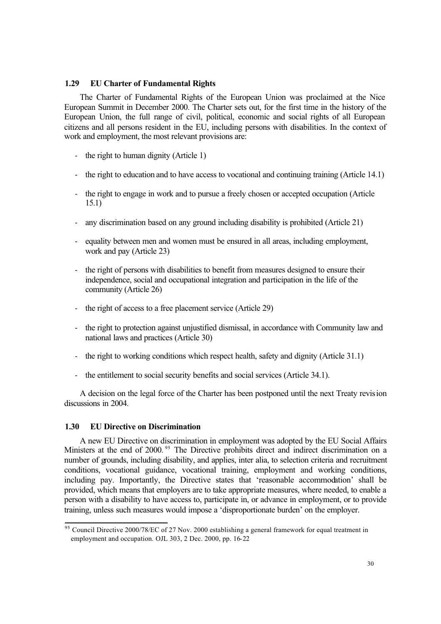#### **1.29 EU Charter of Fundamental Rights**

The Charter of Fundamental Rights of the European Union was proclaimed at the Nice European Summit in December 2000. The Charter sets out, for the first time in the history of the European Union, the full range of civil, political, economic and social rights of all European citizens and all persons resident in the EU, including persons with disabilities. In the context of work and employment, the most relevant provisions are:

- the right to human dignity (Article 1)
- the right to education and to have access to vocational and continuing training (Article 14.1)
- the right to engage in work and to pursue a freely chosen or accepted occupation (Article 15.1)
- any discrimination based on any ground including disability is prohibited (Article 21)
- equality between men and women must be ensured in all areas, including employment, work and pay (Article 23)
- the right of persons with disabilities to benefit from measures designed to ensure their independence, social and occupational integration and participation in the life of the community (Article 26)
- the right of access to a free placement service (Article 29)
- the right to protection against unjustified dismissal, in accordance with Community law and national laws and practices (Article 30)
- the right to working conditions which respect health, safety and dignity (Article 31.1)
- the entitlement to social security benefits and social services (Article 34.1).

A decision on the legal force of the Charter has been postponed until the next Treaty revision discussions in 2004.

#### **1.30 EU Directive on Discrimination**

A new EU Directive on discrimination in employment was adopted by the EU Social Affairs Ministers at the end of 2000.<sup>95</sup> The Directive prohibits direct and indirect discrimination on a number of grounds, including disability, and applies, inter alia, to selection criteria and recruitment conditions, vocational guidance, vocational training, employment and working conditions, including pay. Importantly, the Directive states that 'reasonable accommodation' shall be provided, which means that employers are to take appropriate measures, where needed, to enable a person with a disability to have access to, participate in, or advance in employment, or to provide training, unless such measures would impose a 'disproportionate burden' on the employer.

<sup>&</sup>lt;sup>95</sup> Council Directive 2000/78/EC of 27 Nov. 2000 establishing a general framework for equal treatment in employment and occupation. OJL 303, 2 Dec. 2000, pp. 16-22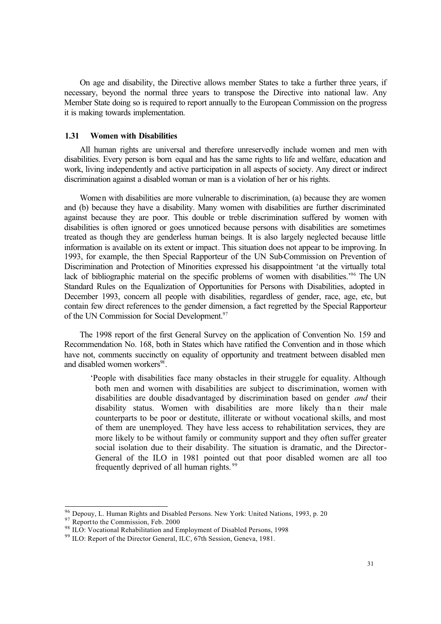On age and disability, the Directive allows member States to take a further three years, if necessary, beyond the normal three years to transpose the Directive into national law. Any Member State doing so is required to report annually to the European Commission on the progress it is making towards implementation.

#### **1.31 Women with Disabilities**

All human rights are universal and therefore unreservedly include women and men with disabilities. Every person is born equal and has the same rights to life and welfare, education and work, living independently and active participation in all aspects of society. Any direct or indirect discrimination against a disabled woman or man is a violation of her or his rights.

Women with disabilities are more vulnerable to discrimination, (a) because they are women and (b) because they have a disability. Many women with disabilities are further discriminated against because they are poor. This double or treble discrimination suffered by women with disabilities is often ignored or goes unnoticed because persons with disabilities are sometimes treated as though they are genderless human beings. It is also largely neglected because little information is available on its extent or impact. This situation does not appear to be improving. In 1993, for example, the then Special Rapporteur of the UN Sub-Commission on Prevention of Discrimination and Protection of Minorities expressed his disappointment 'at the virtually total lack of bibliographic material on the specific problems of women with disabilities.<sup>'96</sup> The UN Standard Rules on the Equalization of Opportunities for Persons with Disabilities, adopted in December 1993, concern all people with disabilities, regardless of gender, race, age, etc, but contain few direct references to the gender dimension, a fact regretted by the Special Rapporteur of the UN Commission for Social Development.<sup>97</sup>

The 1998 report of the first General Survey on the application of Convention No. 159 and Recommendation No. 168, both in States which have ratified the Convention and in those which have not, comments succinctly on equality of opportunity and treatment between disabled men and disabled women workers<sup>98</sup>.

'People with disabilities face many obstacles in their struggle for equality. Although both men and women with disabilities are subject to discrimination, women with disabilities are double disadvantaged by discrimination based on gender *and* their disability status. Women with disabilities are more likely than their male counterparts to be poor or destitute, illiterate or without vocational skills, and most of them are unemployed. They have less access to rehabilitation services, they are more likely to be without family or community support and they often suffer greater social isolation due to their disability. The situation is dramatic, and the Director-General of the ILO in 1981 pointed out that poor disabled women are all too frequently deprived of all human rights.<sup>99</sup>

<sup>&</sup>lt;sup>96</sup> Depouy, L. Human Rights and Disabled Persons. New York: United Nations, 1993, p. 20<br><sup>97</sup> Report to the Commission, Feb. 2000<br><sup>98</sup> ILO: Vocational Rehabilitation and Employment of Disabled Persons, 1998

<sup>&</sup>lt;sup>99</sup> ILO: Report of the Director General, ILC, 67th Session, Geneva, 1981.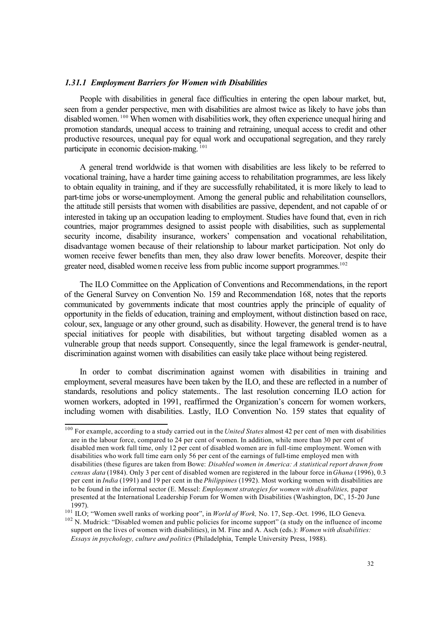#### *1.31.1 Employment Barriers for Women with Disabilities*

People with disabilities in general face difficulties in entering the open labour market, but, seen from a gender perspective, men with disabilities are almost twice as likely to have jobs than disabled women.<sup>100</sup> When women with disabilities work, they often experience unequal hiring and promotion standards, unequal access to training and retraining, unequal access to credit and other productive resources, unequal pay for equal work and occupational segregation, and they rarely participate in economic decision-making. <sup>101</sup>

A general trend worldwide is that women with disabilities are less likely to be referred to vocational training, have a harder time gaining access to rehabilitation programmes, are less likely to obtain equality in training, and if they are successfully rehabilitated, it is more likely to lead to part-time jobs or worse-unemployment. Among the general public and rehabilitation counsellors, the attitude still persists that women with disabilities are passive, dependent, and not capable of or interested in taking up an occupation leading to employment. Studies have found that, even in rich countries, major programmes designed to assist people with disabilities, such as supplemental security income, disability insurance, workers' compensation and vocational rehabilitation, disadvantage women because of their relationship to labour market participation. Not only do women receive fewer benefits than men, they also draw lower benefits. Moreover, despite their greater need, disabled women receive less from public income support programmes.<sup>102</sup>

The ILO Committee on the Application of Conventions and Recommendations, in the report of the General Survey on Convention No. 159 and Recommendation 168, notes that the reports communicated by governments indicate that most countries apply the principle of equality of opportunity in the fields of education, training and employment, without distinction based on race, colour, sex, language or any other ground, such as disability. However, the general trend is to have special initiatives for people with disabilities, but without targeting disabled women as a vulnerable group that needs support. Consequently, since the legal framework is gender-neutral, discrimination against women with disabilities can easily take place without being registered.

In order to combat discrimination against women with disabilities in training and employment, several measures have been taken by the ILO, and these are reflected in a number of standards, resolutions and policy statements.. The last resolution concerning ILO action for women workers, adopted in 1991, reaffirmed the Organization's concern for women workers, including women with disabilities. Lastly, ILO Convention No. 159 states that equality of

<sup>100</sup> For example, according to a study carried out in the *United States* almost 42 per cent of men with disabilities are in the labour force, compared to 24 per cent of women. In addition, while more than 30 per cent of disabled men work full time, only 12 per cent of disabled women are in full-time employment. Women with disabilities who work full time earn only 56 per cent of the earnings of full-time employed men with disabilities (these figures are taken from Bowe: *Disabled women in America: A statistical report drawn from census data* (1984). Only 3 per cent of disabled women are registered in the labour force in *Ghana* (1996), 0.3 per cent in *India* (1991) and 19 per cent in the *Philippines* (1992). Most working women with disabilities are to be found in the informal sector (E. Messel: *Employment strategies for women with disabilities,* paper presented at the International Leadership Forum for Women with Disabilities (Washington, DC, 15-20 June 1997).<br><sup>101</sup> ILO: "Women swell ranks of working poor", in *World of Work*, No. 17, Sep.-Oct. 1996, ILO Geneva.

<sup>&</sup>lt;sup>102</sup> N. Mudrick: "Disabled women and public policies for income support" (a study on the influence of income support on the lives of women with disabilities), in M. Fine and A. Asch (eds.): *Women with disabilities: Essays in psychology, culture and politics* (Philadelphia, Temple University Press, 1988).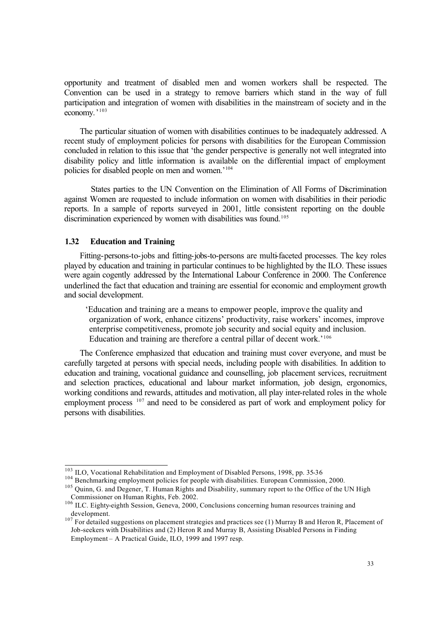opportunity and treatment of disabled men and women workers shall be respected. The Convention can be used in a strategy to remove barriers which stand in the way of full participation and integration of women with disabilities in the mainstream of society and in the economy.<sup>'103</sup>

The particular situation of women with disabilities continues to be inadequately addressed. A recent study of employment policies for persons with disabilities for the European Commission concluded in relation to this issue that 'the gender perspective is generally not well integrated into disability policy and little information is available on the differential impact of employment policies for disabled people on men and women.'104

States parties to the UN Convention on the Elimination of All Forms of Discrimination against Women are requested to include information on women with disabilities in their periodic reports. In a sample of reports surveyed in 2001, little consistent reporting on the double discrimination experienced by women with disabilities was found.<sup>105</sup>

# **1.32 Education and Training**

Fitting-persons-to-jobs and fitting-jobs-to-persons are multi-faceted processes. The key roles played by education and training in particular continues to be highlighted by the ILO. These issues were again cogently addressed by the International Labour Conference in 2000. The Conference underlined the fact that education and training are essential for economic and employment growth and social development.

'Education and training are a means to empower people, improve the quality and organization of work, enhance citizens' productivity, raise workers' incomes, improve enterprise competitiveness, promote job security and social equity and inclusion. Education and training are therefore a central pillar of decent work.'106

The Conference emphasized that education and training must cover everyone, and must be carefully targeted at persons with special needs, including people with disabilities. In addition to education and training, vocational guidance and counselling, job placement services, recruitment and selection practices, educational and labour market information, job design, ergonomics, working conditions and rewards, attitudes and motivation, all play inter-related roles in the whole employment process <sup>107</sup> and need to be considered as part of work and employment policy for persons with disabilities.

<sup>&</sup>lt;sup>103</sup> ILO, Vocational Rehabilitation and Employment of Disabled Persons, 1998, pp. 35-36<br><sup>104</sup> Benchmarking employment policies for people with disabilities. European Commission, 2000.

<sup>&</sup>lt;sup>105</sup> Ouinn, G. and Degener, T. Human Rights and Disability, summary report to the Office of the UN High Commissioner on Human Rights, Feb. 2002.<br><sup>106</sup> ILC. Eighty-eighth Session, Geneva, 2000, Conclusions concerning human resources training and

development.<br><sup>107</sup> For detailed suggestions on placement strategies and practices see (1) Murray B and Heron R, Placement of

Job-seekers with Disabilities and (2) Heron R and Murray B, Assisting Disabled Persons in Finding Employment – A Practical Guide, ILO, 1999 and 1997 resp.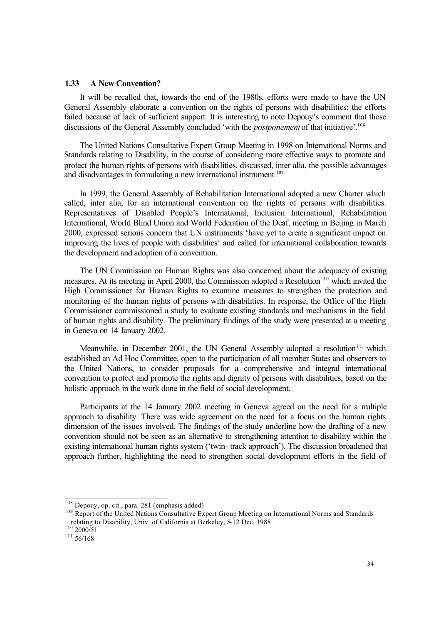#### **1.33 A New Convention?**

It will be recalled that, towards the end of the 1980s, efforts were made to have the UN General Assembly elaborate a convention on the rights of persons with disabilities: the efforts failed because of lack of sufficient support. It is interesting to note Depouy's comment that those discussions of the General Assembly concluded 'with the *postponement* of that initiative'.108

The United Nations Consultative Expert Group Meeting in 1998 on International Norms and Standards relating to Disability, in the course of considering more effective ways to promote and protect the human rights of persons with disabilities, discussed, inter alia, the possible advantages and disadvantages in formulating a new international instrument.<sup>109</sup>

In 1999, the General Assembly of Rehabilitation International adopted a new Charter which called, inter alia, for an international convention on the rights of persons with disabilities. Representatives of Disabled People's International, Inclusion International, Rehabilitation International, World Blind Union and World Federation of the Deaf, meeting in Beijing in March 2000, expressed serious concern that UN instruments 'have yet to create a significant impact on improving the lives of people with disabilities' and called for international collaboration towards the development and adoption of a convention.

The UN Commission on Human Rights was also concerned about the adequacy of existing measures. At its meeting in April 2000, the Commission adopted a Resolution<sup>110</sup> which invited the High Commissioner for Human Rights to examine measures to strengthen the protection and monitoring of the human rights of persons with disabilities. In response, the Office of the High Commissioner commissioned a study to evaluate existing standards and mechanisms in the field of human rights and disability. The preliminary findings of the study were presented at a meeting in Geneva on 14 January 2002.

Meanwhile, in December 2001, the UN General Assembly adopted a resolution<sup>111</sup> which established an Ad Hoc Committee, open to the participation of all member States and observers to the United Nations, to consider proposals for a comprehensive and integral international convention to protect and promote the rights and dignity of persons with disabilities, based on the holistic approach in the work done in the field of social development.

Participants at the 14 January 2002 meeting in Geneva agreed on the need for a multiple approach to disability. There was wide agreement on the need for a focus on the human rights dimension of the issues involved. The findings of the study underline how the drafting of a new convention should not be seen as an alternative to strengthening attention to disability within the existing international human rights system ('twin- track approach'). The discussion broadened that approach further, highlighting the need to strengthen social development efforts in the field of

<sup>108</sup> Depouy, op. cit., para. 281 (emphasis added)

<sup>&</sup>lt;sup>109</sup> Report of the United Nations Consultative Expert Group Meeting on International Norms and Standards relating to Disability, Univ. of California at Berkeley, 8-12 Dec. 1988 110 2000/51

 $111$  56/168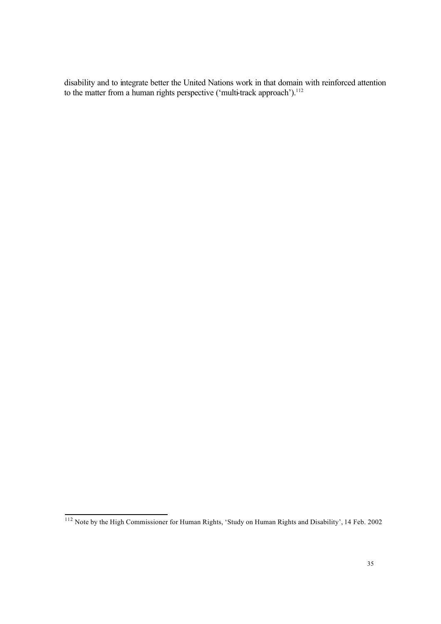disability and to integrate better the United Nations work in that domain with reinforced attention to the matter from a human rights perspective ('multi-track approach').<sup>112</sup>

<sup>112</sup> Note by the High Commissioner for Human Rights, 'Study on Human Rights and Disability', 14 Feb. 2002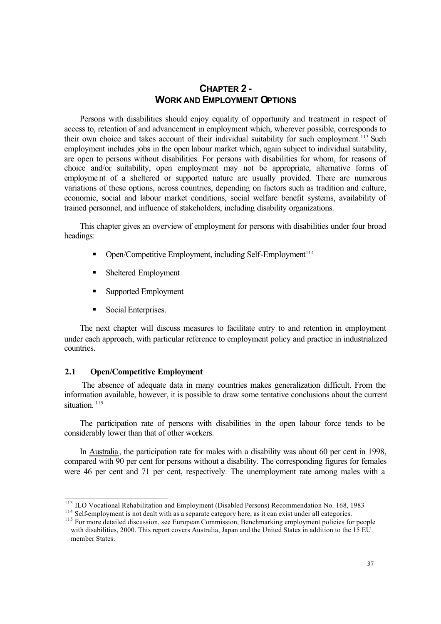# **CHAPTER 2 - WORK AND EMPLOYMENT OPTIONS**

Persons with disabilities should enjoy equality of opportunity and treatment in respect of access to, retention of and advancement in employment which, wherever possible, corresponds to their own choice and takes account of their individual suitability for such employment.<sup>113</sup> Such employment includes jobs in the open labour market which, again subject to individual suitability, are open to persons without disabilities. For persons with disabilities for whom, for reasons of choice and/or suitability, open employment may not be appropriate, alternative forms of employme nt of a sheltered or supported nature are usually provided. There are numerous variations of these options, across countries, depending on factors such as tradition and culture, economic, social and labour market conditions, social welfare benefit systems, availability of trained personnel, and influence of stakeholders, including disability organizations.

This chapter gives an overview of employment for persons with disabilities under four broad headings:

- -Open/Competitive Employment, including Self-Employment<sup>114</sup>
- -Sheltered Employment
- -Supported Employment
- -Social Enterprises.

The next chapter will discuss measures to facilitate entry to and retention in employment under each approach, with particular reference to employment policy and practice in industrialized countries.

# **2.1 Open/Competitive Employment**

The absence of adequate data in many countries makes generalization difficult. From the information available, however, it is possible to draw some tentative conclusions about the current situation $115$ 

The participation rate of persons with disabilities in the open labour force tends to be considerably lower than that of other workers.

In Australia, the participation rate for males with a disability was about 60 per cent in 1998, compared with 90 per cent for persons without a disability. The corresponding figures for females were 46 per cent and 71 per cent, respectively. The unemployment rate among males with a

<sup>&</sup>lt;sup>113</sup> ILO Vocational Rehabilitation and Employment (Disabled Persons) Recommendation No. 168, 1983<br><sup>114</sup> Self-employment is not dealt with as a separate category here, as it can exist under all categories.

<sup>&</sup>lt;sup>115</sup> For more detailed discussion, see European Commission, Benchmarking employment policies for people with disabilities, 2000. This report covers Australia, Japan and the United States in addition to the 15 EU member States.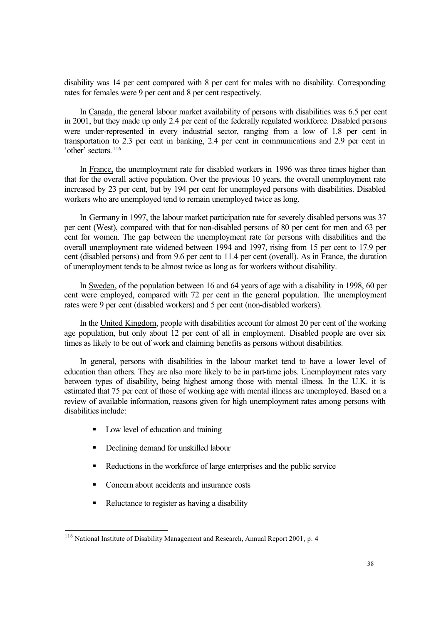disability was 14 per cent compared with 8 per cent for males with no disability. Corresponding rates for females were 9 per cent and 8 per cent respectively.

In Canada, the general labour market availability of persons with disabilities was 6.5 per cent in 2001, but they made up only 2.4 per cent of the federally regulated workforce. Disabled persons were under-represented in every industrial sector, ranging from a low of 1.8 per cent in transportation to 2.3 per cent in banking, 2.4 per cent in communications and 2.9 per cent in 'other' sectors.<sup>116</sup>

In France, the unemployment rate for disabled workers in 1996 was three times higher than that for the overall active population. Over the previous 10 years, the overall unemployment rate increased by 23 per cent, but by 194 per cent for unemployed persons with disabilities. Disabled workers who are unemployed tend to remain unemployed twice as long.

In Germany in 1997, the labour market participation rate for severely disabled persons was 37 per cent (West), compared with that for non-disabled persons of 80 per cent for men and 63 per cent for women. The gap between the unemployment rate for persons with disabilities and the overall unemployment rate widened between 1994 and 1997, rising from 15 per cent to 17.9 per cent (disabled persons) and from 9.6 per cent to 11.4 per cent (overall). As in France, the duration of unemployment tends to be almost twice as long as for workers without disability.

In Sweden, of the population between 16 and 64 years of age with a disability in 1998, 60 per cent were employed, compared with 72 per cent in the general population. The unemployment rates were 9 per cent (disabled workers) and 5 per cent (non-disabled workers).

In the United Kingdom, people with disabilities account for almost 20 per cent of the working age population, but only about 12 per cent of all in employment. Disabled people are over six times as likely to be out of work and claiming benefits as persons without disabilities.

In general, persons with disabilities in the labour market tend to have a lower level of education than others. They are also more likely to be in part-time jobs. Unemployment rates vary between types of disability, being highest among those with mental illness. In the U.K. it is estimated that 75 per cent of those of working age with mental illness are unemployed. Based on a review of available information, reasons given for high unemployment rates among persons with disabilities include:

- -Low level of education and training
- -Declining demand for unskilled labour
- -Reductions in the workforce of large enterprises and the public service
- -Concern about accidents and insurance costs
- -Reluctance to register as having a disability

<sup>&</sup>lt;sup>116</sup> National Institute of Disability Management and Research, Annual Report 2001, p. 4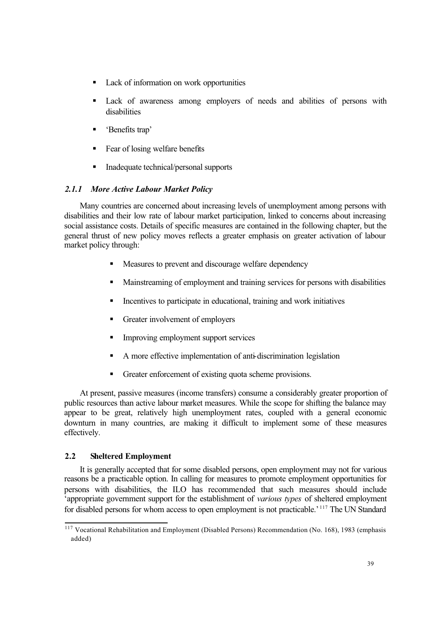- -Lack of information on work opportunities
- - Lack of awareness among employers of needs and abilities of persons with disabilities
- -'Benefits trap'
- -Fear of losing welfare benefits
- -Inadequate technical/personal supports

# *2.1.1 More Active Labour Market Policy*

Many countries are concerned about increasing levels of unemployment among persons with disabilities and their low rate of labour market participation, linked to concerns about increasing social assistance costs. Details of specific measures are contained in the following chapter, but the general thrust of new policy moves reflects a greater emphasis on greater activation of labour market policy through:

- -Measures to prevent and discourage welfare dependency
- -Mainstreaming of employment and training services for persons with disabilities
- -Incentives to participate in educational, training and work initiatives
- -Greater involvement of employers
- -Improving employment support services
- -A more effective implementation of anti-discrimination legislation
- -Greater enforcement of existing quota scheme provisions.

At present, passive measures (income transfers) consume a considerably greater proportion of public resources than active labour market measures. While the scope for shifting the balance may appear to be great, relatively high unemployment rates, coupled with a general economic downturn in many countries, are making it difficult to implement some of these measures effectively.

# **2.2 Sheltered Employment**

It is generally accepted that for some disabled persons, open employment may not for various reasons be a practicable option. In calling for measures to promote employment opportunities for persons with disabilities, the ILO has recommended that such measures should include 'appropriate government support for the establishment of *various types* of sheltered employment for disabled persons for whom access to open employment is not practicable.'<sup>117</sup> The UN Standard

<sup>117</sup> Vocational Rehabilitation and Employment (Disabled Persons) Recommendation (No. 168), 1983 (emphasis added)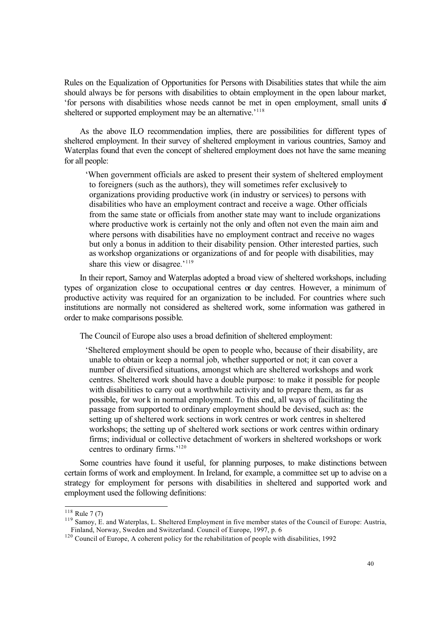Rules on the Equalization of Opportunities for Persons with Disabilities states that while the aim should always be for persons with disabilities to obtain employment in the open labour market, 'for persons with disabilities whose needs cannot be met in open employment, small units of sheltered or supported employment may be an alternative.<sup>'118</sup>

As the above ILO recommendation implies, there are possibilities for different types of sheltered employment. In their survey of sheltered employment in various countries, Samoy and Waterplas found that even the concept of sheltered employment does not have the same meaning for all people:

'When government officials are asked to present their system of sheltered employment to foreigners (such as the authors), they will sometimes refer exclusively to organizations providing productive work (in industry or services) to persons with disabilities who have an employment contract and receive a wage. Other officials from the same state or officials from another state may want to include organizations where productive work is certainly not the only and often not even the main aim and where persons with disabilities have no employment contract and receive no wages but only a bonus in addition to their disability pension. Other interested parties, such as workshop organizations or organizations of and for people with disabilities, may share this view or disagree.'<sup>119</sup>

In their report, Samoy and Waterplas adopted a broad view of sheltered workshops, including types of organization close to occupational centres or day centres. However, a minimum of productive activity was required for an organization to be included. For countries where such institutions are normally not considered as sheltered work, some information was gathered in order to make comparisons possible.

The Council of Europe also uses a broad definition of sheltered employment:

'Sheltered employment should be open to people who, because of their disability, are unable to obtain or keep a normal job, whether supported or not; it can cover a number of diversified situations, amongst which are sheltered workshops and work centres. Sheltered work should have a double purpose: to make it possible for people with disabilities to carry out a worthwhile activity and to prepare them, as far as possible, for wor k in normal employment. To this end, all ways of facilitating the passage from supported to ordinary employment should be devised, such as: the setting up of sheltered work sections in work centres or work centres in sheltered workshops; the setting up of sheltered work sections or work centres within ordinary firms; individual or collective detachment of workers in sheltered workshops or work centres to ordinary firms.'120

Some countries have found it useful, for planning purposes, to make distinctions between certain forms of work and employment. In Ireland, for example, a committee set up to advise on a strategy for employment for persons with disabilities in sheltered and supported work and employment used the following definitions:

<sup>&</sup>lt;sup>118</sup> Rule 7 (7)<br><sup>119</sup> Samoy, E. and Waterplas, L. Sheltered Employment in five member states of the Council of Europe: Austria, Finland, Norway, Sweden and Switzerland. Council of Europe, 1997, p. 6

<sup>&</sup>lt;sup>120</sup> Council of Europe, A coherent policy for the rehabilitation of people with disabilities, 1992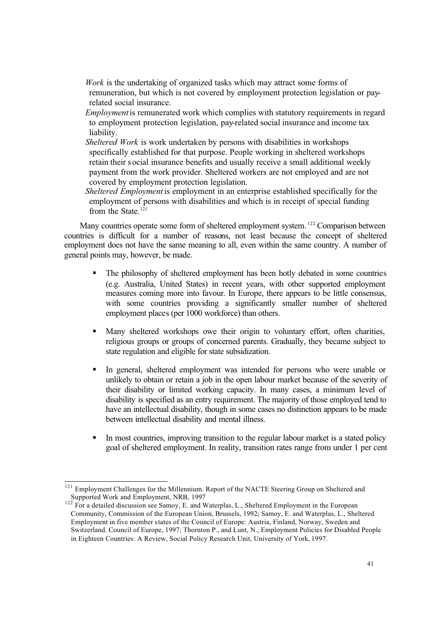- *Work* is the undertaking of organized tasks which may attract some forms of remuneration, but which is not covered by employment protection legislation or payrelated social insurance.
- *Employment* is remunerated work which complies with statutory requirements in regard to employment protection legislation, pay-related social insurance and income tax liability.
- *Sheltered Work* is work undertaken by persons with disabilities in workshops specifically established for that purpose. People working in sheltered workshops retain their social insurance benefits and usually receive a small additional weekly payment from the work provider. Sheltered workers are not employed and are not covered by employment protection legislation.

*Sheltered Employment* is employment in an enterprise established specifically for the employment of persons with disabilities and which is in receipt of special funding from the State.<sup>121</sup>

Many countries operate some form of sheltered employment system.<sup>122</sup> Comparison between countries is difficult for a number of reasons, not least because the concept of sheltered employment does not have the same meaning to all, even within the same country. A number of general points may, however, be made.

- - The philosophy of sheltered employment has been hotly debated in some countries (e.g. Australia, United States) in recent years, with other supported employment measures coming more into favour. In Europe, there appears to be little consensus, with some countries providing a significantly smaller number of sheltered employment places (per 1000 workforce) than others.
- - Many sheltered workshops owe their origin to voluntary effort, often charities, religious groups or groups of concerned parents. Gradually, they became subject to state regulation and eligible for state subsidization.
- - In general, sheltered employment was intended for persons who were unable or unlikely to obtain or retain a job in the open labour market because of the severity of their disability or limited working capacity. In many cases, a minimum level of disability is specified as an entry requirement. The majority of those employed tend to have an intellectual disability, though in some cases no distinction appears to be made between intellectual disability and mental illness.
- - In most countries, improving transition to the regular labour market is a stated policy goal of sheltered employment. In reality, transition rates range from under 1 per cent

<sup>&</sup>lt;sup>121</sup> Employment Challenges for the Millennium. Report of the NACTE Steering Group on Sheltered and Supported Work and Employment, NRB, 1997<br><sup>122</sup> For a detailed discussion see Samoy, E. and Waterplas, L., Sheltered Employment in the European

Community, Commission of the European Union, Brussels, 1992; Samoy, E. and Waterplas, L., Sheltered Employment in five member states of the Council of Europe: Austria, Finland, Norway, Sweden and Switzerland. Council of Europe, 1997; Thornton P., and Lunt, N., Employment Policies for Disabled People in Eighteen Countries: A Review, Social Policy Research Unit, University of York, 1997.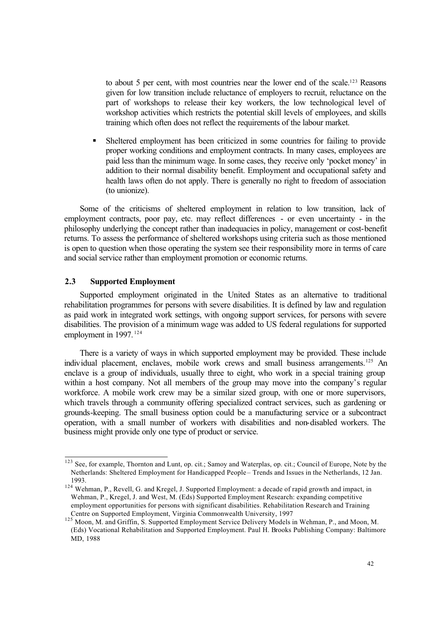to about 5 per cent, with most countries near the lower end of the scale.<sup>123</sup> Reasons given for low transition include reluctance of employers to recruit, reluctance on the part of workshops to release their key workers, the low technological level of workshop activities which restricts the potential skill levels of employees, and skills training which often does not reflect the requirements of the labour market.

- Sheltered employment has been criticized in some countries for failing to provide proper working conditions and employment contracts. In many cases, employees are paid less than the minimum wage. In some cases, they receive only 'pocket money' in addition to their normal disability benefit. Employment and occupational safety and health laws often do not apply. There is generally no right to freedom of association (to unionize).

Some of the criticisms of sheltered employment in relation to low transition, lack of employment contracts, poor pay, etc. may reflect differences - or even uncertainty - in the philosophy underlying the concept rather than inadequacies in policy, management or cost-benefit returns. To assess the performance of sheltered workshops using criteria such as those mentioned is open to question when those operating the system see their responsibility more in terms of care and social service rather than employment promotion or economic returns.

## **2.3 Supported Employment**

Supported employment originated in the United States as an alternative to traditional rehabilitation programmes for persons with severe disabilities. It is defined by law and regulation as paid work in integrated work settings, with ongoing support services, for persons with severe disabilities. The provision of a minimum wage was added to US federal regulations for supported employment in 1997.<sup>124</sup>

There is a variety of ways in which supported employment may be provided. These include individual placement, enclaves, mobile work crews and small business arrangements.<sup>125</sup> An enclave is a group of individuals, usually three to eight, who work in a special training group within a host company. Not all members of the group may move into the company's regular workforce. A mobile work crew may be a similar sized group, with one or more supervisors, which travels through a community offering specialized contract services, such as gardening or grounds-keeping. The small business option could be a manufacturing service or a subcontract operation, with a small number of workers with disabilities and non-disabled workers. The business might provide only one type of product or service.

<sup>&</sup>lt;sup>123</sup> See, for example, Thornton and Lunt, op. cit.; Samoy and Waterplas, op. cit.; Council of Europe, Note by the Netherlands: Sheltered Employment for Handicapped People-Trends and Issues in the Netherlands, 12 Jan. 1993.

<sup>&</sup>lt;sup>124</sup> Wehman, P., Revell, G. and Kregel, J. Supported Employment: a decade of rapid growth and impact, in Wehman, P., Kregel, J. and West, M. (Eds) Supported Employment Research: expanding competitive employment opportunities for persons with significant disabilities. Rehabilitation Research and Training

Centre on Supported Employment, Virginia Commonwealth University, 1997<br><sup>125</sup> Moon, M. and Griffin, S. Supported Employment Service Delivery Models in Wehman, P., and Moon, M. (Eds) Vocational Rehabilitation and Supported Employment. Paul H. Brooks Publishing Company: Baltimore MD, 1988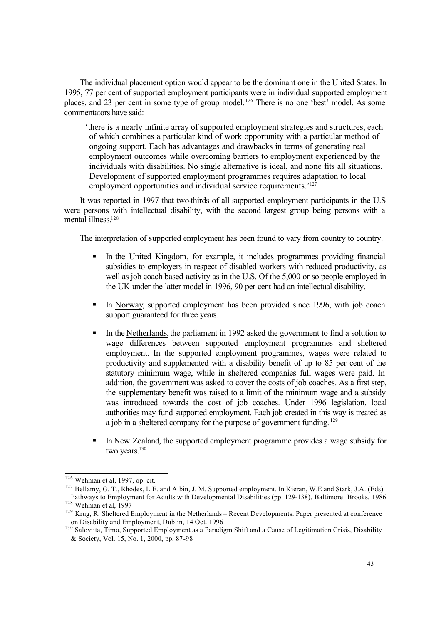The individual placement option would appear to be the dominant one in the United States. In 1995, 77 per cent of supported employment participants were in individual supported employment places, and 23 per cent in some type of group model. 126 There is no one 'best' model. As some commentators have said:

'there is a nearly infinite array of supported employment strategies and structures, each of which combines a particular kind of work opportunity with a particular method of ongoing support. Each has advantages and drawbacks in terms of generating real employment outcomes while overcoming barriers to employment experienced by the individuals with disabilities. No single alternative is ideal, and none fits all situations. Development of supported employment programmes requires adaptation to local employment opportunities and individual service requirements.'<sup>127</sup>

It was reported in 1997 that two-thirds of all supported employment participants in the U.S were persons with intellectual disability, with the second largest group being persons with a mental illness.128

The interpretation of supported employment has been found to vary from country to country.

- - In the United Kingdom, for example, it includes programmes providing financial subsidies to employers in respect of disabled workers with reduced productivity, as well as job coach based activity as in the U.S. Of the 5,000 or so people employed in the UK under the latter model in 1996, 90 per cent had an intellectual disability.
- - In Norway, supported employment has been provided since 1996, with job coach support guaranteed for three years.
- - In the Netherlands, the parliament in 1992 asked the government to find a solution to wage differences between supported employment programmes and sheltered employment. In the supported employment programmes, wages were related to productivity and supplemented with a disability benefit of up to 85 per cent of the statutory minimum wage, while in sheltered companies full wages were paid. In addition, the government was asked to cover the costs of job coaches. As a first step, the supplementary benefit was raised to a limit of the minimum wage and a subsidy was introduced towards the cost of job coaches. Under 1996 legislation, local authorities may fund supported employment. Each job created in this way is treated as a job in a sheltered company for the purpose of government funding. <sup>129</sup>
- - In New Zealand, the supported employment programme provides a wage subsidy for two years.<sup>130</sup>

 $126$  Wehman et al, 1997, op. cit.

<sup>&</sup>lt;sup>127</sup> Bellamy, G. T., Rhodes, L.E. and Albin, J. M. Supported employment. In Kieran, W.E and Stark, J.A. (Eds) Pathways to Employment for Adults with Developmental Disabilities (pp. 129-138), Baltimore: Brooks, 1986 128 Wehman et al, 1997

<sup>&</sup>lt;sup>129</sup> Krug, R. Sheltered Employment in the Netherlands – Recent Developments. Paper presented at conference on Disability and Employment, Dublin, 14 Oct. 1996<br><sup>130</sup> Saloviita, Timo, Supported Employment as a Paradigm Shift and a Cause of Legitimation Crisis, Disability

<sup>&</sup>amp; Society, Vol. 15, No. 1, 2000, pp. 87-98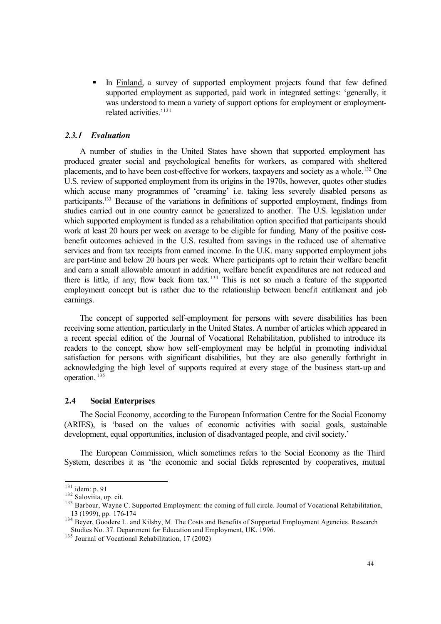- In Finland, a survey of supported employment projects found that few defined supported employment as supported, paid work in integrated settings: 'generally, it was understood to mean a variety of support options for employment or employmentrelated activities<sup>'131</sup>

#### *2.3.1 Evaluation*

A number of studies in the United States have shown that supported employment has produced greater social and psychological benefits for workers, as compared with sheltered placements, and to have been cost-effective for workers, taxpayers and society as a whole.<sup>132</sup> One U.S. review of supported employment from its origins in the 1970s, however, quotes other studies which accuse many programmes of 'creaming' i.e. taking less severely disabled persons as participants.133 Because of the variations in definitions of supported employment, findings from studies carried out in one country cannot be generalized to another. The U.S. legislation under which supported employment is funded as a rehabilitation option specified that participants should work at least 20 hours per week on average to be eligible for funding. Many of the positive costbenefit outcomes achieved in the U.S. resulted from savings in the reduced use of alternative services and from tax receipts from earned income. In the U.K. many supported employment jobs are part-time and below 20 hours per week. Where participants opt to retain their welfare benefit and earn a small allowable amount in addition, welfare benefit expenditures are not reduced and there is little, if any, flow back from  $\text{tax}$ . <sup>134</sup> This is not so much a feature of the supported employment concept but is rather due to the relationship between benefit entitlement and job earnings.

The concept of supported self-employment for persons with severe disabilities has been receiving some attention, particularly in the United States. A number of articles which appeared in a recent special edition of the Journal of Vocational Rehabilitation, published to introduce its readers to the concept, show how self-employment may be helpful in promoting individual satisfaction for persons with significant disabilities, but they are also generally forthright in acknowledging the high level of supports required at every stage of the business start-up and operation. <sup>135</sup>

## **2.4 Social Enterprises**

The Social Economy, according to the European Information Centre for the Social Economy (ARIES), is 'based on the values of economic activities with social goals, sustainable development, equal opportunities, inclusion of disadvantaged people, and civil society.'

The European Commission, which sometimes refers to the Social Economy as the Third System, describes it as 'the economic and social fields represented by cooperatives, mutual

<sup>&</sup>lt;sup>131</sup> idem: p. 91<br><sup>132</sup> Saloviita, op. cit.<br><sup>133</sup> Barbour, Wayne C. Supported Employment: the coming of full circle. Journal of Vocational Rehabilitation, 13 (1999), pp. 176-174 134 Beyer, Goodere L. and Kilsby, M. The Costs and Benefits of Supported Employment Agencies. Research

Studies No. 37. Department for Education and Employment, UK. 1996.

<sup>&</sup>lt;sup>135</sup> Journal of Vocational Rehabilitation, 17 (2002)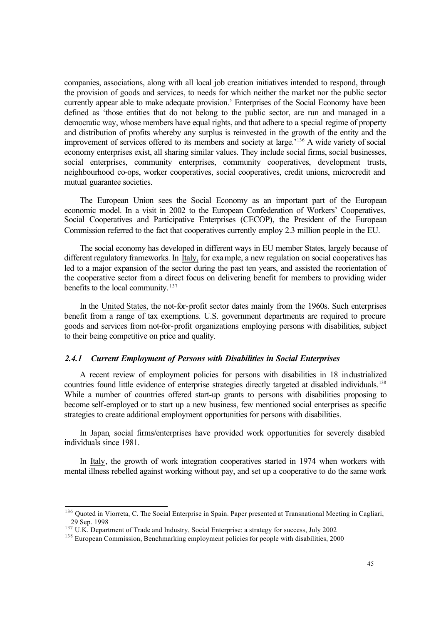companies, associations, along with all local job creation initiatives intended to respond, through the provision of goods and services, to needs for which neither the market nor the public sector currently appear able to make adequate provision.' Enterprises of the Social Economy have been defined as 'those entities that do not belong to the public sector, are run and managed in a democratic way, whose members have equal rights, and that adhere to a special regime of property and distribution of profits whereby any surplus is reinvested in the growth of the entity and the improvement of services offered to its members and society at large.'136 A wide variety of social economy enterprises exist, all sharing similar values. They include social firms, social businesses, social enterprises, community enterprises, community cooperatives, development trusts, neighbourhood co-ops, worker cooperatives, social cooperatives, credit unions, microcredit and mutual guarantee societies.

The European Union sees the Social Economy as an important part of the European economic model. In a visit in 2002 to the European Confederation of Workers' Cooperatives, Social Cooperatives and Participative Enterprises (CECOP), the President of the European Commission referred to the fact that cooperatives currently employ 2.3 million people in the EU.

The social economy has developed in different ways in EU member States, largely because of different regulatory frameworks. In Italy, for example, a new regulation on social cooperatives has led to a major expansion of the sector during the past ten years, and assisted the reorientation of the cooperative sector from a direct focus on delivering benefit for members to providing wider benefits to the local community.<sup>137</sup>

In the United States, the not-for-profit sector dates mainly from the 1960s. Such enterprises benefit from a range of tax exemptions. U.S. government departments are required to procure goods and services from not-for-profit organizations employing persons with disabilities, subject to their being competitive on price and quality.

#### *2.4.1 Current Employment of Persons with Disabilities in Social Enterprises*

A recent review of employment policies for persons with disabilities in 18 industrialized countries found little evidence of enterprise strategies directly targeted at disabled individuals.<sup>138</sup> While a number of countries offered start-up grants to persons with disabilities proposing to become self-employed or to start up a new business, few mentioned social enterprises as specific strategies to create additional employment opportunities for persons with disabilities.

In Japan, social firms/enterprises have provided work opportunities for severely disabled individuals since 1981.

In Italy, the growth of work integration cooperatives started in 1974 when workers with mental illness rebelled against working without pay, and set up a cooperative to do the same work

<sup>&</sup>lt;sup>136</sup> Quoted in Viorreta, C. The Social Enterprise in Spain. Paper presented at Transnational Meeting in Cagliari, 29 Sep. 1998

<sup>&</sup>lt;sup>137</sup> U.K. Department of Trade and Industry, Social Enterprise: a strategy for success, July 2002

<sup>&</sup>lt;sup>138</sup> European Commission, Benchmarking employment policies for people with disabilities, 2000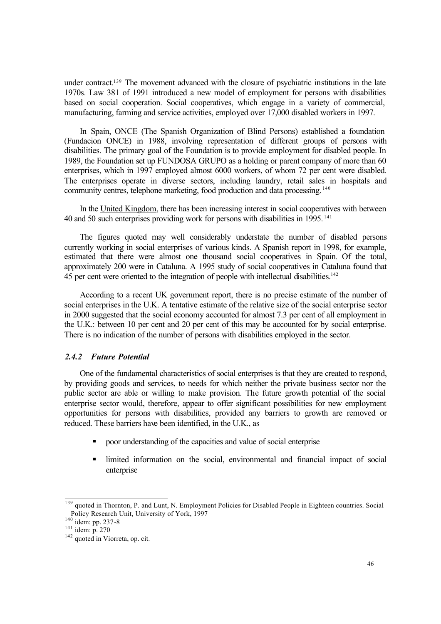under contract.<sup>139</sup> The movement advanced with the closure of psychiatric institutions in the late 1970s. Law 381 of 1991 introduced a new model of employment for persons with disabilities based on social cooperation. Social cooperatives, which engage in a variety of commercial, manufacturing, farming and service activities, employed over 17,000 disabled workers in 1997.

In Spain, ONCE (The Spanish Organization of Blind Persons) established a foundation (Fundacion ONCE) in 1988, involving representation of different groups of persons with disabilities. The primary goal of the Foundation is to provide employment for disabled people. In 1989, the Foundation set up FUNDOSA GRUPO as a holding or parent company of more than 60 enterprises, which in 1997 employed almost 6000 workers, of whom 72 per cent were disabled. The enterprises operate in diverse sectors, including laundry, retail sales in hospitals and community centres, telephone marketing, food production and data processing. <sup>140</sup>

In the United Kingdom, there has been increasing interest in social cooperatives with between 40 and 50 such enterprises providing work for persons with disabilities in 1995. <sup>141</sup>

The figures quoted may well considerably understate the number of disabled persons currently working in social enterprises of various kinds. A Spanish report in 1998, for example, estimated that there were almost one thousand social cooperatives in Spain. Of the total, approximately 200 were in Cataluna. A 1995 study of social cooperatives in Cataluna found that 45 per cent were oriented to the integration of people with intellectual disabilities.<sup>142</sup>

According to a recent UK government report, there is no precise estimate of the number of social enterprises in the U.K. A tentative estimate of the relative size of the social enterprise sector in 2000 suggested that the social economy accounted for almost 7.3 per cent of all employment in the U.K.: between 10 per cent and 20 per cent of this may be accounted for by social enterprise. There is no indication of the number of persons with disabilities employed in the sector.

## *2.4.2 Future Potential*

One of the fundamental characteristics of social enterprises is that they are created to respond, by providing goods and services, to needs for which neither the private business sector nor the public sector are able or willing to make provision. The future growth potential of the social enterprise sector would, therefore, appear to offer significant possibilities for new employment opportunities for persons with disabilities, provided any barriers to growth are removed or reduced. These barriers have been identified, in the U.K., as

- poor understanding of the capacities and value of social enterprise
- limited information on the social, environmental and financial impact of social enterprise

<sup>&</sup>lt;sup>139</sup> quoted in Thornton, P. and Lunt, N. Employment Policies for Disabled People in Eighteen countries. Social Policy Research Unit, University of York, 1997<br><sup>140</sup> idem: pp. 237-8<br><sup>141</sup> idem: p. 270

<sup>&</sup>lt;sup>142</sup> quoted in Viorreta, op. cit.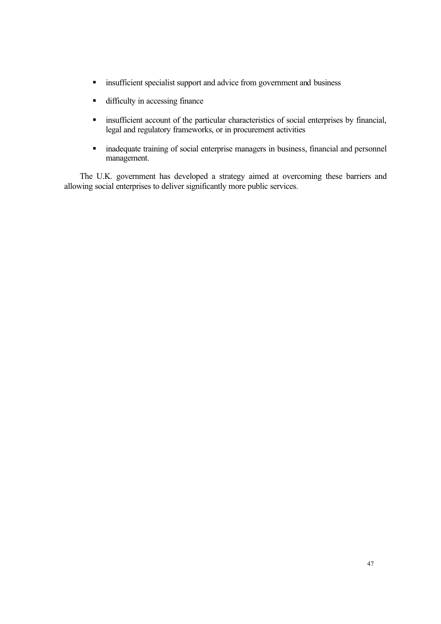- insufficient specialist support and advice from government and business
- difficulty in accessing finance
- insufficient account of the particular characteristics of social enterprises by financial, legal and regulatory frameworks, or in procurement activities
- inadequate training of social enterprise managers in business, financial and personnel management.

The U.K. government has developed a strategy aimed at overcoming these barriers and allowing social enterprises to deliver significantly more public services.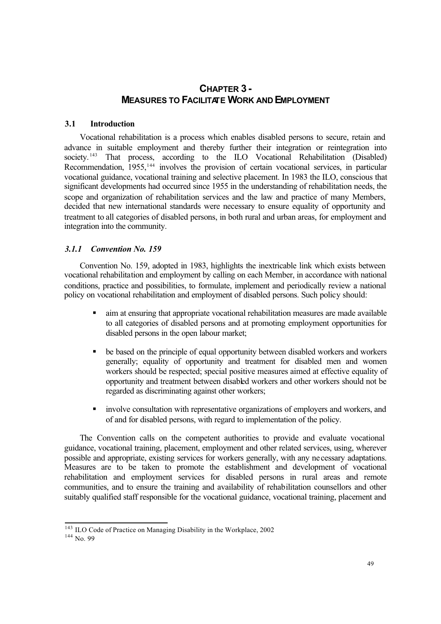# **CHAPTER 3 - MEASURES TO FACILITATE WORK AND EMPLOYMENT**

## **3.1 Introduction**

Vocational rehabilitation is a process which enables disabled persons to secure, retain and advance in suitable employment and thereby further their integration or reintegration into society.<sup>143</sup> That process, according to the ILO Vocational Rehabilitation (Disabled) Recommendation, 1955,<sup>144</sup> involves the provision of certain vocational services, in particular vocational guidance, vocational training and selective placement. In 1983 the ILO, conscious that significant developments had occurred since 1955 in the understanding of rehabilitation needs, the scope and organization of rehabilitation services and the law and practice of many Members, decided that new international standards were necessary to ensure equality of opportunity and treatment to all categories of disabled persons, in both rural and urban areas, for employment and integration into the community.

# *3.1.1 Convention No. 159*

Convention No. 159, adopted in 1983, highlights the inextricable link which exists between vocational rehabilitation and employment by calling on each Member, in accordance with national conditions, practice and possibilities, to formulate, implement and periodically review a national policy on vocational rehabilitation and employment of disabled persons. Such policy should:

- aim at ensuring that appropriate vocational rehabilitation measures are made available to all categories of disabled persons and at promoting employment opportunities for disabled persons in the open labour market;
- be based on the principle of equal opportunity between disabled workers and workers generally; equality of opportunity and treatment for disabled men and women workers should be respected; special positive measures aimed at effective equality of opportunity and treatment between disabled workers and other workers should not be regarded as discriminating against other workers;
- involve consultation with representative organizations of employers and workers, and of and for disabled persons, with regard to implementation of the policy.

The Convention calls on the competent authorities to provide and evaluate vocational guidance, vocational training, placement, employment and other related services, using, wherever possible and appropriate, existing services for workers generally, with any necessary adaptations. Measures are to be taken to promote the establishment and development of vocational rehabilitation and employment services for disabled persons in rural areas and remote communities, and to ensure the training and availability of rehabilitation counsellors and other suitably qualified staff responsible for the vocational guidance, vocational training, placement and

<sup>143</sup> ILO Code of Practice on Managing Disability in the Workplace, 2002

<sup>144</sup> No. 99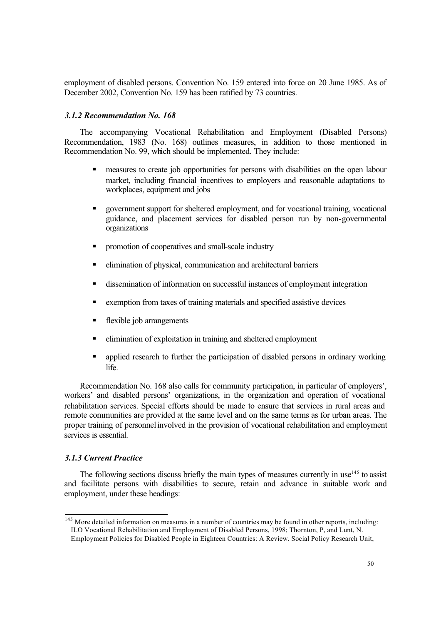employment of disabled persons. Convention No. 159 entered into force on 20 June 1985. As of December 2002, Convention No. 159 has been ratified by 73 countries.

### *3.1.2 Recommendation No. 168*

The accompanying Vocational Rehabilitation and Employment (Disabled Persons) Recommendation, 1983 (No. 168) outlines measures, in addition to those mentioned in Recommendation No. 99, which should be implemented. They include:

- measures to create job opportunities for persons with disabilities on the open labour market, including financial incentives to employers and reasonable adaptations to workplaces, equipment and jobs
- government support for sheltered employment, and for vocational training, vocational guidance, and placement services for disabled person run by non-governmental organizations
- promotion of cooperatives and small-scale industry
- elimination of physical, communication and architectural barriers
- dissemination of information on successful instances of employment integration
- exemption from taxes of training materials and specified assistive devices
- flexible job arrangements
- elimination of exploitation in training and sheltered employment
- applied research to further the participation of disabled persons in ordinary working life.

Recommendation No. 168 also calls for community participation, in particular of employers', workers' and disabled persons' organizations, in the organization and operation of vocational rehabilitation services. Special efforts should be made to ensure that services in rural areas and remote communities are provided at the same level and on the same terms as for urban areas. The proper training of personnel involved in the provision of vocational rehabilitation and employment services is essential.

## *3.1.3 Current Practice*

The following sections discuss briefly the main types of measures currently in use<sup> $145$ </sup> to assist and facilitate persons with disabilities to secure, retain and advance in suitable work and employment, under these headings:

<sup>&</sup>lt;sup>145</sup> More detailed information on measures in a number of countries may be found in other reports, including: ILO Vocational Rehabilitation and Employment of Disabled Persons, 1998; Thornton, P, and Lunt, N. Employment Policies for Disabled People in Eighteen Countries: A Review. Social Policy Research Unit,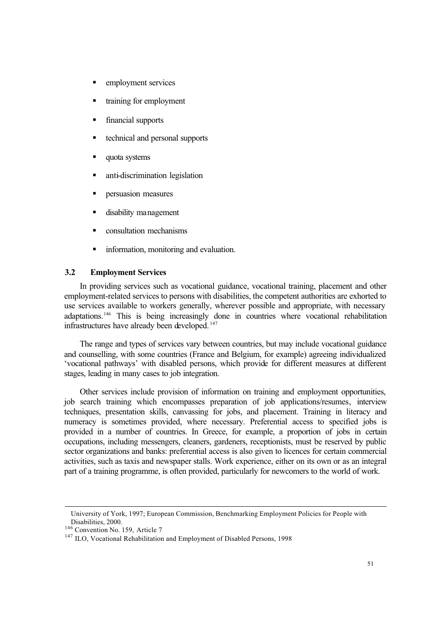- employment services
- training for employment
- financial supports
- technical and personal supports
- quota systems
- anti-discrimination legislation
- persuasion measures
- disability management
- consultation mechanisms
- information, monitoring and evaluation.

#### **3.2 Employment Services**

In providing services such as vocational guidance, vocational training, placement and other employment-related services to persons with disabilities, the competent authorities are exhorted to use services available to workers generally, wherever possible and appropriate, with necessary adaptations.<sup>146</sup> This is being increasingly done in countries where vocational rehabilitation infrastructures have already been developed. <sup>147</sup>

The range and types of services vary between countries, but may include vocational guidance and counselling, with some countries (France and Belgium, for example) agreeing individualized 'vocational pathways' with disabled persons, which provide for different measures at different stages, leading in many cases to job integration.

Other services include provision of information on training and employment opportunities, job search training which encompasses preparation of job applications/resumes, interview techniques, presentation skills, canvassing for jobs, and placement. Training in literacy and numeracy is sometimes provided, where necessary. Preferential access to specified jobs is provided in a number of countries. In Greece, for example, a proportion of jobs in certain occupations, including messengers, cleaners, gardeners, receptionists, must be reserved by public sector organizations and banks: preferential access is also given to licences for certain commercial activities, such as taxis and newspaper stalls. Work experience, either on its own or as an integral part of a training programme, is often provided, particularly for newcomers to the world of work.

University of York, 1997; European Commission, Benchmarking Employment Policies for People with Disabilities, 2000.<br><sup>146</sup> Convention No. 159, Article 7

<sup>&</sup>lt;sup>147</sup> ILO, Vocational Rehabilitation and Employment of Disabled Persons, 1998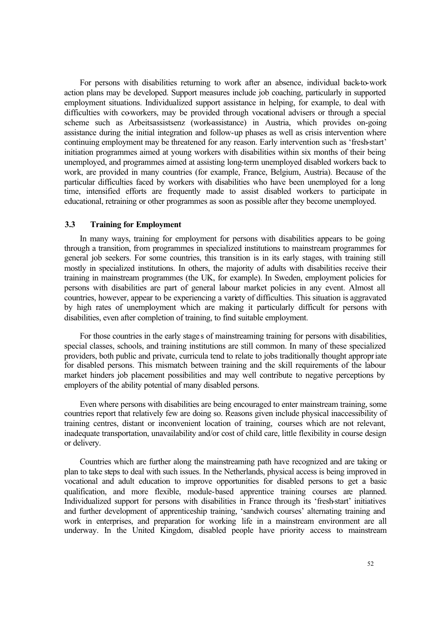For persons with disabilities returning to work after an absence, individual back-to-work action plans may be developed. Support measures include job coaching, particularly in supported employment situations. Individualized support assistance in helping, for example, to deal with difficulties with co-workers, may be provided through vocational advisers or through a special scheme such as Arbeitsassistsenz (work-assistance) in Austria, which provides on-going assistance during the initial integration and follow-up phases as well as crisis intervention where continuing employment may be threatened for any reason. Early intervention such as 'fresh-start' initiation programmes aimed at young workers with disabilities within six months of their being unemployed, and programmes aimed at assisting long-term unemployed disabled workers back to work, are provided in many countries (for example, France, Belgium, Austria). Because of the particular difficulties faced by workers with disabilities who have been unemployed for a long time, intensified efforts are frequently made to assist disabled workers to participate in educational, retraining or other programmes as soon as possible after they become unemployed.

## **3.3 Training for Employment**

In many ways, training for employment for persons with disabilities appears to be going through a transition, from programmes in specialized institutions to mainstream programmes for general job seekers. For some countries, this transition is in its early stages, with training still mostly in specialized institutions. In others, the majority of adults with disabilities receive their training in mainstream programmes (the UK, for example). In Sweden, employment policies for persons with disabilities are part of general labour market policies in any event. Almost all countries, however, appear to be experiencing a variety of difficulties. This situation is aggravated by high rates of unemployment which are making it particularly difficult for persons with disabilities, even after completion of training, to find suitable employment.

For those countries in the early stages of mainstreaming training for persons with disabilities, special classes, schools, and training institutions are still common. In many of these specialized providers, both public and private, curricula tend to relate to jobs traditionally thought appropriate for disabled persons. This mismatch between training and the skill requirements of the labour market hinders job placement possibilities and may well contribute to negative perceptions by employers of the ability potential of many disabled persons.

Even where persons with disabilities are being encouraged to enter mainstream training, some countries report that relatively few are doing so. Reasons given include physical inaccessibility of training centres, distant or inconvenient location of training, courses which are not relevant, inadequate transportation, unavailability and/or cost of child care, little flexibility in course design or delivery.

Countries which are further along the mainstreaming path have recognized and are taking or plan to take steps to deal with such issues. In the Netherlands, physical access is being improved in vocational and adult education to improve opportunities for disabled persons to get a basic qualification, and more flexible, module-based apprentice training courses are planned. Individualized support for persons with disabilities in France through its 'fresh-start' initiatives and further development of apprenticeship training, 'sandwich courses' alternating training and work in enterprises, and preparation for working life in a mainstream environment are all underway. In the United Kingdom, disabled people have priority access to mainstream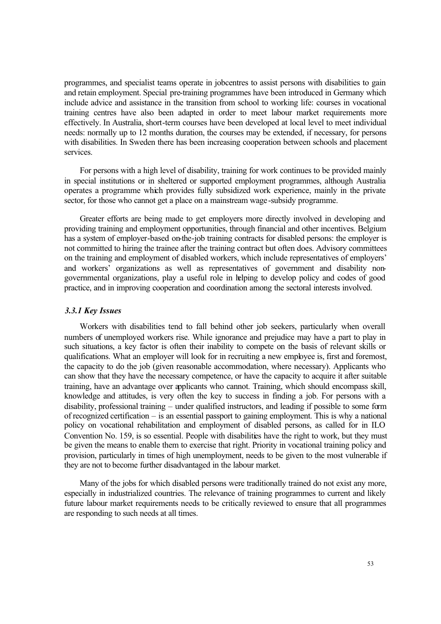programmes, and specialist teams operate in jobcentres to assist persons with disabilities to gain and retain employment. Special pre-training programmes have been introduced in Germany which include advice and assistance in the transition from school to working life: courses in vocational training centres have also been adapted in order to meet labour market requirements more effectively. In Australia, short-term courses have been developed at local level to meet individual needs: normally up to 12 months duration, the courses may be extended, if necessary, for persons with disabilities. In Sweden there has been increasing cooperation between schools and placement services.

For persons with a high level of disability, training for work continues to be provided mainly in special institutions or in sheltered or supported employment programmes, although Australia operates a programme which provides fully subsidized work experience, mainly in the private sector, for those who cannot get a place on a mainstream wage-subsidy programme.

Greater efforts are being made to get employers more directly involved in developing and providing training and employment opportunities, through financial and other incentives. Belgium has a system of employer-based on-the-job training contracts for disabled persons: the employer is not committed to hiring the trainee after the training contract but often does. Advisory committees on the training and employment of disabled workers, which include representatives of employers' and workers' organizations as well as representatives of government and disability nongovernmental organizations, play a useful role in helping to develop policy and codes of good practice, and in improving cooperation and coordination among the sectoral interests involved.

## *3.3.1 Key Issues*

Workers with disabilities tend to fall behind other job seekers, particularly when overall numbers of unemployed workers rise. While ignorance and prejudice may have a part to play in such situations, a key factor is often their inability to compete on the basis of relevant skills or qualifications. What an employer will look for in recruiting a new employee is, first and foremost, the capacity to do the job (given reasonable accommodation, where necessary). Applicants who can show that they have the necessary competence, or have the capacity to acquire it after suitable training, have an advantage over applicants who cannot. Training, which should encompass skill, knowledge and attitudes, is very often the key to success in finding a job. For persons with a disability, professional training – under qualified instructors, and leading if possible to some form of recognized certification – is an essential passport to gaining employment. This is why a national policy on vocational rehabilitation and employment of disabled persons, as called for in ILO Convention No. 159, is so essential. People with disabilities have the right to work, but they must be given the means to enable them to exercise that right. Priority in vocational training policy and provision, particularly in times of high unemployment, needs to be given to the most vulnerable if they are not to become further disadvantaged in the labour market.

Many of the jobs for which disabled persons were traditionally trained do not exist any more, especially in industrialized countries. The relevance of training programmes to current and likely future labour market requirements needs to be critically reviewed to ensure that all programmes are responding to such needs at all times.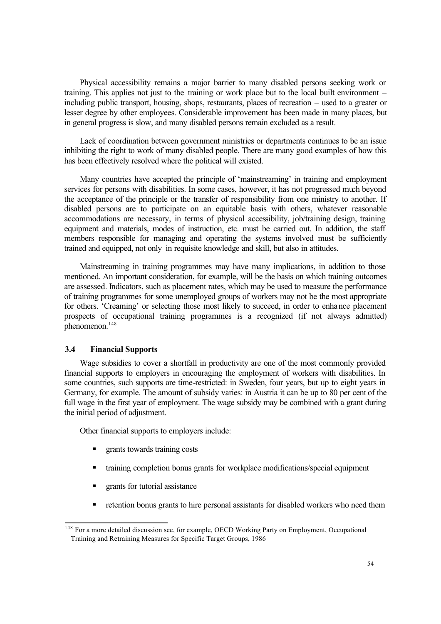Physical accessibility remains a major barrier to many disabled persons seeking work or training. This applies not just to the training or work place but to the local built environment – including public transport, housing, shops, restaurants, places of recreation – used to a greater or lesser degree by other employees. Considerable improvement has been made in many places, but in general progress is slow, and many disabled persons remain excluded as a result.

Lack of coordination between government ministries or departments continues to be an issue inhibiting the right to work of many disabled people. There are many good examples of how this has been effectively resolved where the political will existed.

Many countries have accepted the principle of 'mainstreaming' in training and employment services for persons with disabilities. In some cases, however, it has not progressed much beyond the acceptance of the principle or the transfer of responsibility from one ministry to another. If disabled persons are to participate on an equitable basis with others, whatever reasonable accommodations are necessary, in terms of physical accessibility, job/training design, training equipment and materials, modes of instruction, etc. must be carried out. In addition, the staff members responsible for managing and operating the systems involved must be sufficiently trained and equipped, not only in requisite knowledge and skill, but also in attitudes.

Mainstreaming in training programmes may have many implications, in addition to those mentioned. An important consideration, for example, will be the basis on which training outcomes are assessed. Indicators, such as placement rates, which may be used to measure the performance of training programmes for some unemployed groups of workers may not be the most appropriate for others. 'Creaming' or selecting those most likely to succeed, in order to enhance placement prospects of occupational training programmes is a recognized (if not always admitted) phenomenon.<sup>148</sup>

## **3.4 Financial Supports**

Wage subsidies to cover a shortfall in productivity are one of the most commonly provided financial supports to employers in encouraging the employment of workers with disabilities. In some countries, such supports are time-restricted: in Sweden, four years, but up to eight years in Germany, for example. The amount of subsidy varies: in Austria it can be up to 80 per cent of the full wage in the first year of employment. The wage subsidy may be combined with a grant during the initial period of adjustment.

Other financial supports to employers include:

- grants towards training costs
- training completion bonus grants for workplace modifications/special equipment
- grants for tutorial assistance
- retention bonus grants to hire personal assistants for disabled workers who need them

<sup>&</sup>lt;sup>148</sup> For a more detailed discussion see, for example, OECD Working Party on Employment, Occupational Training and Retraining Measures for Specific Target Groups, 1986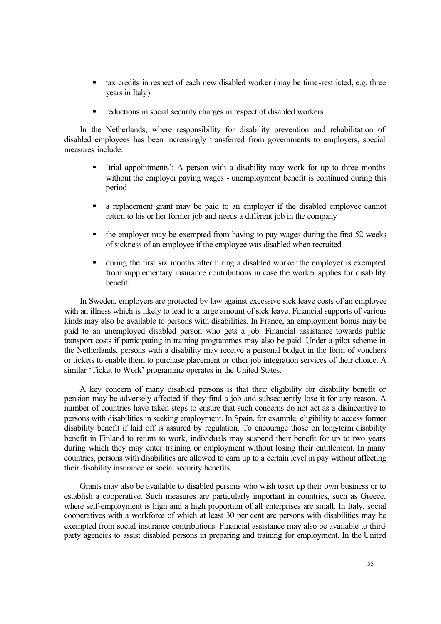- tax credits in respect of each new disabled worker (may be time-restricted, e.g. three years in Italy)
- reductions in social security charges in respect of disabled workers.

In the Netherlands, where responsibility for disability prevention and rehabilitation of disabled employees has been increasingly transferred from governments to employers, special measures include:

- - 'trial appointments': A person with a disability may work for up to three months without the employer paying wages - unemployment benefit is continued during this period
- a replacement grant may be paid to an employer if the disabled employee cannot return to his or her former job and needs a different job in the company
- the employer may be exempted from having to pay wages during the first 52 weeks of sickness of an employee if the employee was disabled when recruited
- during the first six months after hiring a disabled worker the employer is exempted from supplementary insurance contributions in case the worker applies for disability benefit.

In Sweden, employers are protected by law against excessive sick leave costs of an employee with an illness which is likely to lead to a large amount of sick leave. Financial supports of various kinds may also be available to persons with disabilities. In France, an employment bonus may be paid to an unemployed disabled person who gets a job. Financial assistance towards public transport costs if participating in training programmes may also be paid. Under a pilot scheme in the Netherlands, persons with a disability may receive a personal budget in the form of vouchers or tickets to enable them to purchase placement or other job integration services of their choice. A similar 'Ticket to Work' programme operates in the United States.

A key concern of many disabled persons is that their eligibility for disability benefit or pension may be adversely affected if they find a job and subsequently lose it for any reason. A number of countries have taken steps to ensure that such concerns do not act as a disincentive to persons with disabilities in seeking employment. In Spain, for example, eligibility to access former disability benefit if laid off is assured by regulation. To encourage those on long-term disability benefit in Finland to return to work, individuals may suspend their benefit for up to two years during which they may enter training or employment without losing their entitlement. In many countries, persons with disabilities are allowed to earn up to a certain level in pay without affecting their disability insurance or social security benefits.

Grants may also be available to disabled persons who wish to set up their own business or to establish a cooperative. Such measures are particularly important in countries, such as Greece, where self-employment is high and a high proportion of all enterprises are small. In Italy, social cooperatives with a workforce of which at least 30 per cent are persons with disabilities may be exempted from social insurance contributions. Financial assistance may also be available to thirdparty agencies to assist disabled persons in preparing and training for employment. In the United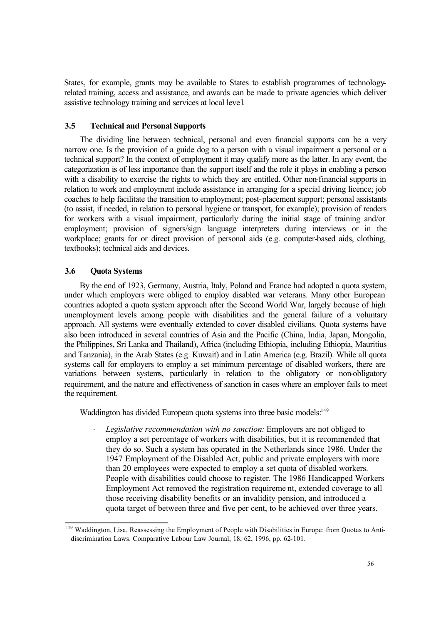States, for example, grants may be available to States to establish programmes of technologyrelated training, access and assistance, and awards can be made to private agencies which deliver assistive technology training and services at local level.

# **3.5 Technical and Personal Supports**

The dividing line between technical, personal and even financial supports can be a very narrow one. Is the provision of a guide dog to a person with a visual impairment a personal or a technical support? In the context of employment it may qualify more as the latter. In any event, the categorization is of less importance than the support itself and the role it plays in enabling a person with a disability to exercise the rights to which they are entitled. Other non-financial supports in relation to work and employment include assistance in arranging for a special driving licence; job coaches to help facilitate the transition to employment; post-placement support; personal assistants (to assist, if needed, in relation to personal hygiene or transport, for example); provision of readers for workers with a visual impairment, particularly during the initial stage of training and/or employment; provision of signers/sign language interpreters during interviews or in the workplace; grants for or direct provision of personal aids (e.g. computer-based aids, clothing, textbooks); technical aids and devices.

# **3.6 Quota Systems**

By the end of 1923, Germany, Austria, Italy, Poland and France had adopted a quota system, under which employers were obliged to employ disabled war veterans. Many other European countries adopted a quota system approach after the Second World War, largely because of high unemployment levels among people with disabilities and the general failure of a voluntary approach. All systems were eventually extended to cover disabled civilians. Quota systems have also been introduced in several countries of Asia and the Pacific (China, India, Japan, Mongolia, the Philippines, Sri Lanka and Thailand), Africa (including Ethiopia, including Ethiopia, Mauritius and Tanzania), in the Arab States (e.g. Kuwait) and in Latin America (e.g. Brazil). While all quota systems call for employers to employ a set minimum percentage of disabled workers, there are variations between systems, particularly in relation to the obligatory or non-obligatory requirement, and the nature and effectiveness of sanction in cases where an employer fails to meet the requirement.

Waddington has divided European quota systems into three basic models:<sup>149</sup>

Legislative recommendation with no sanction: Employers are not obliged to employ a set percentage of workers with disabilities, but it is recommended that they do so. Such a system has operated in the Netherlands since 1986. Under the 1947 Employment of the Disabled Act, public and private employers with more than 20 employees were expected to employ a set quota of disabled workers. People with disabilities could choose to register. The 1986 Handicapped Workers Employment Act removed the registration requireme nt, extended coverage to all those receiving disability benefits or an invalidity pension, and introduced a quota target of between three and five per cent, to be achieved over three years.

<sup>&</sup>lt;sup>149</sup> Waddington, Lisa, Reassessing the Employment of People with Disabilities in Europe: from Quotas to Antidiscrimination Laws. Comparative Labour Law Journal, 18, 62, 1996, pp. 62-101.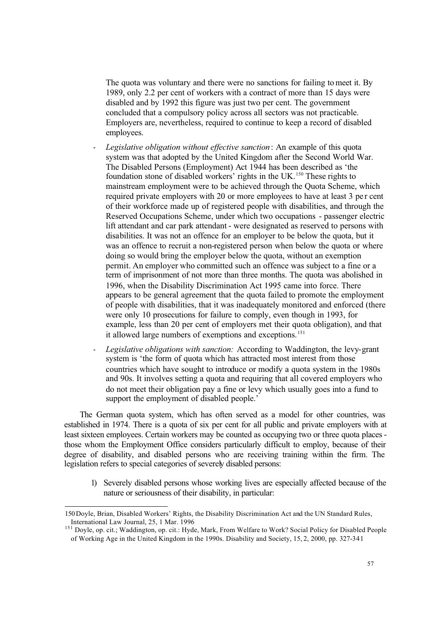The quota was voluntary and there were no sanctions for failing to meet it. By 1989, only 2.2 per cent of workers with a contract of more than 15 days were disabled and by 1992 this figure was just two per cent. The government concluded that a compulsory policy across all sectors was not practicable. Employers are, nevertheless, required to continue to keep a record of disabled employees.

- *Legislative obligation without effective sanction* : An example of this quota system was that adopted by the United Kingdom after the Second World War. The Disabled Persons (Employment) Act 1944 has been described as 'the foundation stone of disabled workers' rights in the UK.<sup>150</sup> These rights to mainstream employment were to be achieved through the Quota Scheme, which required private employers with 20 or more employees to have at least 3 per cent of their workforce made up of registered people with disabilities, and through the Reserved Occupations Scheme, under which two occupations - passenger electric lift attendant and car park attendant - were designated as reserved to persons with disabilities. It was not an offence for an employer to be below the quota, but it was an offence to recruit a non-registered person when below the quota or where doing so would bring the employer below the quota, without an exemption permit. An employer who committed such an offence was subject to a fine or a term of imprisonment of not more than three months. The quota was abolished in 1996, when the Disability Discrimination Act 1995 came into force. There appears to be general agreement that the quota failed to promote the employment of people with disabilities, that it was inadequately monitored and enforced (there were only 10 prosecutions for failure to comply, even though in 1993, for example, less than 20 per cent of employers met their quota obligation), and that it allowed large numbers of exemptions and exceptions.<sup>151</sup>
- *Legislative obligations with sanction:* According to Waddington, the levy-grant system is 'the form of quota which has attracted most interest from those countries which have sought to introduce or modify a quota system in the 1980s and 90s. It involves setting a quota and requiring that all covered employers who do not meet their obligation pay a fine or levy which usually goes into a fund to support the employment of disabled people.'

The German quota system, which has often served as a model for other countries, was established in 1974. There is a quota of six per cent for all public and private employers with at least sixteen employees. Certain workers may be counted as occupying two or three quota places those whom the Employment Office considers particularly difficult to employ, because of their degree of disability, and disabled persons who are receiving training within the firm. The legislation refers to special categories of severely disabled persons:

1) Severely disabled persons whose working lives are especially affected because of the nature or seriousness of their disability, in particular:

<sup>150</sup> Doyle, Brian, Disabled Workers' Rights, the Disability Discrimination Act and the UN Standard Rules,

International Law Journal, 25, 1 Mar. 1996<br><sup>151</sup> Doyle, op. cit.; Waddington, op. cit.: Hyde, Mark, From Welfare to Work? Social Policy for Disabled People of Working Age in the United Kingdom in the 1990s. Disability and Society, 15, 2, 2000, pp. 327-341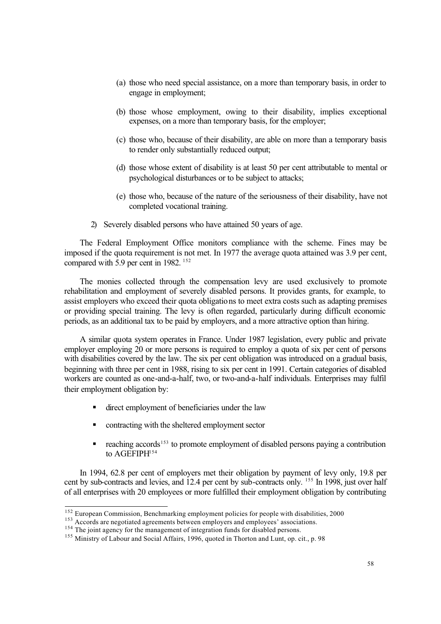- (a) those who need special assistance, on a more than temporary basis, in order to engage in employment;
- (b) those whose employment, owing to their disability, implies exceptional expenses, on a more than temporary basis, for the employer;
- (c) those who, because of their disability, are able on more than a temporary basis to render only substantially reduced output;
- (d) those whose extent of disability is at least 50 per cent attributable to mental or psychological disturbances or to be subject to attacks;
- (e) those who, because of the nature of the seriousness of their disability, have not completed vocational training.
- 2) Severely disabled persons who have attained 50 years of age.

The Federal Employment Office monitors compliance with the scheme. Fines may be imposed if the quota requirement is not met. In 1977 the average quota attained was 3.9 per cent, compared with 5.9 per cent in 1982.  $152$ 

The monies collected through the compensation levy are used exclusively to promote rehabilitation and employment of severely disabled persons. It provides grants, for example, to assist employers who exceed their quota obligations to meet extra costs such as adapting premises or providing special training. The levy is often regarded, particularly during difficult economic periods, as an additional tax to be paid by employers, and a more attractive option than hiring.

A similar quota system operates in France. Under 1987 legislation, every public and private employer employing 20 or more persons is required to employ a quota of six per cent of persons with disabilities covered by the law. The six per cent obligation was introduced on a gradual basis, beginning with three per cent in 1988, rising to six per cent in 1991. Certain categories of disabled workers are counted as one-and-a-half, two, or two-and-a-half individuals. Enterprises may fulfil their employment obligation by:

- direct employment of beneficiaries under the law
- contracting with the sheltered employment sector
- reaching accords<sup>153</sup> to promote employment of disabled persons paying a contribution to AGEFIPH<sup>154</sup>

In 1994, 62.8 per cent of employers met their obligation by payment of levy only, 19.8 per cent by sub-contracts and levies, and 12.4 per cent by sub-contracts only. <sup>155</sup> In 1998, just over half of all enterprises with 20 employees or more fulfilled their employment obligation by contributing

 $^{152}$  European Commission, Benchmarking employment policies for people with disabilities, 2000<br> $^{153}$  Accords are negotiated agreements between employers and employees' associations.<br> $^{154}$  The joint agency for the ma

<sup>&</sup>lt;sup>155</sup> Ministry of Labour and Social Affairs, 1996, quoted in Thorton and Lunt, op. cit., p. 98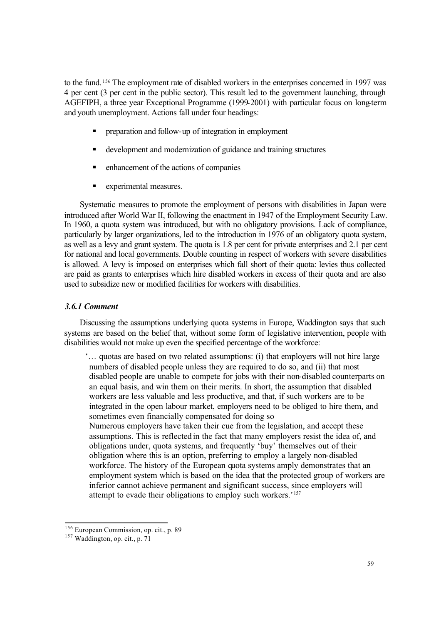to the fund. 156 The employment rate of disabled workers in the enterprises concerned in 1997 was 4 per cent (3 per cent in the public sector). This result led to the government launching, through AGEFIPH, a three year Exceptional Programme (1999-2001) with particular focus on long-term and youth unemployment. Actions fall under four headings:

- preparation and follow-up of integration in employment
- development and modernization of guidance and training structures
- enhancement of the actions of companies
- experimental measures.

Systematic measures to promote the employment of persons with disabilities in Japan were introduced after World War II, following the enactment in 1947 of the Employment Security Law. In 1960, a quota system was introduced, but with no obligatory provisions. Lack of compliance, particularly by larger organizations, led to the introduction in 1976 of an obligatory quota system, as well as a levy and grant system. The quota is 1.8 per cent for private enterprises and 2.1 per cent for national and local governments. Double counting in respect of workers with severe disabilities is allowed. A levy is imposed on enterprises which fall short of their quota: levies thus collected are paid as grants to enterprises which hire disabled workers in excess of their quota and are also used to subsidize new or modified facilities for workers with disabilities.

## *3.6.1 Comment*

Discussing the assumptions underlying quota systems in Europe, Waddington says that such systems are based on the belief that, without some form of legislative intervention, people with disabilities would not make up even the specified percentage of the workforce:

'… quotas are based on two related assumptions: (i) that employers will not hire large numbers of disabled people unless they are required to do so, and (ii) that most disabled people are unable to compete for jobs with their non-disabled counterparts on an equal basis, and win them on their merits. In short, the assumption that disabled workers are less valuable and less productive, and that, if such workers are to be integrated in the open labour market, employers need to be obliged to hire them, and sometimes even financially compensated for doing so Numerous employers have taken their cue from the legislation, and accept these

assumptions. This is reflected in the fact that many employers resist the idea of, and obligations under, quota systems, and frequently 'buy' themselves out of their obligation where this is an option, preferring to employ a largely non-disabled workforce. The history of the European quota systems amply demonstrates that an employment system which is based on the idea that the protected group of workers are inferior cannot achieve permanent and significant success, since employers will attempt to evade their obligations to employ such workers.'157

<sup>156</sup> European Commission, op. cit., p. 89

<sup>&</sup>lt;sup>157</sup> Waddington, op. cit., p. 71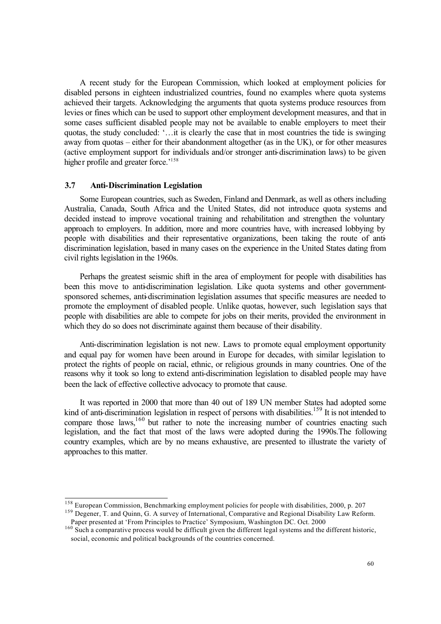A recent study for the European Commission, which looked at employment policies for disabled persons in eighteen industrialized countries, found no examples where quota systems achieved their targets. Acknowledging the arguments that quota systems produce resources from levies or fines which can be used to support other employment development measures, and that in some cases sufficient disabled people may not be available to enable employers to meet their quotas, the study concluded: '…it is clearly the case that in most countries the tide is swinging away from quotas – either for their abandonment altogether (as in the UK), or for other measures (active employment support for individuals and/or stronger anti-discrimination laws) to be given higher profile and greater force.'<sup>158</sup>

#### **3.7 Anti-Discrimination Legislation**

Some European countries, such as Sweden, Finland and Denmark, as well as others including Australia, Canada, South Africa and the United States, did not introduce quota systems and decided instead to improve vocational training and rehabilitation and strengthen the voluntary approach to employers. In addition, more and more countries have, with increased lobbying by people with disabilities and their representative organizations, been taking the route of antidiscrimination legislation, based in many cases on the experience in the United States dating from civil rights legislation in the 1960s.

Perhaps the greatest seismic shift in the area of employment for people with disabilities has been this move to anti-discrimination legislation. Like quota systems and other governmentsponsored schemes, anti-discrimination legislation assumes that specific measures are needed to promote the employment of disabled people. Unlike quotas, however, such legislation says that people with disabilities are able to compete for jobs on their merits, provided the environment in which they do so does not discriminate against them because of their disability.

Anti-discrimination legislation is not new. Laws to promote equal employment opportunity and equal pay for women have been around in Europe for decades, with similar legislation to protect the rights of people on racial, ethnic, or religious grounds in many countries. One of the reasons why it took so long to extend anti-discrimination legislation to disabled people may have been the lack of effective collective advocacy to promote that cause.

It was reported in 2000 that more than 40 out of 189 UN member States had adopted some kind of anti-discrimination legislation in respect of persons with disabilities.<sup>159</sup> It is not intended to compare those laws,<sup>160</sup> but rather to note the increasing number of countries enacting such legislation, and the fact that most of the laws were adopted during the 1990s.The following country examples, which are by no means exhaustive, are presented to illustrate the variety of approaches to this matter.

<sup>&</sup>lt;sup>158</sup> European Commission, Benchmarking employment policies for people with disabilities, 2000, p. 207

<sup>&</sup>lt;sup>159</sup> Degener, T. and Quinn, G. A survey of International, Comparative and Regional Disability Law Reform. Paper presented at 'From Principles to Practice' Symposium, Washington DC. Oct. 2000 160 Such a comparative process would be difficult given the different legal systems and the different historic,

social, economic and political backgrounds of the countries concerned.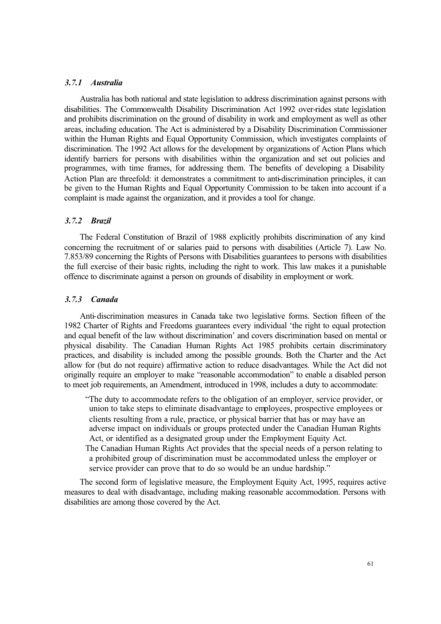#### *3.7.1 Australia*

Australia has both national and state legislation to address discrimination against persons with disabilities. The Commonwealth Disability Discrimination Act 1992 over-rides state legislation and prohibits discrimination on the ground of disability in work and employment as well as other areas, including education. The Act is administered by a Disability Discrimination Commissioner within the Human Rights and Equal Opportunity Commission, which investigates complaints of discrimination. The 1992 Act allows for the development by organizations of Action Plans which identify barriers for persons with disabilities within the organization and set out policies and programmes, with time frames, for addressing them. The benefits of developing a Disability Action Plan are threefold: it demonstrates a commitment to anti-discrimination principles, it can be given to the Human Rights and Equal Opportunity Commission to be taken into account if a complaint is made against the organization, and it provides a tool for change.

#### *3.7.2 Brazil*

The Federal Constitution of Brazil of 1988 explicitly prohibits discrimination of any kind concerning the recruitment of or salaries paid to persons with disabilities (Article 7). Law No. 7.853/89 concerning the Rights of Persons with Disabilities guarantees to persons with disabilities the full exercise of their basic rights, including the right to work. This law makes it a punishable offence to discriminate against a person on grounds of disability in employment or work.

### *3.7.3 Canada*

Anti-discrimination measures in Canada take two legislative forms. Section fifteen of the 1982 Charter of Rights and Freedoms guarantees every individual 'the right to equal protection and equal benefit of the law without discrimination' and covers discrimination based on mental or physical disability. The Canadian Human Rights Act 1985 prohibits certain discriminatory practices, and disability is included among the possible grounds. Both the Charter and the Act allow for (but do not require) affirmative action to reduce disadvantages. While the Act did not originally require an employer to make "reasonable accommodation" to enable a disabled person to meet job requirements, an Amendment, introduced in 1998, includes a duty to accommodate:

"The duty to accommodate refers to the obligation of an employer, service provider, or union to take steps to eliminate disadvantage to employees, prospective employees or clients resulting from a rule, practice, or physical barrier that has or may have an adverse impact on individuals or groups protected under the Canadian Human Rights Act, or identified as a designated group under the Employment Equity Act. The Canadian Human Rights Act provides that the special needs of a person relating to

a prohibited group of discrimination must be accommodated unless the employer or service provider can prove that to do so would be an undue hardship."

The second form of legislative measure, the Employment Equity Act, 1995, requires active measures to deal with disadvantage, including making reasonable accommodation. Persons with disabilities are among those covered by the Act.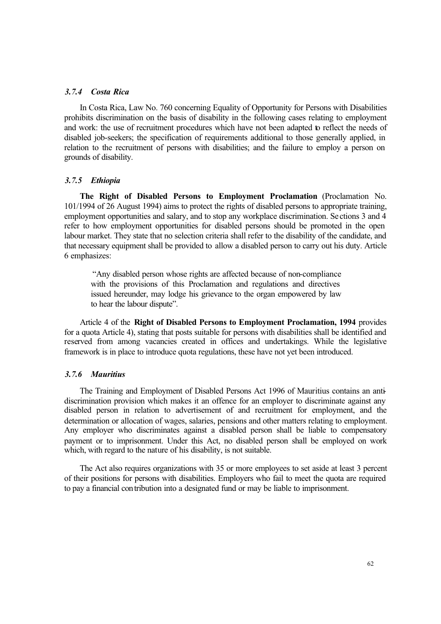#### *3.7.4 Costa Rica*

In Costa Rica, Law No. 760 concerning Equality of Opportunity for Persons with Disabilities prohibits discrimination on the basis of disability in the following cases relating to employment and work: the use of recruitment procedures which have not been adapted to reflect the needs of disabled job-seekers; the specification of requirements additional to those generally applied, in relation to the recruitment of persons with disabilities; and the failure to employ a person on grounds of disability.

#### *3.7.5 Ethiopia*

**The Right of Disabled Persons to Employment Proclamation** (Proclamation No. 101/1994 of 26 August 1994) aims to protect the rights of disabled persons to appropriate training, employment opportunities and salary, and to stop any workplace discrimination. Sections 3 and 4 refer to how employment opportunities for disabled persons should be promoted in the open labour market. They state that no selection criteria shall refer to the disability of the candidate, and that necessary equipment shall be provided to allow a disabled person to carry out his duty. Article 6 emphasizes:

"Any disabled person whose rights are affected because of non-compliance with the provisions of this Proclamation and regulations and directives issued hereunder, may lodge his grievance to the organ empowered by law to hear the labour dispute".

Article 4 of the **Right of Disabled Persons to Employment Proclamation, 1994** provides for a quota Article 4), stating that posts suitable for persons with disabilities shall be identified and reserved from among vacancies created in offices and undertakings. While the legislative framework is in place to introduce quota regulations, these have not yet been introduced.

### *3.7.6 Mauritius*

The Training and Employment of Disabled Persons Act 1996 of Mauritius contains an antidiscrimination provision which makes it an offence for an employer to discriminate against any disabled person in relation to advertisement of and recruitment for employment, and the determination or allocation of wages, salaries, pensions and other matters relating to employment. Any employer who discriminates against a disabled person shall be liable to compensatory payment or to imprisonment. Under this Act, no disabled person shall be employed on work which, with regard to the nature of his disability, is not suitable.

The Act also requires organizations with 35 or more employees to set aside at least 3 percent of their positions for persons with disabilities. Employers who fail to meet the quota are required to pay a financial contribution into a designated fund or may be liable to imprisonment.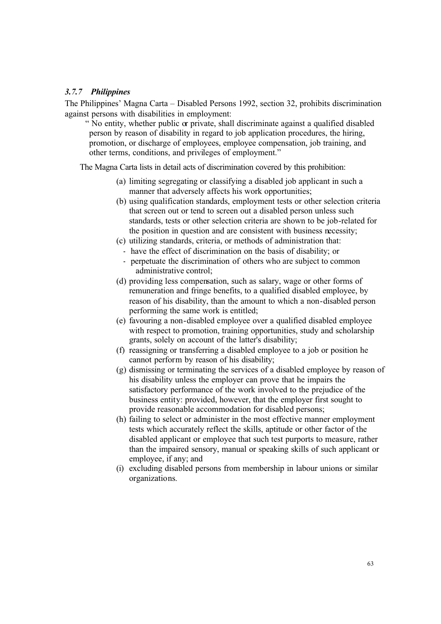# *3.7.7 Philippines*

The Philippines' Magna Carta – Disabled Persons 1992, section 32, prohibits discrimination against persons with disabilities in employment:

" No entity, whether public or private, shall discriminate against a qualified disabled person by reason of disability in regard to job application procedures, the hiring, promotion, or discharge of employees, employee compensation, job training, and other terms, conditions, and privileges of employment."

The Magna Carta lists in detail acts of discrimination covered by this prohibition:

- (a) limiting segregating or classifying a disabled job applicant in such a manner that adversely affects his work opportunities;
- (b) using qualification standards, employment tests or other selection criteria that screen out or tend to screen out a disabled person unless such standards, tests or other selection criteria are shown to be job-related for the position in question and are consistent with business necessity;
- (c) utilizing standards, criteria, or methods of administration that:
	- have the effect of discrimination on the basis of disability; or
	- perpetuate the discrimination of others who are subject to common administrative control;
- (d) providing less compensation, such as salary, wage or other forms of remuneration and fringe benefits, to a qualified disabled employee, by reason of his disability, than the amount to which a non-disabled person performing the same work is entitled;
- (e) favouring a non-disabled employee over a qualified disabled employee with respect to promotion, training opportunities, study and scholarship grants, solely on account of the latter's disability;
- (f) reassigning or transferring a disabled employee to a job or position he cannot perform by reason of his disability;
- (g) dismissing or terminating the services of a disabled employee by reason of his disability unless the employer can prove that he impairs the satisfactory performance of the work involved to the prejudice of the business entity: provided, however, that the employer first sought to provide reasonable accommodation for disabled persons;
- (h) failing to select or administer in the most effective manner employment tests which accurately reflect the skills, aptitude or other factor of the disabled applicant or employee that such test purports to measure, rather than the impaired sensory, manual or speaking skills of such applicant or employee, if any; and
- (i) excluding disabled persons from membership in labour unions or similar organizations.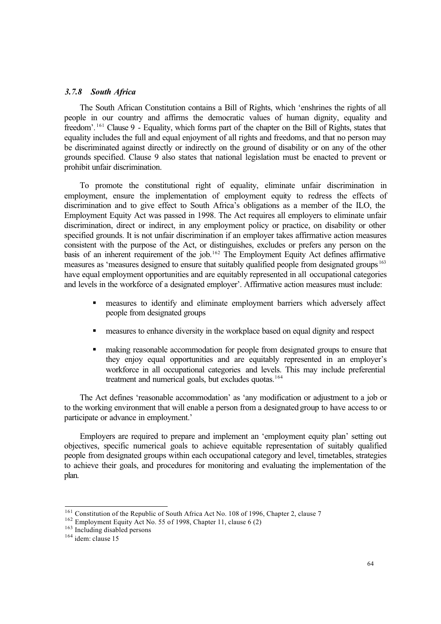#### *3.7.8 South Africa*

The South African Constitution contains a Bill of Rights, which 'enshrines the rights of all people in our country and affirms the democratic values of human dignity, equality and freedom'. 161 Clause 9 - Equality, which forms part of the chapter on the Bill of Rights, states that equality includes the full and equal enjoyment of all rights and freedoms, and that no person may be discriminated against directly or indirectly on the ground of disability or on any of the other grounds specified. Clause 9 also states that national legislation must be enacted to prevent or prohibit unfair discrimination.

To promote the constitutional right of equality, eliminate unfair discrimination in employment, ensure the implementation of employment equity to redress the effects of discrimination and to give effect to South Africa's obligations as a member of the ILO, the Employment Equity Act was passed in 1998. The Act requires all employers to eliminate unfair discrimination, direct or indirect, in any employment policy or practice, on disability or other specified grounds. It is not unfair discrimination if an employer takes affirmative action measures consistent with the purpose of the Act, or distinguishes, excludes or prefers any person on the basis of an inherent requirement of the job.<sup>162</sup> The Employment Equity Act defines affirmative measures as 'measures designed to ensure that suitably qualified people from designated groups <sup>163</sup> have equal employment opportunities and are equitably represented in all occupational categories and levels in the workforce of a designated employer'. Affirmative action measures must include:

- measures to identify and eliminate employment barriers which adversely affect people from designated groups
- measures to enhance diversity in the workplace based on equal dignity and respect
- making reasonable accommodation for people from designated groups to ensure that they enjoy equal opportunities and are equitably represented in an employer's workforce in all occupational categories and levels. This may include preferential treatment and numerical goals, but excludes quotas.<sup>164</sup>

The Act defines 'reasonable accommodation' as 'any modification or adjustment to a job or to the working environment that will enable a person from a designated group to have access to or participate or advance in employment.'

Employers are required to prepare and implement an 'employment equity plan' setting out objectives, specific numerical goals to achieve equitable representation of suitably qualified people from designated groups within each occupational category and level, timetables, strategies to achieve their goals, and procedures for monitoring and evaluating the implementation of the plan.

<sup>&</sup>lt;sup>161</sup> Constitution of the Republic of South Africa Act No. 108 of 1996, Chapter 2, clause 7<sup>162</sup> Employment Equity Act No. 55 of 1998, Chapter 11, clause 6 (2) <sup>163</sup> Including disabled persons

<sup>164</sup> idem: clause 15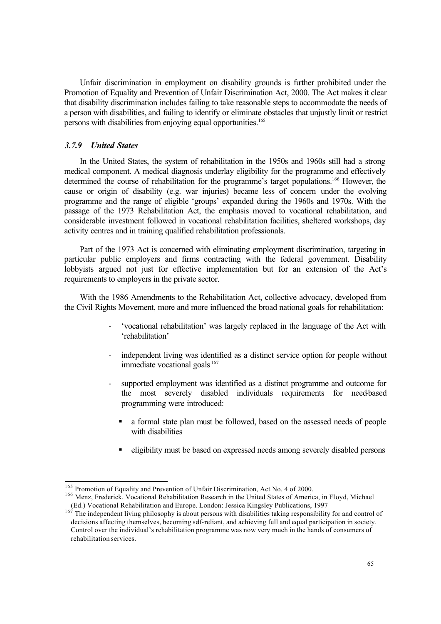Unfair discrimination in employment on disability grounds is further prohibited under the Promotion of Equality and Prevention of Unfair Discrimination Act, 2000. The Act makes it clear that disability discrimination includes failing to take reasonable steps to accommodate the needs of a person with disabilities, and failing to identify or eliminate obstacles that unjustly limit or restrict persons with disabilities from enjoying equal opportunities.<sup>165</sup>

## *3.7.9 United States*

In the United States, the system of rehabilitation in the 1950s and 1960s still had a strong medical component. A medical diagnosis underlay eligibility for the programme and effectively determined the course of rehabilitation for the programme's target populations.166 However, the cause or origin of disability (e.g. war injuries) became less of concern under the evolving programme and the range of eligible 'groups' expanded during the 1960s and 1970s. With the passage of the 1973 Rehabilitation Act, the emphasis moved to vocational rehabilitation, and considerable investment followed in vocational rehabilitation facilities, sheltered workshops, day activity centres and in training qualified rehabilitation professionals.

Part of the 1973 Act is concerned with eliminating employment discrimination, targeting in particular public employers and firms contracting with the federal government. Disability lobbyists argued not just for effective implementation but for an extension of the Act's requirements to employers in the private sector.

With the 1986 Amendments to the Rehabilitation Act, collective advocacy, developed from the Civil Rights Movement, more and more influenced the broad national goals for rehabilitation:

- 'vocational rehabilitation' was largely replaced in the language of the Act with 'rehabilitation'
- independent living was identified as a distinct service option for people without immediate vocational goals<sup>167</sup>
- supported employment was identified as a distinct programme and outcome for the most severely disabled individuals requirements for need-based programming were introduced:
	- a formal state plan must be followed, based on the assessed needs of people with disabilities
	- eligibility must be based on expressed needs among severely disabled persons

<sup>&</sup>lt;sup>165</sup> Promotion of Equality and Prevention of Unfair Discrimination, Act No. 4 of 2000.<br><sup>166</sup> Menz, Frederick. Vocational Rehabilitation Research in the United States of America, in Floyd, Michael (Ed.) Vocational Rehabilitation and Europe. London: Jessica Kingsley Publications, 1997

 $167$  The independent living philosophy is about persons with disabilities taking responsibility for and control of decisions affecting themselves, becoming self-reliant, and achieving full and equal participation in society. Control over the individual's rehabilitation programme was now very much in the hands of consumers of rehabilitation services.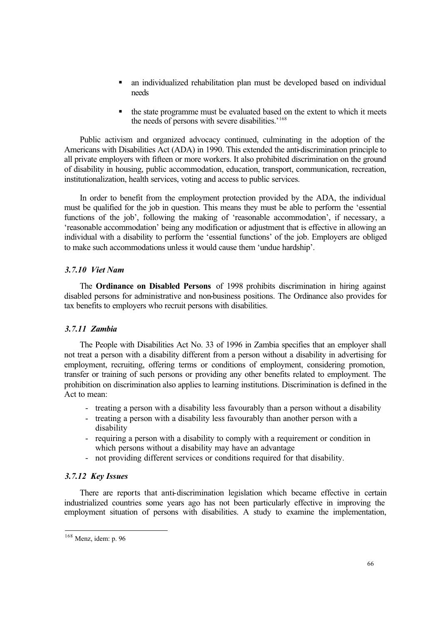- an individualized rehabilitation plan must be developed based on individual needs
- the state programme must be evaluated based on the extent to which it meets the needs of persons with severe disabilities.<sup>'168</sup>

Public activism and organized advocacy continued, culminating in the adoption of the Americans with Disabilities Act (ADA) in 1990. This extended the anti-discrimination principle to all private employers with fifteen or more workers. It also prohibited discrimination on the ground of disability in housing, public accommodation, education, transport, communication, recreation, institutionalization, health services, voting and access to public services.

In order to benefit from the employment protection provided by the ADA, the individual must be qualified for the job in question. This means they must be able to perform the 'essential functions of the job', following the making of 'reasonable accommodation', if necessary, a 'reasonable accommodation' being any modification or adjustment that is effective in allowing an individual with a disability to perform the 'essential functions' of the job. Employers are obliged to make such accommodations unless it would cause them 'undue hardship'.

## *3.7.10 Viet Nam*

The **Ordinance on Disabled Persons** of 1998 prohibits discrimination in hiring against disabled persons for administrative and non-business positions. The Ordinance also provides for tax benefits to employers who recruit persons with disabilities.

#### *3.7.11 Zambia*

The People with Disabilities Act No. 33 of 1996 in Zambia specifies that an employer shall not treat a person with a disability different from a person without a disability in advertising for employment, recruiting, offering terms or conditions of employment, considering promotion, transfer or training of such persons or providing any other benefits related to employment. The prohibition on discrimination also applies to learning institutions. Discrimination is defined in the Act to mean:

- treating a person with a disability less favourably than a person without a disability
- treating a person with a disability less favourably than another person with a disability
- requiring a person with a disability to comply with a requirement or condition in which persons without a disability may have an advantage
- not providing different services or conditions required for that disability.

#### *3.7.12 Key Issues*

There are reports that anti-discrimination legislation which became effective in certain industrialized countries some years ago has not been particularly effective in improving the employment situation of persons with disabilities. A study to examine the implementation,

<sup>168</sup> Menz, idem: p. 96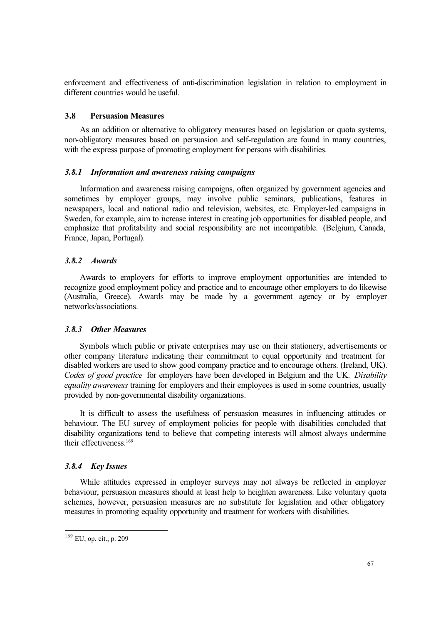enforcement and effectiveness of anti-discrimination legislation in relation to employment in different countries would be useful.

#### **3.8 Persuasion Measures**

As an addition or alternative to obligatory measures based on legislation or quota systems, non-obligatory measures based on persuasion and self-regulation are found in many countries, with the express purpose of promoting employment for persons with disabilities.

#### *3.8.1 Information and awareness raising campaigns*

Information and awareness raising campaigns, often organized by government agencies and sometimes by employer groups, may involve public seminars, publications, features in newspapers, local and national radio and television, websites, etc. Employer-led campaigns in Sweden, for example, aim to increase interest in creating job opportunities for disabled people, and emphasize that profitability and social responsibility are not incompatible. (Belgium, Canada, France, Japan, Portugal).

## *3.8.2 Awards*

Awards to employers for efforts to improve employment opportunities are intended to recognize good employment policy and practice and to encourage other employers to do likewise (Australia, Greece). Awards may be made by a government agency or by employer networks/associations.

## *3.8.3 Other Measures*

Symbols which public or private enterprises may use on their stationery, advertisements or other company literature indicating their commitment to equal opportunity and treatment for disabled workers are used to show good company practice and to encourage others. (Ireland, UK). *Codes of good practice* for employers have been developed in Belgium and the UK. *Disability equality awareness* training for employers and their employees is used in some countries, usually provided by non-governmental disability organizations.

It is difficult to assess the usefulness of persuasion measures in influencing attitudes or behaviour. The EU survey of employment policies for people with disabilities concluded that disability organizations tend to believe that competing interests will almost always undermine their effectiveness.<sup>169</sup>

#### *3.8.4 Key Issues*

While attitudes expressed in employer surveys may not always be reflected in employer behaviour, persuasion measures should at least help to heighten awareness. Like voluntary quota schemes, however, persuasion measures are no substitute for legislation and other obligatory measures in promoting equality opportunity and treatment for workers with disabilities.

<sup>169</sup> EU, op. cit., p. 209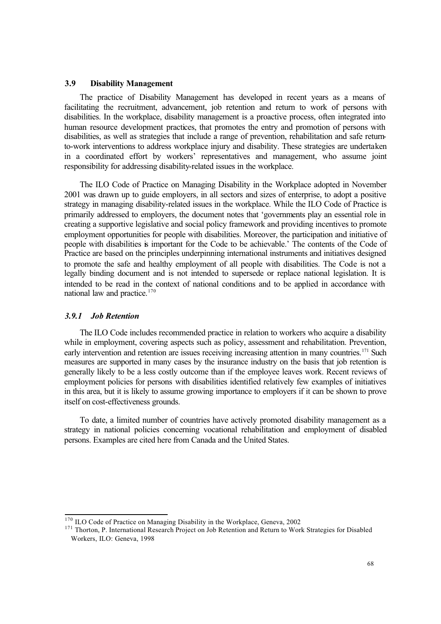#### **3.9 Disability Management**

The practice of Disability Management has developed in recent years as a means of facilitating the recruitment, advancement, job retention and return to work of persons with disabilities. In the workplace, disability management is a proactive process, often integrated into human resource development practices, that promotes the entry and promotion of persons with disabilities, as well as strategies that include a range of prevention, rehabilitation and safe returnto-work interventions to address workplace injury and disability. These strategies are undertaken in a coordinated effort by workers' representatives and management, who assume joint responsibility for addressing disability-related issues in the workplace.

The ILO Code of Practice on Managing Disability in the Workplace adopted in November 2001 was drawn up to guide employers, in all sectors and sizes of enterprise, to adopt a positive strategy in managing disability-related issues in the workplace. While the ILO Code of Practice is primarily addressed to employers, the document notes that 'governments play an essential role in creating a supportive legislative and social policy framework and providing incentives to promote employment opportunities for people with disabilities. Moreover, the participation and initiative of people with disabilities is important for the Code to be achievable.' The contents of the Code of Practice are based on the principles underpinning international instruments and initiatives designed to promote the safe and healthy employment of all people with disabilities. The Code is not a legally binding document and is not intended to supersede or replace national legislation. It is intended to be read in the context of national conditions and to be applied in accordance with national law and practice.<sup>170</sup>

## *3.9.1 Job Retention*

The ILO Code includes recommended practice in relation to workers who acquire a disability while in employment, covering aspects such as policy, assessment and rehabilitation. Prevention, early intervention and retention are issues receiving increasing attention in many countries.<sup>171</sup> Such measures are supported in many cases by the insurance industry on the basis that job retention is generally likely to be a less costly outcome than if the employee leaves work. Recent reviews of employment policies for persons with disabilities identified relatively few examples of initiatives in this area, but it is likely to assume growing importance to employers if it can be shown to prove itself on cost-effectiveness grounds.

To date, a limited number of countries have actively promoted disability management as a strategy in national policies concerning vocational rehabilitation and employment of disabled persons. Examples are cited here from Canada and the United States.

<sup>&</sup>lt;sup>170</sup> ILO Code of Practice on Managing Disability in the Workplace, Geneva, 2002<br><sup>171</sup> Thorton, P. International Research Project on Job Retention and Return to Work Strategies for Disabled Workers, ILO: Geneva, 1998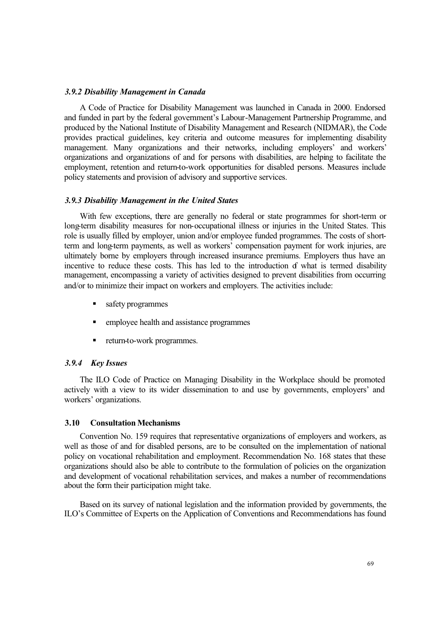#### *3.9.2 Disability Management in Canada*

A Code of Practice for Disability Management was launched in Canada in 2000. Endorsed and funded in part by the federal government's Labour-Management Partnership Programme, and produced by the National Institute of Disability Management and Research (NIDMAR), the Code provides practical guidelines, key criteria and outcome measures for implementing disability management. Many organizations and their networks, including employers' and workers' organizations and organizations of and for persons with disabilities, are helping to facilitate the employment, retention and return-to-work opportunities for disabled persons. Measures include policy statements and provision of advisory and supportive services.

#### *3.9.3 Disability Management in the United States*

With few exceptions, there are generally no federal or state programmes for short-term or long-term disability measures for non-occupational illness or injuries in the United States. This role is usually filled by employer, union and/or employee funded programmes. The costs of shortterm and long-term payments, as well as workers' compensation payment for work injuries, are ultimately borne by employers through increased insurance premiums. Employers thus have an incentive to reduce these costs. This has led to the introduction of what is termed disability management, encompassing a variety of activities designed to prevent disabilities from occurring and/or to minimize their impact on workers and employers. The activities include:

- safety programmes
- employee health and assistance programmes
- return-to-work programmes.

## *3.9.4 Key Issues*

The ILO Code of Practice on Managing Disability in the Workplace should be promoted actively with a view to its wider dissemination to and use by governments, employers' and workers' organizations.

#### **3.10 Consultation Mechanisms**

Convention No. 159 requires that representative organizations of employers and workers, as well as those of and for disabled persons, are to be consulted on the implementation of national policy on vocational rehabilitation and employment. Recommendation No. 168 states that these organizations should also be able to contribute to the formulation of policies on the organization and development of vocational rehabilitation services, and makes a number of recommendations about the form their participation might take.

Based on its survey of national legislation and the information provided by governments, the ILO's Committee of Experts on the Application of Conventions and Recommendations has found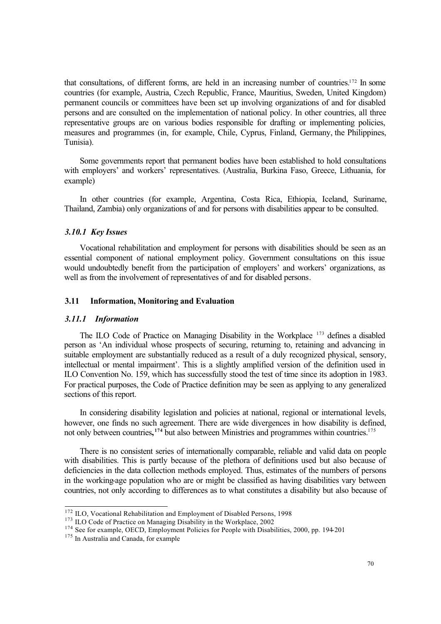that consultations, of different forms, are held in an increasing number of countries.172 In some countries (for example, Austria, Czech Republic, France, Mauritius, Sweden, United Kingdom) permanent councils or committees have been set up involving organizations of and for disabled persons and are consulted on the implementation of national policy. In other countries, all three representative groups are on various bodies responsible for drafting or implementing policies, measures and programmes (in, for example, Chile, Cyprus, Finland, Germany, the Philippines, Tunisia).

Some governments report that permanent bodies have been established to hold consultations with employers' and workers' representatives. (Australia, Burkina Faso, Greece, Lithuania, for example)

In other countries (for example, Argentina, Costa Rica, Ethiopia, Iceland, Suriname, Thailand, Zambia) only organizations of and for persons with disabilities appear to be consulted.

## *3.10.1 Key Issues*

Vocational rehabilitation and employment for persons with disabilities should be seen as an essential component of national employment policy. Government consultations on this issue would undoubtedly benefit from the participation of employers' and workers' organizations, as well as from the involvement of representatives of and for disabled persons.

#### **3.11 Information, Monitoring and Evaluation**

#### *3.11.1 Information*

The ILO Code of Practice on Managing Disability in the Workplace <sup>173</sup> defines a disabled person as 'An individual whose prospects of securing, returning to, retaining and advancing in suitable employment are substantially reduced as a result of a duly recognized physical, sensory, intellectual or mental impairment'. This is a slightly amplified version of the definition used in ILO Convention No. 159, which has successfully stood the test of time since its adoption in 1983. For practical purposes, the Code of Practice definition may be seen as applying to any generalized sections of this report.

In considering disability legislation and policies at national, regional or international levels, however, one finds no such agreement. There are wide divergences in how disability is defined, not only between countries**, <sup>174</sup>** but also between Ministries and programmes within countries.175

There is no consistent series of internationally comparable, reliable and valid data on people with disabilities. This is partly because of the plethora of definitions used but also because of deficiencies in the data collection methods employed. Thus, estimates of the numbers of persons in the working-age population who are or might be classified as having disabilities vary between countries, not only according to differences as to what constitutes a disability but also because of

<sup>&</sup>lt;sup>172</sup> ILO, Vocational Rehabilitation and Employment of Disabled Persons, 1998<br><sup>173</sup> ILO Code of Practice on Managing Disability in the Workplace, 2002<br><sup>174</sup> See for example, OECD, Employment Policies for People with Disab

<sup>&</sup>lt;sup>175</sup> In Australia and Canada, for example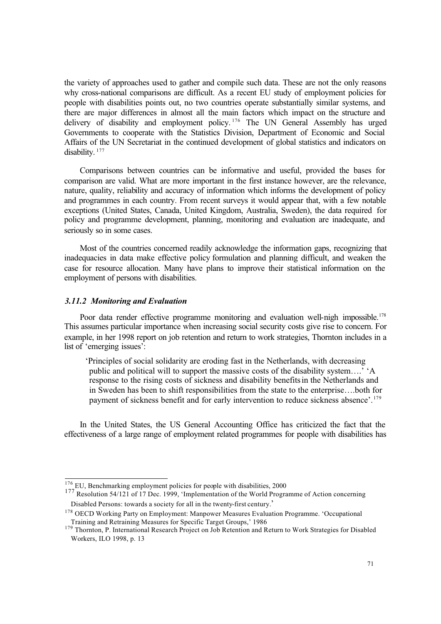the variety of approaches used to gather and compile such data. These are not the only reasons why cross-national comparisons are difficult. As a recent EU study of employment policies for people with disabilities points out, no two countries operate substantially similar systems, and there are major differences in almost all the main factors which impact on the structure and delivery of disability and employment policy.<sup>176</sup> The UN General Assembly has urged Governments to cooperate with the Statistics Division, Department of Economic and Social Affairs of the UN Secretariat in the continued development of global statistics and indicators on disability.<sup>177</sup>

Comparisons between countries can be informative and useful, provided the bases for comparison are valid. What are more important in the first instance however, are the relevance, nature, quality, reliability and accuracy of information which informs the development of policy and programmes in each country. From recent surveys it would appear that, with a few notable exceptions (United States, Canada, United Kingdom, Australia, Sweden), the data required for policy and programme development, planning, monitoring and evaluation are inadequate, and seriously so in some cases.

Most of the countries concerned readily acknowledge the information gaps, recognizing that inadequacies in data make effective policy formulation and planning difficult, and weaken the case for resource allocation. Many have plans to improve their statistical information on the employment of persons with disabilities.

#### *3.11.2 Monitoring and Evaluation*

Poor data render effective programme monitoring and evaluation well-nigh impossible.<sup>178</sup> This assumes particular importance when increasing social security costs give rise to concern. For example, in her 1998 report on job retention and return to work strategies, Thornton includes in a list of 'emerging issues':

'Principles of social solidarity are eroding fast in the Netherlands, with decreasing public and political will to support the massive costs of the disability system….' 'A response to the rising costs of sickness and disability benefits in the Netherlands and in Sweden has been to shift responsibilities from the state to the enterprise….both for payment of sickness benefit and for early intervention to reduce sickness absence'.179

In the United States, the US General Accounting Office has criticized the fact that the effectiveness of a large range of employment related programmes for people with disabilities has

<sup>&</sup>lt;sup>176</sup> EU, Benchmarking employment policies for people with disabilities, 2000  $177$  Resolution 54/121 of 17 Dec. 1999, 'Implementation of the World Programme of Action concerning Disabled Persons: towards a society for all in the twenty-first century.'

<sup>178</sup> OECD Working Party on Employment: Manpower Measures Evaluation Programme. 'Occupational

Training and Retraining Measures for Specific Target Groups,' 1986<br><sup>179</sup> Thornton, P. International Research Project on Job Retention and Return to Work Strategies for Disabled Workers, ILO 1998, p. 13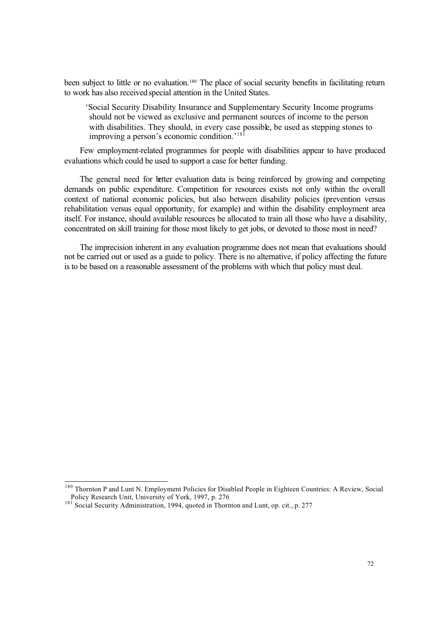been subject to little or no evaluation.<sup>180</sup> The place of social security benefits in facilitating return to work has also received special attention in the United States.

'Social Security Disability Insurance and Supplementary Security Income programs should not be viewed as exclusive and permanent sources of income to the person with disabilities. They should, in every case possible, be used as stepping stones to improving a person's economic condition.'181

Few employment-related programmes for people with disabilities appear to have produced evaluations which could be used to support a case for better funding.

The general need for better evaluation data is being reinforced by growing and competing demands on public expenditure. Competition for resources exists not only within the overall context of national economic policies, but also between disability policies (prevention versus rehabilitation versus equal opportunity, for example) and within the disability employment area itself. For instance, should available resources be allocated to train all those who have a disability, concentrated on skill training for those most likely to get jobs, or devoted to those most in need?

The imprecision inherent in any evaluation programme does not mean that evaluations should not be carried out or used as a guide to policy. There is no alternative, if policy affecting the future is to be based on a reasonable assessment of the problems with which that policy must deal.

<sup>&</sup>lt;sup>180</sup> Thornton P and Lunt N. Employment Policies for Disabled People in Eighteen Countries: A Review, Social Policy Research Unit, University of York, 1997, p. 276<br><sup>181</sup> Social Security Administration, 1994, quoted in Thornton and Lunt, op. cit., p. 277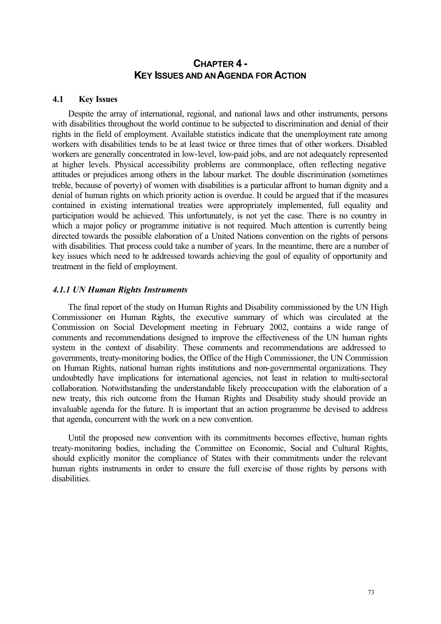## **CHAPTER 4 - KEY ISSUES AND AN AGENDA FOR ACTION**

#### **4.1 Key Issues**

Despite the array of international, regional, and national laws and other instruments, persons with disabilities throughout the world continue to be subjected to discrimination and denial of their rights in the field of employment. Available statistics indicate that the unemployment rate among workers with disabilities tends to be at least twice or three times that of other workers. Disabled workers are generally concentrated in low-level, low-paid jobs, and are not adequately represented at higher levels. Physical accessibility problems are commonplace, often reflecting negative attitudes or prejudices among others in the labour market. The double discrimination (sometimes treble, because of poverty) of women with disabilities is a particular affront to human dignity and a denial of human rights on which priority action is overdue. It could be argued that if the measures contained in existing international treaties were appropriately implemented, full equality and participation would be achieved. This unfortunately, is not yet the case. There is no country in which a major policy or programme initiative is not required. Much attention is currently being directed towards the possible elaboration of a United Nations convention on the rights of persons with disabilities. That process could take a number of years. In the meantime, there are a number of key issues which need to be addressed towards achieving the goal of equality of opportunity and treatment in the field of employment.

#### *4.1.1 UN Human Rights Instruments*

The final report of the study on Human Rights and Disability commissioned by the UN High Commissioner on Human Rights, the executive summary of which was circulated at the Commission on Social Development meeting in February 2002, contains a wide range of comments and recommendations designed to improve the effectiveness of the UN human rights system in the context of disability. These comments and recommendations are addressed to governments, treaty-monitoring bodies, the Office of the High Commissioner, the UN Commission on Human Rights, national human rights institutions and non-governmental organizations. They undoubtedly have implications for international agencies, not least in relation to multi-sectoral collaboration. Notwithstanding the understandable likely preoccupation with the elaboration of a new treaty, this rich outcome from the Human Rights and Disability study should provide an invaluable agenda for the future. It is important that an action programme be devised to address that agenda, concurrent with the work on a new convention.

Until the proposed new convention with its commitments becomes effective, human rights treaty-monitoring bodies, including the Committee on Economic, Social and Cultural Rights, should explicitly monitor the compliance of States with their commitments under the relevant human rights instruments in order to ensure the full exercise of those rights by persons with disabilities.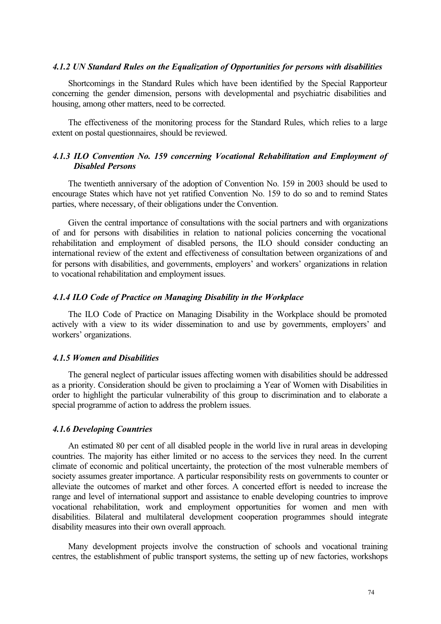#### *4.1.2 UN Standard Rules on the Equalization of Opportunities for persons with disabilities*

Shortcomings in the Standard Rules which have been identified by the Special Rapporteur concerning the gender dimension, persons with developmental and psychiatric disabilities and housing, among other matters, need to be corrected.

The effectiveness of the monitoring process for the Standard Rules, which relies to a large extent on postal questionnaires, should be reviewed.

## *4.1.3 ILO Convention No. 159 concerning Vocational Rehabilitation and Employment of Disabled Persons*

The twentieth anniversary of the adoption of Convention No. 159 in 2003 should be used to encourage States which have not yet ratified Convention No. 159 to do so and to remind States parties, where necessary, of their obligations under the Convention.

Given the central importance of consultations with the social partners and with organizations of and for persons with disabilities in relation to national policies concerning the vocational rehabilitation and employment of disabled persons, the ILO should consider conducting an international review of the extent and effectiveness of consultation between organizations of and for persons with disabilities, and governments, employers' and workers' organizations in relation to vocational rehabilitation and employment issues.

#### *4.1.4 ILO Code of Practice on Managing Disability in the Workplace*

The ILO Code of Practice on Managing Disability in the Workplace should be promoted actively with a view to its wider dissemination to and use by governments, employers' and workers' organizations.

## *4.1.5 Women and Disabilities*

The general neglect of particular issues affecting women with disabilities should be addressed as a priority. Consideration should be given to proclaiming a Year of Women with Disabilities in order to highlight the particular vulnerability of this group to discrimination and to elaborate a special programme of action to address the problem issues.

### *4.1.6 Developing Countries*

An estimated 80 per cent of all disabled people in the world live in rural areas in developing countries. The majority has either limited or no access to the services they need. In the current climate of economic and political uncertainty, the protection of the most vulnerable members of society assumes greater importance. A particular responsibility rests on governments to counter or alleviate the outcomes of market and other forces. A concerted effort is needed to increase the range and level of international support and assistance to enable developing countries to improve vocational rehabilitation, work and employment opportunities for women and men with disabilities. Bilateral and multilateral development cooperation programmes should integrate disability measures into their own overall approach.

Many development projects involve the construction of schools and vocational training centres, the establishment of public transport systems, the setting up of new factories, workshops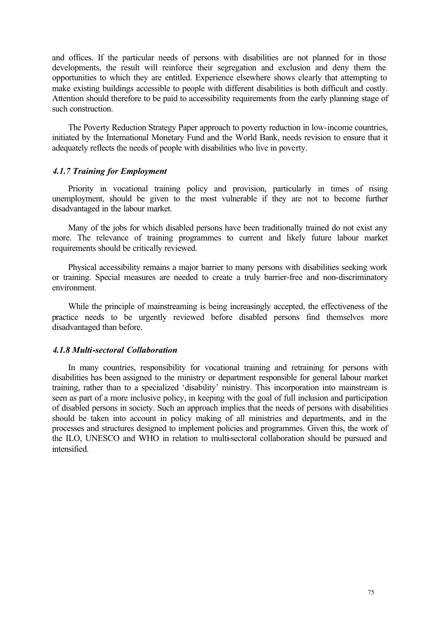and offices. If the particular needs of persons with disabilities are not planned for in those developments, the result will reinforce their segregation and exclusion and deny them the opportunities to which they are entitled. Experience elsewhere shows clearly that attempting to make existing buildings accessible to people with different disabilities is both difficult and costly. Attention should therefore to be paid to accessibility requirements from the early planning stage of such construction.

The Poverty Reduction Strategy Paper approach to poverty reduction in low-income countries, initiated by the International Monetary Fund and the World Bank, needs revision to ensure that it adequately reflects the needs of people with disabilities who live in poverty.

## *4.1.7 Training for Employment*

Priority in vocational training policy and provision, particularly in times of rising unemployment, should be given to the most vulnerable if they are not to become further disadvantaged in the labour market.

Many of the jobs for which disabled persons have been traditionally trained do not exist any more. The relevance of training programmes to current and likely future labour market requirements should be critically reviewed.

Physical accessibility remains a major barrier to many persons with disabilities seeking work or training. Special measures are needed to create a truly barrier-free and non-discriminatory environment.

While the principle of mainstreaming is being increasingly accepted, the effectiveness of the practice needs to be urgently reviewed before disabled persons find themselves more disadvantaged than before.

## *4.1.8 Multi-sectoral Collaboration*

In many countries, responsibility for vocational training and retraining for persons with disabilities has been assigned to the ministry or department responsible for general labour market training, rather than to a specialized 'disability' ministry. This incorporation into mainstream is seen as part of a more inclusive policy, in keeping with the goal of full inclusion and participation of disabled persons in society. Such an approach implies that the needs of persons with disabilities should be taken into account in policy making of all ministries and departments, and in the processes and structures designed to implement policies and programmes. Given this, the work of the ILO, UNESCO and WHO in relation to multi-sectoral collaboration should be pursued and intensified.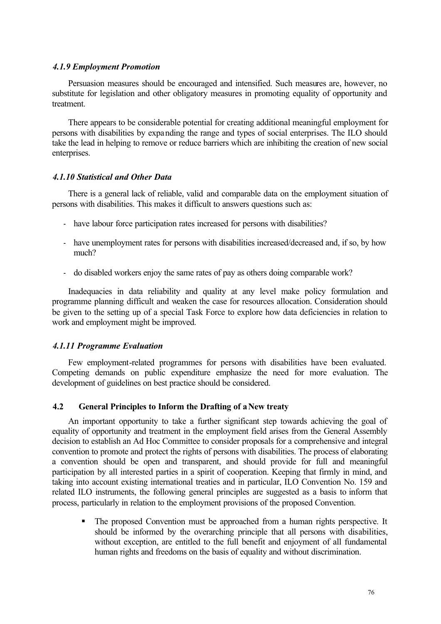## *4.1.9 Employment Promotion*

Persuasion measures should be encouraged and intensified. Such measures are, however, no substitute for legislation and other obligatory measures in promoting equality of opportunity and treatment.

There appears to be considerable potential for creating additional meaningful employment for persons with disabilities by expanding the range and types of social enterprises. The ILO should take the lead in helping to remove or reduce barriers which are inhibiting the creation of new social enterprises.

## *4.1.10 Statistical and Other Data*

There is a general lack of reliable, valid and comparable data on the employment situation of persons with disabilities. This makes it difficult to answers questions such as:

- have labour force participation rates increased for persons with disabilities?
- have unemployment rates for persons with disabilities increased/decreased and, if so, by how much?
- do disabled workers enjoy the same rates of pay as others doing comparable work?

Inadequacies in data reliability and quality at any level make policy formulation and programme planning difficult and weaken the case for resources allocation. Consideration should be given to the setting up of a special Task Force to explore how data deficiencies in relation to work and employment might be improved.

## *4.1.11 Programme Evaluation*

Few employment-related programmes for persons with disabilities have been evaluated. Competing demands on public expenditure emphasize the need for more evaluation. The development of guidelines on best practice should be considered.

## **4.2 General Principles to Inform the Drafting of a New treaty**

An important opportunity to take a further significant step towards achieving the goal of equality of opportunity and treatment in the employment field arises from the General Assembly decision to establish an Ad Hoc Committee to consider proposals for a comprehensive and integral convention to promote and protect the rights of persons with disabilities. The process of elaborating a convention should be open and transparent, and should provide for full and meaningful participation by all interested parties in a spirit of cooperation. Keeping that firmly in mind, and taking into account existing international treaties and in particular, ILO Convention No. 159 and related ILO instruments, the following general principles are suggested as a basis to inform that process, particularly in relation to the employment provisions of the proposed Convention.

- The proposed Convention must be approached from a human rights perspective. It should be informed by the overarching principle that all persons with disabilities, without exception, are entitled to the full benefit and enjoyment of all fundamental human rights and freedoms on the basis of equality and without discrimination.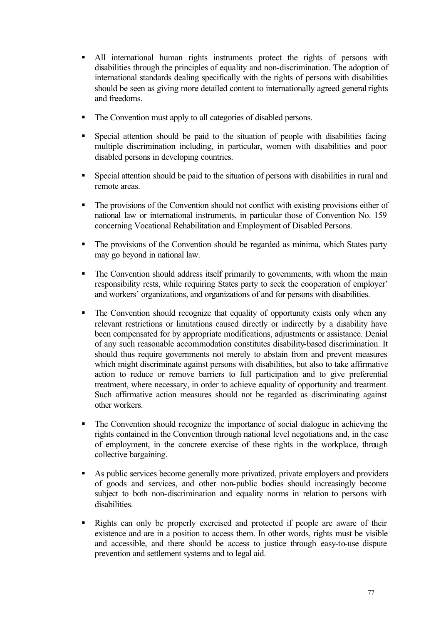- - All international human rights instruments protect the rights of persons with disabilities through the principles of equality and non-discrimination. The adoption of international standards dealing specifically with the rights of persons with disabilities should be seen as giving more detailed content to internationally agreed general rights and freedoms.
- -The Convention must apply to all categories of disabled persons.
- - Special attention should be paid to the situation of people with disabilities facing multiple discrimination including, in particular, women with disabilities and poor disabled persons in developing countries.
- - Special attention should be paid to the situation of persons with disabilities in rural and remote areas.
- - The provisions of the Convention should not conflict with existing provisions either of national law or international instruments, in particular those of Convention No. 159 concerning Vocational Rehabilitation and Employment of Disabled Persons.
- - The provisions of the Convention should be regarded as minima, which States party may go beyond in national law.
- - The Convention should address itself primarily to governments, with whom the main responsibility rests, while requiring States party to seek the cooperation of employer' and workers' organizations, and organizations of and for persons with disabilities.
- - The Convention should recognize that equality of opportunity exists only when any relevant restrictions or limitations caused directly or indirectly by a disability have been compensated for by appropriate modifications, adjustments or assistance. Denial of any such reasonable accommodation constitutes disability-based discrimination. It should thus require governments not merely to abstain from and prevent measures which might discriminate against persons with disabilities, but also to take affirmative action to reduce or remove barriers to full participation and to give preferential treatment, where necessary, in order to achieve equality of opportunity and treatment. Such affirmative action measures should not be regarded as discriminating against other workers.
- - The Convention should recognize the importance of social dialogue in achieving the rights contained in the Convention through national level negotiations and, in the case of employment, in the concrete exercise of these rights in the workplace, through collective bargaining.
- - As public services become generally more privatized, private employers and providers of goods and services, and other non-public bodies should increasingly become subject to both non-discrimination and equality norms in relation to persons with disabilities.
- - Rights can only be properly exercised and protected if people are aware of their existence and are in a position to access them. In other words, rights must be visible and accessible, and there should be access to justice through easy-to-use dispute prevention and settlement systems and to legal aid.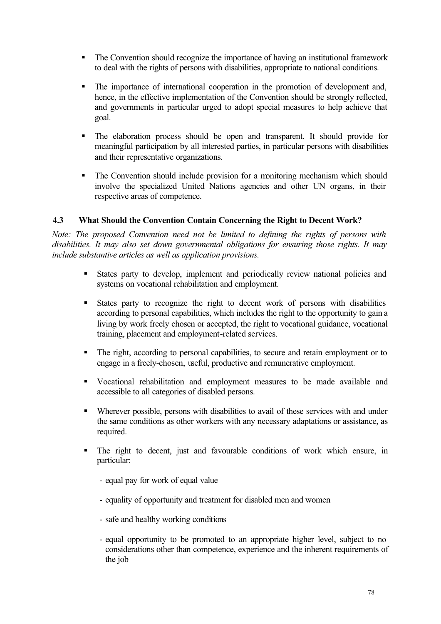- $\blacksquare$  The Convention should recognize the importance of having an institutional framework to deal with the rights of persons with disabilities, appropriate to national conditions.
- - The importance of international cooperation in the promotion of development and, hence, in the effective implementation of the Convention should be strongly reflected, and governments in particular urged to adopt special measures to help achieve that goal.
- - The elaboration process should be open and transparent. It should provide for meaningful participation by all interested parties, in particular persons with disabilities and their representative organizations.
- - The Convention should include provision for a monitoring mechanism which should involve the specialized United Nations agencies and other UN organs, in their respective areas of competence.

## **4.3 What Should the Convention Contain Concerning the Right to Decent Work?**

*Note: The proposed Convention need not be limited to defining the rights of persons with disabilities. It may also set down governmental obligations for ensuring those rights. It may include substantive articles as well as application provisions.*

- - States party to develop, implement and periodically review national policies and systems on vocational rehabilitation and employment.
- - States party to recognize the right to decent work of persons with disabilities according to personal capabilities, which includes the right to the opportunity to gain a living by work freely chosen or accepted, the right to vocational guidance, vocational training, placement and employment-related services.
- The right, according to personal capabilities, to secure and retain employment or to engage in a freely-chosen, useful, productive and remunerative employment.
- Vocational rehabilitation and employment measures to be made available and accessible to all categories of disabled persons.
- - Wherever possible, persons with disabilities to avail of these services with and under the same conditions as other workers with any necessary adaptations or assistance, as required.
- - The right to decent, just and favourable conditions of work which ensure, in particular:
	- equal pay for work of equal value
	- equality of opportunity and treatment for disabled men and women
	- safe and healthy working conditions
	- equal opportunity to be promoted to an appropriate higher level, subject to no considerations other than competence, experience and the inherent requirements of the job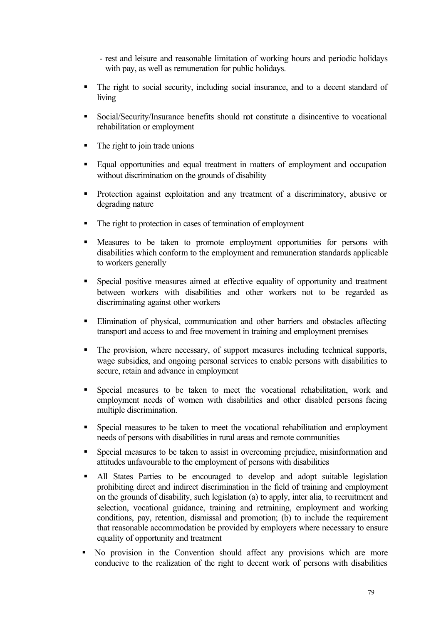- rest and leisure and reasonable limitation of working hours and periodic holidays with pay, as well as remuneration for public holidays.
- The right to social security, including social insurance, and to a decent standard of living
- - Social/Security/Insurance benefits should not constitute a disincentive to vocational rehabilitation or employment
- -The right to join trade unions
- - Equal opportunities and equal treatment in matters of employment and occupation without discrimination on the grounds of disability
- - Protection against exploitation and any treatment of a discriminatory, abusive or degrading nature
- The right to protection in cases of termination of employment
- Measures to be taken to promote employment opportunities for persons with disabilities which conform to the employment and remuneration standards applicable to workers generally
- - Special positive measures aimed at effective equality of opportunity and treatment between workers with disabilities and other workers not to be regarded as discriminating against other workers
- Elimination of physical, communication and other barriers and obstacles affecting transport and access to and free movement in training and employment premises
- The provision, where necessary, of support measures including technical supports, wage subsidies, and ongoing personal services to enable persons with disabilities to secure, retain and advance in employment
- - Special measures to be taken to meet the vocational rehabilitation, work and employment needs of women with disabilities and other disabled persons facing multiple discrimination.
- - Special measures to be taken to meet the vocational rehabilitation and employment needs of persons with disabilities in rural areas and remote communities
- Special measures to be taken to assist in overcoming prejudice, misinformation and attitudes unfavourable to the employment of persons with disabilities
- - All States Parties to be encouraged to develop and adopt suitable legislation prohibiting direct and indirect discrimination in the field of training and employment on the grounds of disability, such legislation (a) to apply, inter alia, to recruitment and selection, vocational guidance, training and retraining, employment and working conditions, pay, retention, dismissal and promotion; (b) to include the requirement that reasonable accommodation be provided by employers where necessary to ensure equality of opportunity and treatment
- No provision in the Convention should affect any provisions which are more conducive to the realization of the right to decent work of persons with disabilities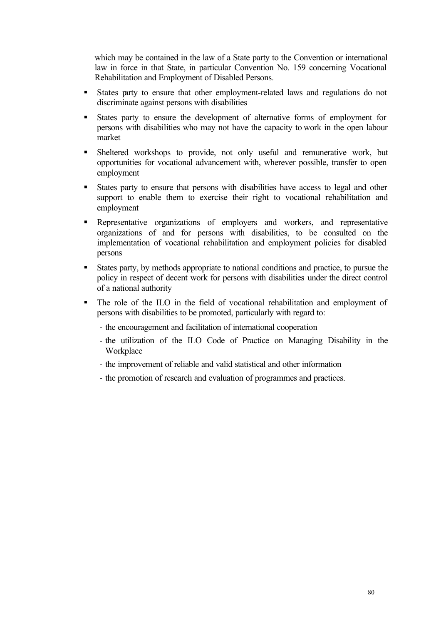which may be contained in the law of a State party to the Convention or international law in force in that State, in particular Convention No. 159 concerning Vocational Rehabilitation and Employment of Disabled Persons.

- - States party to ensure that other employment-related laws and regulations do not discriminate against persons with disabilities
- - States party to ensure the development of alternative forms of employment for persons with disabilities who may not have the capacity to work in the open labour market
- - Sheltered workshops to provide, not only useful and remunerative work, but opportunities for vocational advancement with, wherever possible, transfer to open employment
- - States party to ensure that persons with disabilities have access to legal and other support to enable them to exercise their right to vocational rehabilitation and employment
- Representative organizations of employers and workers, and representative organizations of and for persons with disabilities, to be consulted on the implementation of vocational rehabilitation and employment policies for disabled persons
- - States party, by methods appropriate to national conditions and practice, to pursue the policy in respect of decent work for persons with disabilities under the direct control of a national authority
- - The role of the ILO in the field of vocational rehabilitation and employment of persons with disabilities to be promoted, particularly with regard to:
	- the encouragement and facilitation of international cooperation
	- the utilization of the ILO Code of Practice on Managing Disability in the Workplace
	- the improvement of reliable and valid statistical and other information
	- the promotion of research and evaluation of programmes and practices.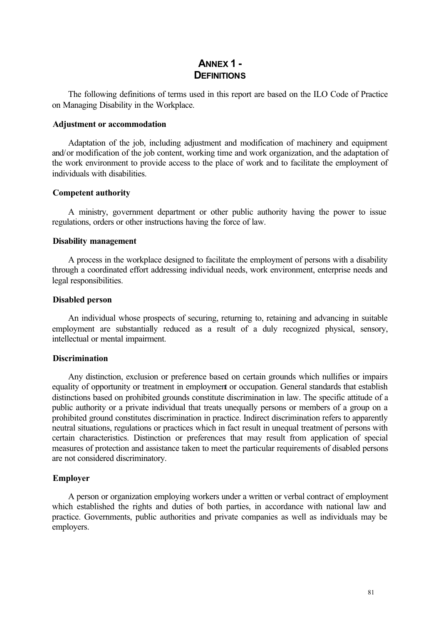## **ANNEX 1 - DEFINITIONS**

The following definitions of terms used in this report are based on the ILO Code of Practice on Managing Disability in the Workplace.

#### **Adjustment or accommodation**

Adaptation of the job, including adjustment and modification of machinery and equipment and/or modification of the job content, working time and work organization, and the adaptation of the work environment to provide access to the place of work and to facilitate the employment of individuals with disabilities.

## **Competent authority**

A ministry, government department or other public authority having the power to issue regulations, orders or other instructions having the force of law.

#### **Disability management**

A process in the workplace designed to facilitate the employment of persons with a disability through a coordinated effort addressing individual needs, work environment, enterprise needs and legal responsibilities.

## **Disabled person**

An individual whose prospects of securing, returning to, retaining and advancing in suitable employment are substantially reduced as a result of a duly recognized physical, sensory, intellectual or mental impairment.

## **Discrimination**

Any distinction, exclusion or preference based on certain grounds which nullifies or impairs equality of opportunity or treatment in employment or occupation. General standards that establish distinctions based on prohibited grounds constitute discrimination in law. The specific attitude of a public authority or a private individual that treats unequally persons or members of a group on a prohibited ground constitutes discrimination in practice. Indirect discrimination refers to apparently neutral situations, regulations or practices which in fact result in unequal treatment of persons with certain characteristics. Distinction or preferences that may result from application of special measures of protection and assistance taken to meet the particular requirements of disabled persons are not considered discriminatory.

## **Employer**

A person or organization employing workers under a written or verbal contract of employment which established the rights and duties of both parties, in accordance with national law and practice. Governments, public authorities and private companies as well as individuals may be employers.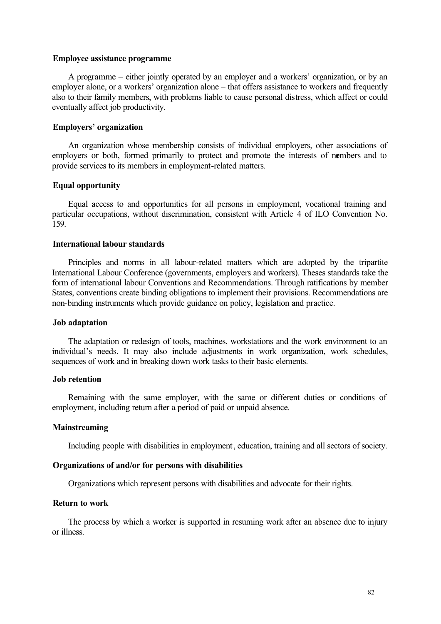#### **Employee assistance programme**

A programme – either jointly operated by an employer and a workers' organization, or by an employer alone, or a workers' organization alone – that offers assistance to workers and frequently also to their family members, with problems liable to cause personal distress, which affect or could eventually affect job productivity.

#### **Employers' organization**

An organization whose membership consists of individual employers, other associations of employers or both, formed primarily to protect and promote the interests of members and to provide services to its members in employment-related matters.

## **Equal opportunity**

Equal access to and opportunities for all persons in employment, vocational training and particular occupations, without discrimination, consistent with Article 4 of ILO Convention No. 159.

#### **International labour standards**

Principles and norms in all labour-related matters which are adopted by the tripartite International Labour Conference (governments, employers and workers). Theses standards take the form of international labour Conventions and Recommendations. Through ratifications by member States, conventions create binding obligations to implement their provisions. Recommendations are non-binding instruments which provide guidance on policy, legislation and practice.

#### **Job adaptation**

The adaptation or redesign of tools, machines, workstations and the work environment to an individual's needs. It may also include adjustments in work organization, work schedules, sequences of work and in breaking down work tasks to their basic elements.

#### **Job retention**

Remaining with the same employer, with the same or different duties or conditions of employment, including return after a period of paid or unpaid absence.

## **Mainstreaming**

Including people with disabilities in employment, education, training and all sectors of society.

#### **Organizations of and/or for persons with disabilities**

Organizations which represent persons with disabilities and advocate for their rights.

#### **Return to work**

The process by which a worker is supported in resuming work after an absence due to injury or illness.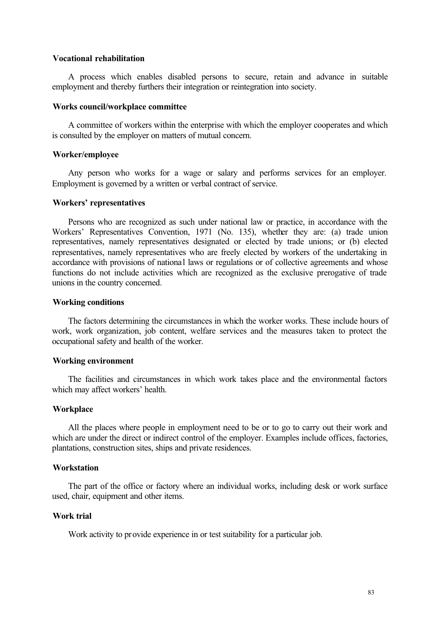#### **Vocational rehabilitation**

A process which enables disabled persons to secure, retain and advance in suitable employment and thereby furthers their integration or reintegration into society.

#### **Works council/workplace committee**

A committee of workers within the enterprise with which the employer cooperates and which is consulted by the employer on matters of mutual concern.

#### **Worker/employee**

Any person who works for a wage or salary and performs services for an employer. Employment is governed by a written or verbal contract of service.

#### **Workers' representatives**

Persons who are recognized as such under national law or practice, in accordance with the Workers' Representatives Convention, 1971 (No. 135), whether they are: (a) trade union representatives, namely representatives designated or elected by trade unions; or (b) elected representatives, namely representatives who are freely elected by workers of the undertaking in accordance with provisions of national laws or regulations or of collective agreements and whose functions do not include activities which are recognized as the exclusive prerogative of trade unions in the country concerned.

#### **Working conditions**

The factors determining the circumstances in which the worker works. These include hours of work, work organization, job content, welfare services and the measures taken to protect the occupational safety and health of the worker.

#### **Working environment**

The facilities and circumstances in which work takes place and the environmental factors which may affect workers' health.

#### **Workplace**

All the places where people in employment need to be or to go to carry out their work and which are under the direct or indirect control of the employer. Examples include offices, factories, plantations, construction sites, ships and private residences.

## **Workstation**

The part of the office or factory where an individual works, including desk or work surface used, chair, equipment and other items.

## **Work trial**

Work activity to provide experience in or test suitability for a particular job.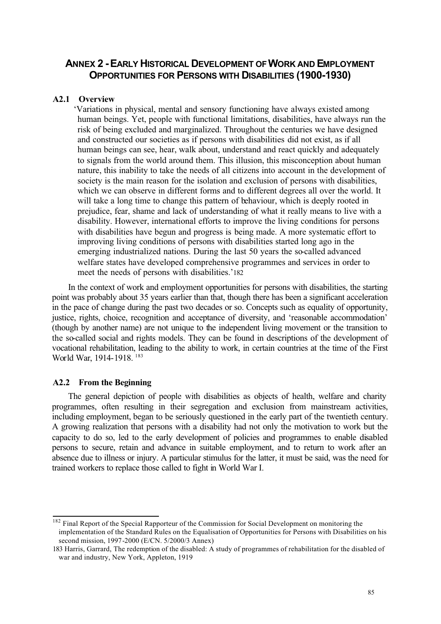## **ANNEX 2-EARLY HISTORICAL DEVELOPMENT OF WORK AND EMPLOYMENT OPPORTUNITIES FOR PERSONS WITH DISABILITIES (1900-1930)**

## **A2.1 Overview**

'Variations in physical, mental and sensory functioning have always existed among human beings. Yet, people with functional limitations, disabilities, have always run the risk of being excluded and marginalized. Throughout the centuries we have designed and constructed our societies as if persons with disabilities did not exist, as if all human beings can see, hear, walk about, understand and react quickly and adequately to signals from the world around them. This illusion, this misconception about human nature, this inability to take the needs of all citizens into account in the development of society is the main reason for the isolation and exclusion of persons with disabilities, which we can observe in different forms and to different degrees all over the world. It will take a long time to change this pattern of behaviour, which is deeply rooted in prejudice, fear, shame and lack of understanding of what it really means to live with a disability. However, international efforts to improve the living conditions for persons with disabilities have begun and progress is being made. A more systematic effort to improving living conditions of persons with disabilities started long ago in the emerging industrialized nations. During the last 50 years the so-called advanced welfare states have developed comprehensive programmes and services in order to meet the needs of persons with disabilities.'182

In the context of work and employment opportunities for persons with disabilities, the starting point was probably about 35 years earlier than that, though there has been a significant acceleration in the pace of change during the past two decades or so. Concepts such as equality of opportunity, justice, rights, choice, recognition and acceptance of diversity, and 'reasonable accommodation' (though by another name) are not unique to the independent living movement or the transition to the so-called social and rights models. They can be found in descriptions of the development of vocational rehabilitation, leading to the ability to work, in certain countries at the time of the First World War, 1914-1918.<sup>183</sup>

## **A2.2 From the Beginning**

The general depiction of people with disabilities as objects of health, welfare and charity programmes, often resulting in their segregation and exclusion from mainstream activities, including employment, began to be seriously questioned in the early part of the twentieth century. A growing realization that persons with a disability had not only the motivation to work but the capacity to do so, led to the early development of policies and programmes to enable disabled persons to secure, retain and advance in suitable employment, and to return to work after an absence due to illness or injury. A particular stimulus for the latter, it must be said, was the need for trained workers to replace those called to fight in World War I.

<sup>&</sup>lt;sup>182</sup> Final Report of the Special Rapporteur of the Commission for Social Development on monitoring the implementation of the Standard Rules on the Equalisation of Opportunities for Persons with Disabilities on his second mission, 1997-2000 (E/CN. 5/2000/3 Annex)

<sup>183</sup> Harris, Garrard, The redemption of the disabled: A study of programmes of rehabilitation for the disabled of war and industry, New York, Appleton, 1919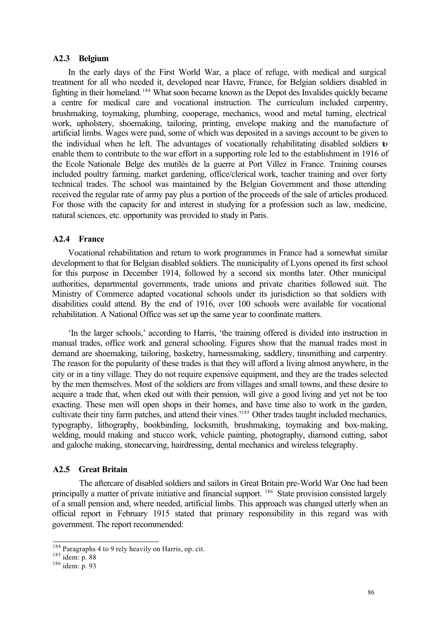#### **A2.3 Belgium**

In the early days of the First World War, a place of refuge, with medical and surgical treatment for all who needed it, developed near Havre, France, for Belgian soldiers disabled in fighting in their homeland. 184 What soon became known as the Depot des Invalides quickly became a centre for medical care and vocational instruction. The curriculum included carpentry, brushmaking, toymaking, plumbing, cooperage, mechanics, wood and metal turning, electrical work, upholstery, shoemaking, tailoring, printing, envelope making and the manufacture of artificial limbs. Wages were paid, some of which was deposited in a savings account to be given to the individual when he left. The advantages of vocationally rehabilitating disabled soldiers to enable them to contribute to the war effort in a supporting role led to the establishment in 1916 of the Ecole Nationale Belge des mutilés de la guerre at Port Villez in France. Training courses included poultry farming, market gardening, office/clerical work, teacher training and over forty technical trades. The school was maintained by the Belgian Government and those attending received the regular rate of army pay plus a portion of the proceeds of the sale of articles produced. For those with the capacity for and interest in studying for a profession such as law, medicine, natural sciences, etc. opportunity was provided to study in Paris.

#### **A2.4 France**

Vocational rehabilitation and return to work programmes in France had a somewhat similar development to that for Belgian disabled soldiers. The municipality of Lyons opened its first school for this purpose in December 1914, followed by a second six months later. Other municipal authorities, departmental governments, trade unions and private charities followed suit. The Ministry of Commerce adapted vocational schools under its jurisdiction so that soldiers with disabilities could attend. By the end of 1916, over 100 schools were available for vocational rehabilitation. A National Office was set up the same year to coordinate matters.

'In the larger schools,' according to Harris, 'the training offered is divided into instruction in manual trades, office work and general schooling. Figures show that the manual trades most in demand are shoemaking, tailoring, basketry, harnessmaking, saddlery, tinsmithing and carpentry. The reason for the popularity of these trades is that they will afford a living almost anywhere, in the city or in a tiny village. They do not require expensive equipment, and they are the trades selected by the men themselves. Most of the soldiers are from villages and small towns, and these desire to acquire a trade that, when eked out with their pension, will give a good living and yet not be too exacting. These men will open shops in their homes, and have time also to work in the garden, cultivate their tiny farm patches, and attend their vines.'185 Other trades taught included mechanics, typography, lithography, bookbinding, locksmith, brushmaking, toymaking and box-making, welding, mould making and stucco work, vehicle painting, photography, diamond cutting, sabot and galoche making, stonecarving, hairdressing, dental mechanics and wireless telegraphy.

#### **A2.5 Great Britain**

The aftercare of disabled soldiers and sailors in Great Britain pre-World War One had been principally a matter of private initiative and financial support. 186 State provision consisted largely of a small pension and, where needed, artificial limbs. This approach was changed utterly when an official report in February 1915 stated that primary responsibility in this regard was with government. The report recommended:

<sup>184</sup> Paragraphs 4 to 9 rely heavily on Harris, op. cit.

 $185 \text{ idem: } p. 88$ 

 $186$  idem: p. 93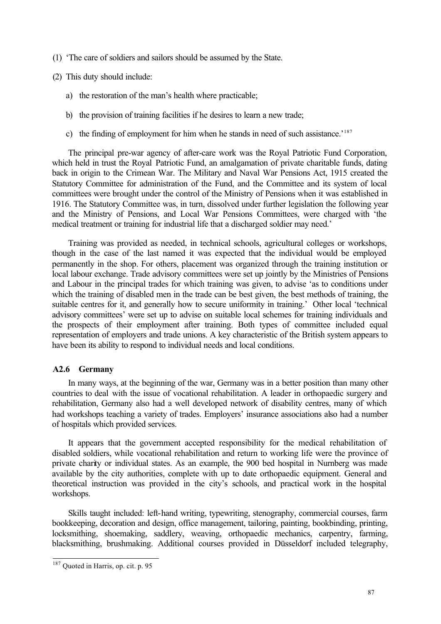- (1) 'The care of soldiers and sailors should be assumed by the State.
- (2) This duty should include:
	- a) the restoration of the man's health where practicable;
	- b) the provision of training facilities if he desires to learn a new trade;
	- c) the finding of employment for him when he stands in need of such assistance.'187

The principal pre-war agency of after-care work was the Royal Patriotic Fund Corporation, which held in trust the Royal Patriotic Fund, an amalgamation of private charitable funds, dating back in origin to the Crimean War. The Military and Naval War Pensions Act, 1915 created the Statutory Committee for administration of the Fund, and the Committee and its system of local committees were brought under the control of the Ministry of Pensions when it was established in 1916. The Statutory Committee was, in turn, dissolved under further legislation the following year and the Ministry of Pensions, and Local War Pensions Committees, were charged with 'the medical treatment or training for industrial life that a discharged soldier may need.'

Training was provided as needed, in technical schools, agricultural colleges or workshops, though in the case of the last named it was expected that the individual would be employed permanently in the shop. For others, placement was organized through the training institution or local labour exchange. Trade advisory committees were set up jointly by the Ministries of Pensions and Labour in the principal trades for which training was given, to advise 'as to conditions under which the training of disabled men in the trade can be best given, the best methods of training, the suitable centres for it, and generally how to secure uniformity in training.' Other local 'technical advisory committees' were set up to advise on suitable local schemes for training individuals and the prospects of their employment after training. Both types of committee included equal representation of employers and trade unions. A key characteristic of the British system appears to have been its ability to respond to individual needs and local conditions.

## **A2.6 Germany**

In many ways, at the beginning of the war, Germany was in a better position than many other countries to deal with the issue of vocational rehabilitation. A leader in orthopaedic surgery and rehabilitation, Germany also had a well developed network of disability centres, many of which had workshops teaching a variety of trades. Employers' insurance associations also had a number of hospitals which provided services.

It appears that the government accepted responsibility for the medical rehabilitation of disabled soldiers, while vocational rehabilitation and return to working life were the province of private charity or individual states. As an example, the 900 bed hospital in Nurnberg was made available by the city authorities, complete with up to date orthopaedic equipment. General and theoretical instruction was provided in the city's schools, and practical work in the hospital workshops.

Skills taught included: left-hand writing, typewriting, stenography, commercial courses, farm bookkeeping, decoration and design, office management, tailoring, painting, bookbinding, printing, locksmithing, shoemaking, saddlery, weaving, orthopaedic mechanics, carpentry, farming, blacksmithing, brushmaking. Additional courses provided in Düsseldorf included telegraphy,

<sup>187</sup> Quoted in Harris, op. cit. p. 95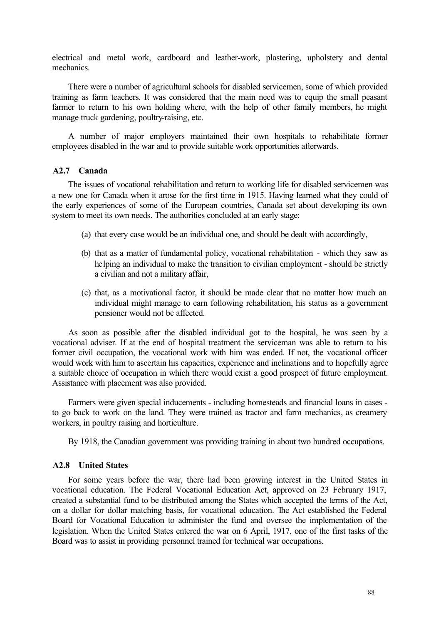electrical and metal work, cardboard and leather-work, plastering, upholstery and dental mechanics.

There were a number of agricultural schools for disabled servicemen, some of which provided training as farm teachers. It was considered that the main need was to equip the small peasant farmer to return to his own holding where, with the help of other family members, he might manage truck gardening, poultry-raising, etc.

A number of major employers maintained their own hospitals to rehabilitate former employees disabled in the war and to provide suitable work opportunities afterwards.

#### **A2.7 Canada**

The issues of vocational rehabilitation and return to working life for disabled servicemen was a new one for Canada when it arose for the first time in 1915. Having learned what they could of the early experiences of some of the European countries, Canada set about developing its own system to meet its own needs. The authorities concluded at an early stage:

- (a) that every case would be an individual one, and should be dealt with accordingly,
- (b) that as a matter of fundamental policy, vocational rehabilitation which they saw as helping an individual to make the transition to civilian employment - should be strictly a civilian and not a military affair,
- (c) that, as a motivational factor, it should be made clear that no matter how much an individual might manage to earn following rehabilitation, his status as a government pensioner would not be affected.

As soon as possible after the disabled individual got to the hospital, he was seen by a vocational adviser. If at the end of hospital treatment the serviceman was able to return to his former civil occupation, the vocational work with him was ended. If not, the vocational officer would work with him to ascertain his capacities, experience and inclinations and to hopefully agree a suitable choice of occupation in which there would exist a good prospect of future employment. Assistance with placement was also provided.

Farmers were given special inducements - including homesteads and financial loans in cases to go back to work on the land. They were trained as tractor and farm mechanics, as creamery workers, in poultry raising and horticulture.

By 1918, the Canadian government was providing training in about two hundred occupations.

## **A2.8 United States**

For some years before the war, there had been growing interest in the United States in vocational education. The Federal Vocational Education Act, approved on 23 February 1917, created a substantial fund to be distributed among the States which accepted the terms of the Act, on a dollar for dollar matching basis, for vocational education. The Act established the Federal Board for Vocational Education to administer the fund and oversee the implementation of the legislation. When the United States entered the war on 6 April, 1917, one of the first tasks of the Board was to assist in providing personnel trained for technical war occupations.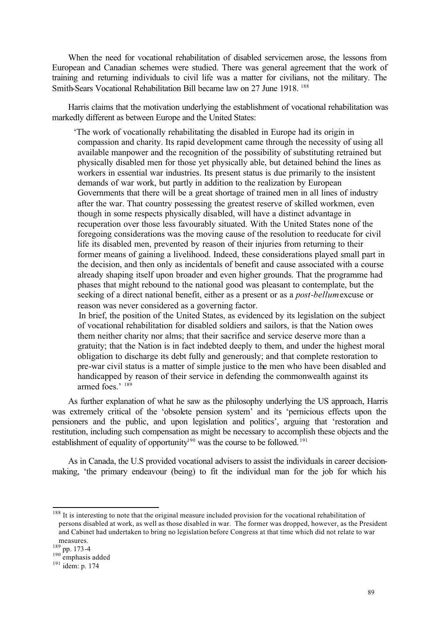When the need for vocational rehabilitation of disabled servicemen arose, the lessons from European and Canadian schemes were studied. There was general agreement that the work of training and returning individuals to civil life was a matter for civilians, not the military. The Smith-Sears Vocational Rehabilitation Bill became law on 27 June 1918.<sup>188</sup>

Harris claims that the motivation underlying the establishment of vocational rehabilitation was markedly different as between Europe and the United States:

'The work of vocationally rehabilitating the disabled in Europe had its origin in compassion and charity. Its rapid development came through the necessity of using all available manpower and the recognition of the possibility of substituting retrained but physically disabled men for those yet physically able, but detained behind the lines as workers in essential war industries. Its present status is due primarily to the insistent demands of war work, but partly in addition to the realization by European Governments that there will be a great shortage of trained men in all lines of industry after the war. That country possessing the greatest reserve of skilled workmen, even though in some respects physically disabled, will have a distinct advantage in recuperation over those less favourably situated. With the United States none of the foregoing considerations was the moving cause of the resolution to reeducate for civil life its disabled men, prevented by reason of their injuries from returning to their former means of gaining a livelihood. Indeed, these considerations played small part in the decision, and then only as incidentals of benefit and cause associated with a course already shaping itself upon broader and even higher grounds. That the programme had phases that might rebound to the national good was pleasant to contemplate, but the seeking of a direct national benefit, either as a present or as a *post-bellum* excuse or reason was never considered as a governing factor.

In brief, the position of the United States, as evidenced by its legislation on the subject of vocational rehabilitation for disabled soldiers and sailors, is that the Nation owes them neither charity nor alms; that their sacrifice and service deserve more than a gratuity; that the Nation is in fact indebted deeply to them, and under the highest moral obligation to discharge its debt fully and generously; and that complete restoration to pre-war civil status is a matter of simple justice to the men who have been disabled and handicapped by reason of their service in defending the commonwealth against its armed  $f_{\text{OES}}^{\text{1}}$ ,  $^{189}$ 

As further explanation of what he saw as the philosophy underlying the US approach, Harris was extremely critical of the 'obsolete pension system' and its 'pernicious effects upon the pensioners and the public, and upon legislation and politics', arguing that 'restoration and restitution, including such compensation as might be necessary to accomplish these objects and the establishment of equality of opportunity<sup>190</sup> was the course to be followed.<sup>191</sup>

As in Canada, the U.S provided vocational advisers to assist the individuals in career decisionmaking, 'the primary endeavour (being) to fit the individual man for the job for which his

<sup>&</sup>lt;sup>188</sup> It is interesting to note that the original measure included provision for the vocational rehabilitation of persons disabled at work, as well as those disabled in war. The former was dropped, however, as the President and Cabinet had undertaken to bring no legislation before Congress at that time which did not relate to war measures.

 $189$  pp. 173-4

<sup>&</sup>lt;sup>190</sup> emphasis added

<sup>191</sup> idem: p. 174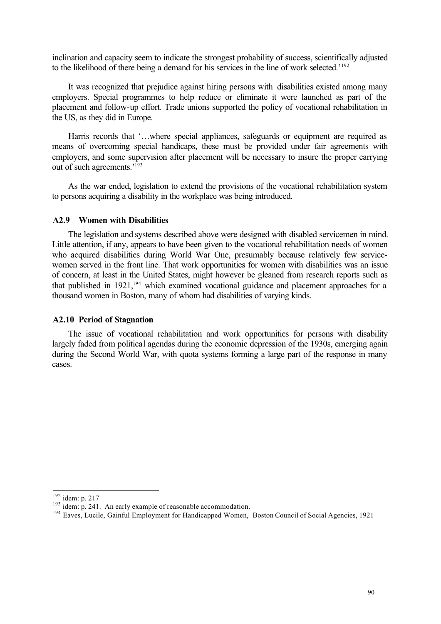inclination and capacity seem to indicate the strongest probability of success, scientifically adjusted to the likelihood of there being a demand for his services in the line of work selected.'192

It was recognized that prejudice against hiring persons with disabilities existed among many employers. Special programmes to help reduce or eliminate it were launched as part of the placement and follow-up effort. Trade unions supported the policy of vocational rehabilitation in the US, as they did in Europe.

Harris records that '…where special appliances, safeguards or equipment are required as means of overcoming special handicaps, these must be provided under fair agreements with employers, and some supervision after placement will be necessary to insure the proper carrying out of such agreements.'193

As the war ended, legislation to extend the provisions of the vocational rehabilitation system to persons acquiring a disability in the workplace was being introduced.

#### **A2.9 Women with Disabilities**

The legislation and systems described above were designed with disabled servicemen in mind. Little attention, if any, appears to have been given to the vocational rehabilitation needs of women who acquired disabilities during World War One, presumably because relatively few servicewomen served in the front line. That work opportunities for women with disabilities was an issue of concern, at least in the United States, might however be gleaned from research reports such as that published in  $1921$ ,<sup>194</sup> which examined vocational guidance and placement approaches for a thousand women in Boston, many of whom had disabilities of varying kinds.

#### **A2.10 Period of Stagnation**

The issue of vocational rehabilitation and work opportunities for persons with disability largely faded from political agendas during the economic depression of the 1930s, emerging again during the Second World War, with quota systems forming a large part of the response in many cases.

<sup>192</sup> idem: p. 217

<sup>&</sup>lt;sup>193</sup> idem: p. 241. An early example of reasonable accommodation.

<sup>&</sup>lt;sup>194</sup> Eaves, Lucile, Gainful Employment for Handicapped Women, Boston Council of Social Agencies, 1921